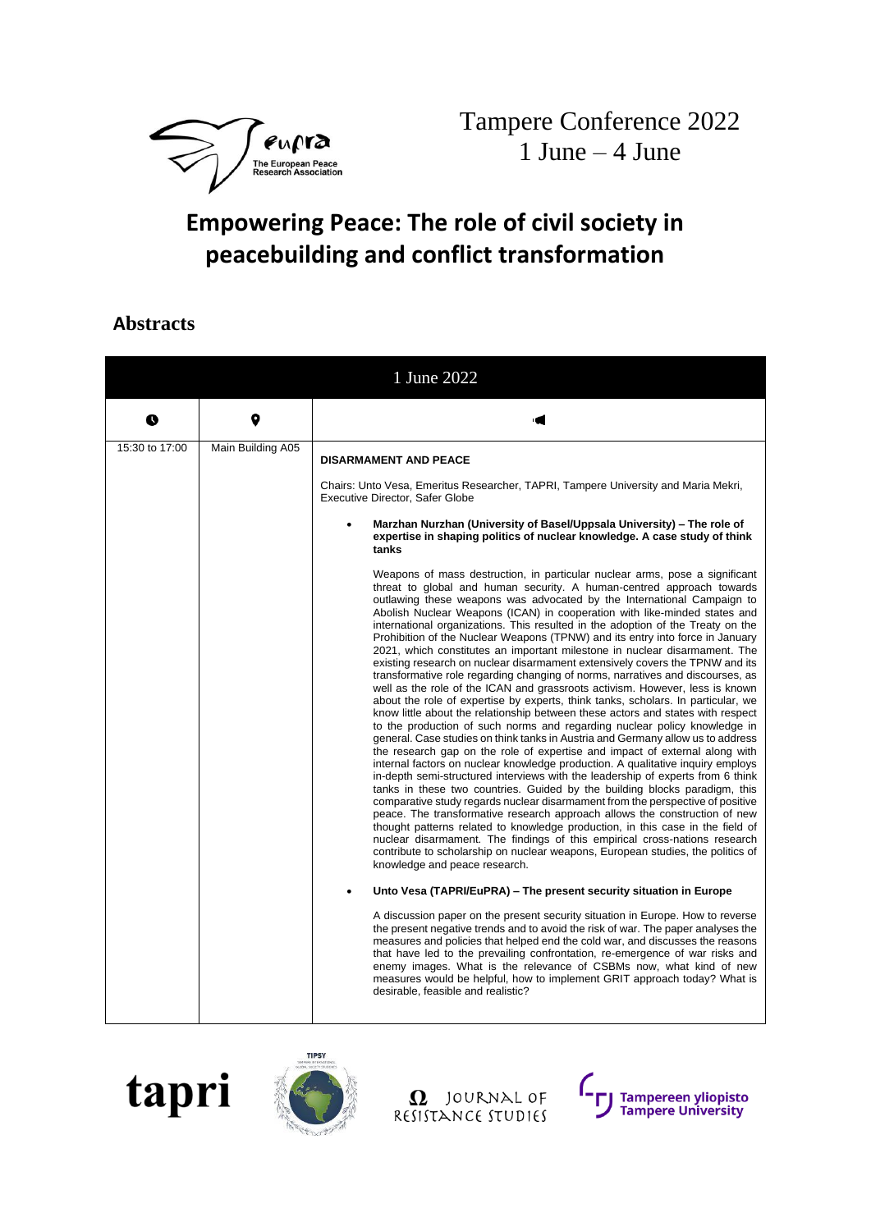

## **Empowering Peace: The role of civil society in peacebuilding and conflict transformation**

## **Abstracts**

|                |                   | 1 June 2022                                                                                                                                                                                                                                                                                                                                                                                                                                                                                                                                                                                                                                                                                                                                                                                                                                                                                                                                                                                                                                                                                                                                                                                                                                                                                                                                                                                                                                                                                                                                                                                                                                                                                                                                                                                                                                                                                                                                                                                                                                                                                                                                                                                                                                                                                                                                                                                                                                                                                                                                                                                                                                                                                                                                                                                                                                               |
|----------------|-------------------|-----------------------------------------------------------------------------------------------------------------------------------------------------------------------------------------------------------------------------------------------------------------------------------------------------------------------------------------------------------------------------------------------------------------------------------------------------------------------------------------------------------------------------------------------------------------------------------------------------------------------------------------------------------------------------------------------------------------------------------------------------------------------------------------------------------------------------------------------------------------------------------------------------------------------------------------------------------------------------------------------------------------------------------------------------------------------------------------------------------------------------------------------------------------------------------------------------------------------------------------------------------------------------------------------------------------------------------------------------------------------------------------------------------------------------------------------------------------------------------------------------------------------------------------------------------------------------------------------------------------------------------------------------------------------------------------------------------------------------------------------------------------------------------------------------------------------------------------------------------------------------------------------------------------------------------------------------------------------------------------------------------------------------------------------------------------------------------------------------------------------------------------------------------------------------------------------------------------------------------------------------------------------------------------------------------------------------------------------------------------------------------------------------------------------------------------------------------------------------------------------------------------------------------------------------------------------------------------------------------------------------------------------------------------------------------------------------------------------------------------------------------------------------------------------------------------------------------------------------------|
| Q              | O                 |                                                                                                                                                                                                                                                                                                                                                                                                                                                                                                                                                                                                                                                                                                                                                                                                                                                                                                                                                                                                                                                                                                                                                                                                                                                                                                                                                                                                                                                                                                                                                                                                                                                                                                                                                                                                                                                                                                                                                                                                                                                                                                                                                                                                                                                                                                                                                                                                                                                                                                                                                                                                                                                                                                                                                                                                                                                           |
| 15:30 to 17:00 | Main Building A05 | <b>DISARMAMENT AND PEACE</b><br>Chairs: Unto Vesa, Emeritus Researcher, TAPRI, Tampere University and Maria Mekri,<br><b>Executive Director, Safer Globe</b><br>Marzhan Nurzhan (University of Basel/Uppsala University) – The role of<br>$\bullet$<br>expertise in shaping politics of nuclear knowledge. A case study of think<br>tanks<br>Weapons of mass destruction, in particular nuclear arms, pose a significant<br>threat to global and human security. A human-centred approach towards<br>outlawing these weapons was advocated by the International Campaign to<br>Abolish Nuclear Weapons (ICAN) in cooperation with like-minded states and<br>international organizations. This resulted in the adoption of the Treaty on the<br>Prohibition of the Nuclear Weapons (TPNW) and its entry into force in January<br>2021, which constitutes an important milestone in nuclear disarmament. The<br>existing research on nuclear disarmament extensively covers the TPNW and its<br>transformative role regarding changing of norms, narratives and discourses, as<br>well as the role of the ICAN and grassroots activism. However, less is known<br>about the role of expertise by experts, think tanks, scholars. In particular, we<br>know little about the relationship between these actors and states with respect<br>to the production of such norms and regarding nuclear policy knowledge in<br>general. Case studies on think tanks in Austria and Germany allow us to address<br>the research gap on the role of expertise and impact of external along with<br>internal factors on nuclear knowledge production. A qualitative inquiry employs<br>in-depth semi-structured interviews with the leadership of experts from 6 think<br>tanks in these two countries. Guided by the building blocks paradigm, this<br>comparative study regards nuclear disarmament from the perspective of positive<br>peace. The transformative research approach allows the construction of new<br>thought patterns related to knowledge production, in this case in the field of<br>nuclear disarmament. The findings of this empirical cross-nations research<br>contribute to scholarship on nuclear weapons, European studies, the politics of<br>knowledge and peace research.<br>Unto Vesa (TAPRI/EuPRA) – The present security situation in Europe<br>A discussion paper on the present security situation in Europe. How to reverse<br>the present negative trends and to avoid the risk of war. The paper analyses the<br>measures and policies that helped end the cold war, and discusses the reasons<br>that have led to the prevailing confrontation, re-emergence of war risks and<br>enemy images. What is the relevance of CSBMs now, what kind of new<br>measures would be helpful, how to implement GRIT approach today? What is |
|                |                   | desirable, feasible and realistic?                                                                                                                                                                                                                                                                                                                                                                                                                                                                                                                                                                                                                                                                                                                                                                                                                                                                                                                                                                                                                                                                                                                                                                                                                                                                                                                                                                                                                                                                                                                                                                                                                                                                                                                                                                                                                                                                                                                                                                                                                                                                                                                                                                                                                                                                                                                                                                                                                                                                                                                                                                                                                                                                                                                                                                                                                        |





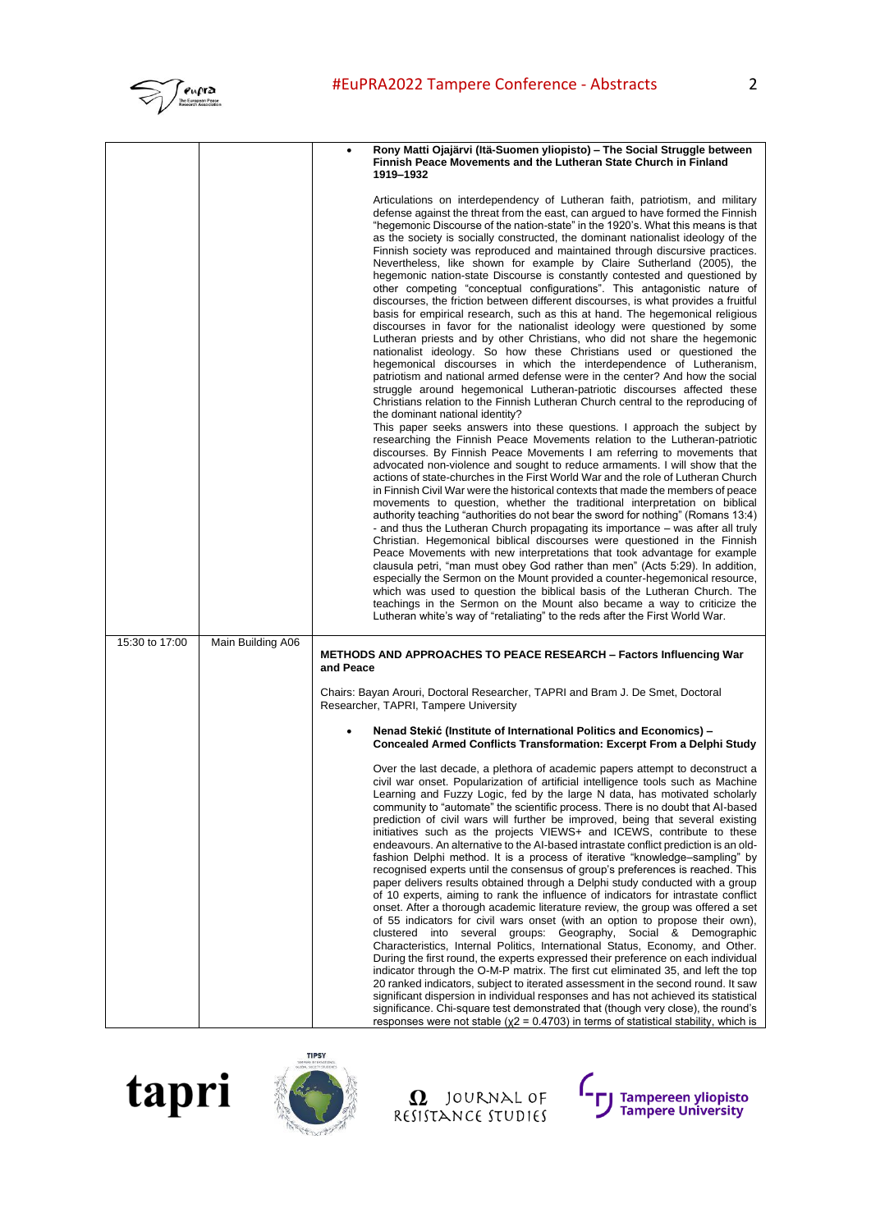

|                |                   | Rony Matti Ojajärvi (Itä-Suomen yliopisto) - The Social Struggle between<br>Finnish Peace Movements and the Lutheran State Church in Finland<br>1919-1932<br>Articulations on interdependency of Lutheran faith, patriotism, and military<br>defense against the threat from the east, can argued to have formed the Finnish<br>"hegemonic Discourse of the nation-state" in the 1920's. What this means is that<br>as the society is socially constructed, the dominant nationalist ideology of the<br>Finnish society was reproduced and maintained through discursive practices.<br>Nevertheless, like shown for example by Claire Sutherland (2005), the<br>hegemonic nation-state Discourse is constantly contested and questioned by<br>other competing "conceptual configurations". This antagonistic nature of<br>discourses, the friction between different discourses, is what provides a fruitful<br>basis for empirical research, such as this at hand. The hegemonical religious<br>discourses in favor for the nationalist ideology were questioned by some<br>Lutheran priests and by other Christians, who did not share the hegemonic<br>nationalist ideology. So how these Christians used or questioned the<br>hegemonical discourses in which the interdependence of Lutheranism,<br>patriotism and national armed defense were in the center? And how the social<br>struggle around hegemonical Lutheran-patriotic discourses affected these<br>Christians relation to the Finnish Lutheran Church central to the reproducing of<br>the dominant national identity?<br>This paper seeks answers into these questions. I approach the subject by<br>researching the Finnish Peace Movements relation to the Lutheran-patriotic<br>discourses. By Finnish Peace Movements I am referring to movements that<br>advocated non-violence and sought to reduce armaments. I will show that the<br>actions of state-churches in the First World War and the role of Lutheran Church<br>in Finnish Civil War were the historical contexts that made the members of peace<br>movements to question, whether the traditional interpretation on biblical<br>authority teaching "authorities do not bear the sword for nothing" (Romans 13:4)<br>- and thus the Lutheran Church propagating its importance - was after all truly<br>Christian. Hegemonical biblical discourses were questioned in the Finnish<br>Peace Movements with new interpretations that took advantage for example<br>clausula petri, "man must obey God rather than men" (Acts 5:29). In addition,<br>especially the Sermon on the Mount provided a counter-hegemonical resource,<br>which was used to question the biblical basis of the Lutheran Church. The<br>teachings in the Sermon on the Mount also became a way to criticize the<br>Lutheran white's way of "retaliating" to the reds after the First World War. |
|----------------|-------------------|-----------------------------------------------------------------------------------------------------------------------------------------------------------------------------------------------------------------------------------------------------------------------------------------------------------------------------------------------------------------------------------------------------------------------------------------------------------------------------------------------------------------------------------------------------------------------------------------------------------------------------------------------------------------------------------------------------------------------------------------------------------------------------------------------------------------------------------------------------------------------------------------------------------------------------------------------------------------------------------------------------------------------------------------------------------------------------------------------------------------------------------------------------------------------------------------------------------------------------------------------------------------------------------------------------------------------------------------------------------------------------------------------------------------------------------------------------------------------------------------------------------------------------------------------------------------------------------------------------------------------------------------------------------------------------------------------------------------------------------------------------------------------------------------------------------------------------------------------------------------------------------------------------------------------------------------------------------------------------------------------------------------------------------------------------------------------------------------------------------------------------------------------------------------------------------------------------------------------------------------------------------------------------------------------------------------------------------------------------------------------------------------------------------------------------------------------------------------------------------------------------------------------------------------------------------------------------------------------------------------------------------------------------------------------------------------------------------------------------------------------------------------------------------------------------------------------------------------------------------------------------------------------------------|
| 15:30 to 17:00 | Main Building A06 | METHODS AND APPROACHES TO PEACE RESEARCH – Factors Influencing War<br>and Peace<br>Chairs: Bayan Arouri, Doctoral Researcher, TAPRI and Bram J. De Smet, Doctoral                                                                                                                                                                                                                                                                                                                                                                                                                                                                                                                                                                                                                                                                                                                                                                                                                                                                                                                                                                                                                                                                                                                                                                                                                                                                                                                                                                                                                                                                                                                                                                                                                                                                                                                                                                                                                                                                                                                                                                                                                                                                                                                                                                                                                                                                                                                                                                                                                                                                                                                                                                                                                                                                                                                                         |
|                |                   | Researcher, TAPRI, Tampere University<br>Nenad Stekić (Institute of International Politics and Economics) -<br><b>Concealed Armed Conflicts Transformation: Excerpt From a Delphi Study</b><br>Over the last decade, a plethora of academic papers attempt to deconstruct a<br>civil war onset. Popularization of artificial intelligence tools such as Machine<br>Learning and Fuzzy Logic, fed by the large N data, has motivated scholarly<br>community to "automate" the scientific process. There is no doubt that AI-based<br>prediction of civil wars will further be improved, being that several existing<br>initiatives such as the projects VIEWS+ and ICEWS, contribute to these<br>endeavours. An alternative to the Al-based intrastate conflict prediction is an old-<br>fashion Delphi method. It is a process of iterative "knowledge-sampling" by<br>recognised experts until the consensus of group's preferences is reached. This<br>paper delivers results obtained through a Delphi study conducted with a group<br>of 10 experts, aiming to rank the influence of indicators for intrastate conflict<br>onset. After a thorough academic literature review, the group was offered a set<br>of 55 indicators for civil wars onset (with an option to propose their own),<br>clustered into several groups: Geography, Social & Demographic<br>Characteristics, Internal Politics, International Status, Economy, and Other.<br>During the first round, the experts expressed their preference on each individual<br>indicator through the O-M-P matrix. The first cut eliminated 35, and left the top<br>20 ranked indicators, subject to iterated assessment in the second round. It saw<br>significant dispersion in individual responses and has not achieved its statistical<br>significance. Chi-square test demonstrated that (though very close), the round's<br>responses were not stable ( $x^2$ = 0.4703) in terms of statistical stability, which is                                                                                                                                                                                                                                                                                                                                                                                                                                                                                                                                                                                                                                                                                                                                                                                                                                                                                                                     |





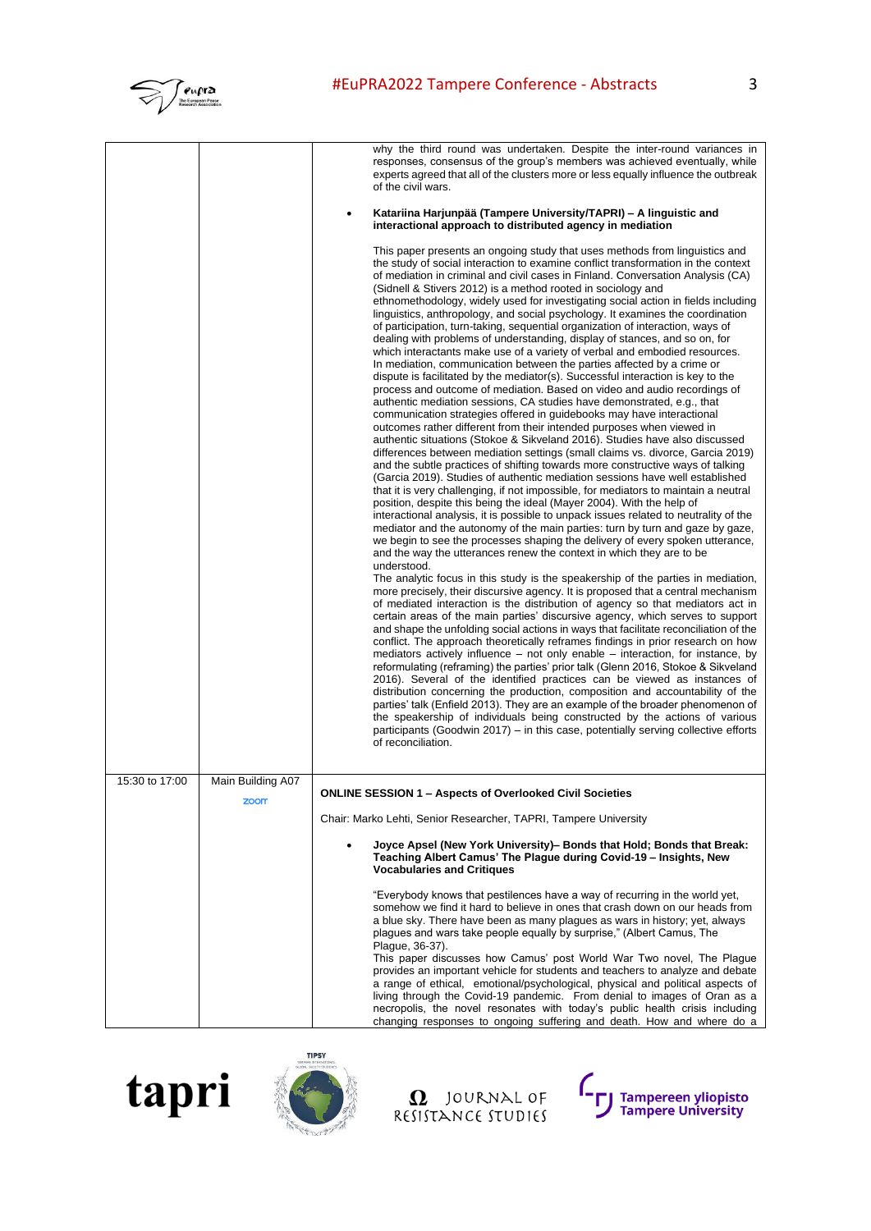

|                |                           | why the third round was undertaken. Despite the inter-round variances in<br>responses, consensus of the group's members was achieved eventually, while<br>experts agreed that all of the clusters more or less equally influence the outbreak<br>of the civil wars.<br>Katariina Harjunpää (Tampere University/TAPRI) - A linguistic and<br>interactional approach to distributed agency in mediation<br>This paper presents an ongoing study that uses methods from linguistics and<br>the study of social interaction to examine conflict transformation in the context<br>of mediation in criminal and civil cases in Finland. Conversation Analysis (CA)<br>(Sidnell & Stivers 2012) is a method rooted in sociology and                                                                                                                                                                                                                                                                                                                                                                                                                                                                                                                                                                                                                                                                                                                                                                                                                                                                                                                                                                                                                                                                                                                                                                                                                                                                                                                                                                                                                                                                                                                                                                                                                                                                                                                                                                                                                                                                                                                                                                                                                                                                                                                                                         |
|----------------|---------------------------|--------------------------------------------------------------------------------------------------------------------------------------------------------------------------------------------------------------------------------------------------------------------------------------------------------------------------------------------------------------------------------------------------------------------------------------------------------------------------------------------------------------------------------------------------------------------------------------------------------------------------------------------------------------------------------------------------------------------------------------------------------------------------------------------------------------------------------------------------------------------------------------------------------------------------------------------------------------------------------------------------------------------------------------------------------------------------------------------------------------------------------------------------------------------------------------------------------------------------------------------------------------------------------------------------------------------------------------------------------------------------------------------------------------------------------------------------------------------------------------------------------------------------------------------------------------------------------------------------------------------------------------------------------------------------------------------------------------------------------------------------------------------------------------------------------------------------------------------------------------------------------------------------------------------------------------------------------------------------------------------------------------------------------------------------------------------------------------------------------------------------------------------------------------------------------------------------------------------------------------------------------------------------------------------------------------------------------------------------------------------------------------------------------------------------------------------------------------------------------------------------------------------------------------------------------------------------------------------------------------------------------------------------------------------------------------------------------------------------------------------------------------------------------------------------------------------------------------------------------------------------------------|
|                |                           | ethnomethodology, widely used for investigating social action in fields including<br>linguistics, anthropology, and social psychology. It examines the coordination<br>of participation, turn-taking, sequential organization of interaction, ways of<br>dealing with problems of understanding, display of stances, and so on, for<br>which interactants make use of a variety of verbal and embodied resources.<br>In mediation, communication between the parties affected by a crime or<br>dispute is facilitated by the mediator(s). Successful interaction is key to the<br>process and outcome of mediation. Based on video and audio recordings of<br>authentic mediation sessions, CA studies have demonstrated, e.g., that<br>communication strategies offered in guidebooks may have interactional<br>outcomes rather different from their intended purposes when viewed in<br>authentic situations (Stokoe & Sikveland 2016). Studies have also discussed<br>differences between mediation settings (small claims vs. divorce, Garcia 2019)<br>and the subtle practices of shifting towards more constructive ways of talking<br>(Garcia 2019). Studies of authentic mediation sessions have well established<br>that it is very challenging, if not impossible, for mediators to maintain a neutral<br>position, despite this being the ideal (Mayer 2004). With the help of<br>interactional analysis, it is possible to unpack issues related to neutrality of the<br>mediator and the autonomy of the main parties: turn by turn and gaze by gaze,<br>we begin to see the processes shaping the delivery of every spoken utterance,<br>and the way the utterances renew the context in which they are to be<br>understood.<br>The analytic focus in this study is the speakership of the parties in mediation,<br>more precisely, their discursive agency. It is proposed that a central mechanism<br>of mediated interaction is the distribution of agency so that mediators act in<br>certain areas of the main parties' discursive agency, which serves to support<br>and shape the unfolding social actions in ways that facilitate reconciliation of the<br>conflict. The approach theoretically reframes findings in prior research on how<br>mediators actively influence $-$ not only enable $-$ interaction, for instance, by<br>reformulating (reframing) the parties' prior talk (Glenn 2016, Stokoe & Sikveland<br>2016). Several of the identified practices can be viewed as instances of<br>distribution concerning the production, composition and accountability of the<br>parties' talk (Enfield 2013). They are an example of the broader phenomenon of<br>the speakership of individuals being constructed by the actions of various<br>participants (Goodwin 2017) – in this case, potentially serving collective efforts<br>of reconciliation. |
| 15:30 to 17:00 | Main Building A07<br>zoom | <b>ONLINE SESSION 1 - Aspects of Overlooked Civil Societies</b>                                                                                                                                                                                                                                                                                                                                                                                                                                                                                                                                                                                                                                                                                                                                                                                                                                                                                                                                                                                                                                                                                                                                                                                                                                                                                                                                                                                                                                                                                                                                                                                                                                                                                                                                                                                                                                                                                                                                                                                                                                                                                                                                                                                                                                                                                                                                                                                                                                                                                                                                                                                                                                                                                                                                                                                                                      |
|                |                           | Chair: Marko Lehti, Senior Researcher, TAPRI, Tampere University                                                                                                                                                                                                                                                                                                                                                                                                                                                                                                                                                                                                                                                                                                                                                                                                                                                                                                                                                                                                                                                                                                                                                                                                                                                                                                                                                                                                                                                                                                                                                                                                                                                                                                                                                                                                                                                                                                                                                                                                                                                                                                                                                                                                                                                                                                                                                                                                                                                                                                                                                                                                                                                                                                                                                                                                                     |
|                |                           | Joyce Apsel (New York University)- Bonds that Hold; Bonds that Break:<br>٠<br>Teaching Albert Camus' The Plague during Covid-19 - Insights, New<br><b>Vocabularies and Critiques</b>                                                                                                                                                                                                                                                                                                                                                                                                                                                                                                                                                                                                                                                                                                                                                                                                                                                                                                                                                                                                                                                                                                                                                                                                                                                                                                                                                                                                                                                                                                                                                                                                                                                                                                                                                                                                                                                                                                                                                                                                                                                                                                                                                                                                                                                                                                                                                                                                                                                                                                                                                                                                                                                                                                 |
|                |                           | "Everybody knows that pestilences have a way of recurring in the world yet,<br>somehow we find it hard to believe in ones that crash down on our heads from<br>a blue sky. There have been as many plagues as wars in history; yet, always<br>plagues and wars take people equally by surprise," (Albert Camus, The<br>Plague, 36-37).<br>This paper discusses how Camus' post World War Two novel, The Plague<br>provides an important vehicle for students and teachers to analyze and debate<br>a range of ethical, emotional/psychological, physical and political aspects of<br>living through the Covid-19 pandemic. From denial to images of Oran as a<br>necropolis, the novel resonates with today's public health crisis including<br>changing responses to ongoing suffering and death. How and where do a                                                                                                                                                                                                                                                                                                                                                                                                                                                                                                                                                                                                                                                                                                                                                                                                                                                                                                                                                                                                                                                                                                                                                                                                                                                                                                                                                                                                                                                                                                                                                                                                                                                                                                                                                                                                                                                                                                                                                                                                                                                                |





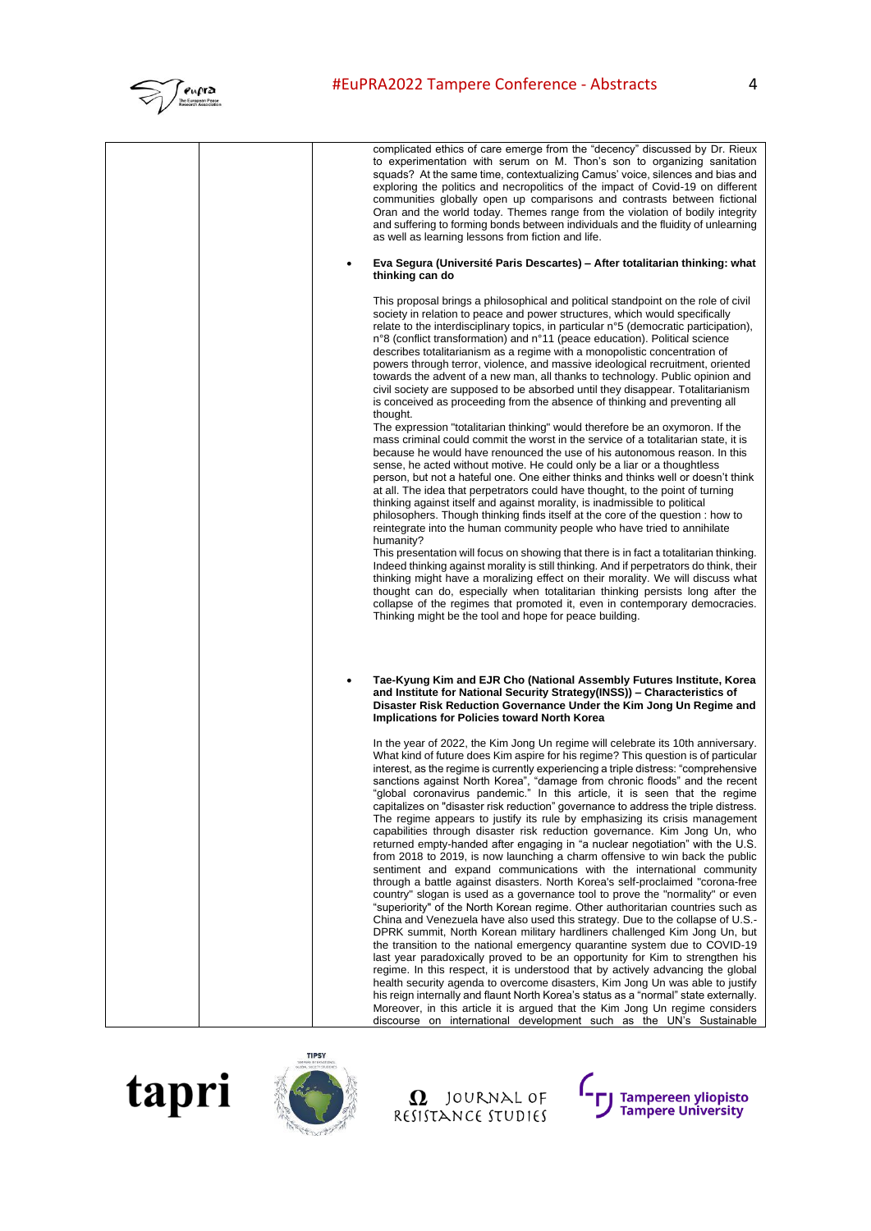

| complicated ethics of care emerge from the "decency" discussed by Dr. Rieux<br>to experimentation with serum on M. Thon's son to organizing sanitation<br>squads? At the same time, contextualizing Camus' voice, silences and bias and<br>exploring the politics and necropolitics of the impact of Covid-19 on different<br>communities globally open up comparisons and contrasts between fictional<br>Oran and the world today. Themes range from the violation of bodily integrity<br>and suffering to forming bonds between individuals and the fluidity of unlearning<br>as well as learning lessons from fiction and life.                                                                                                                                                                                                                                                                                                                                                                                                                                                                                                                                                                                                                                                                                                                                                                                                                                                                                                                                                                                                                                                                                                                                                                                                                                                                                             |
|--------------------------------------------------------------------------------------------------------------------------------------------------------------------------------------------------------------------------------------------------------------------------------------------------------------------------------------------------------------------------------------------------------------------------------------------------------------------------------------------------------------------------------------------------------------------------------------------------------------------------------------------------------------------------------------------------------------------------------------------------------------------------------------------------------------------------------------------------------------------------------------------------------------------------------------------------------------------------------------------------------------------------------------------------------------------------------------------------------------------------------------------------------------------------------------------------------------------------------------------------------------------------------------------------------------------------------------------------------------------------------------------------------------------------------------------------------------------------------------------------------------------------------------------------------------------------------------------------------------------------------------------------------------------------------------------------------------------------------------------------------------------------------------------------------------------------------------------------------------------------------------------------------------------------------|
| Eva Segura (Université Paris Descartes) - After totalitarian thinking: what<br>thinking can do                                                                                                                                                                                                                                                                                                                                                                                                                                                                                                                                                                                                                                                                                                                                                                                                                                                                                                                                                                                                                                                                                                                                                                                                                                                                                                                                                                                                                                                                                                                                                                                                                                                                                                                                                                                                                                 |
| This proposal brings a philosophical and political standpoint on the role of civil<br>society in relation to peace and power structures, which would specifically<br>relate to the interdisciplinary topics, in particular n°5 (democratic participation),<br>n°8 (conflict transformation) and n°11 (peace education). Political science<br>describes totalitarianism as a regime with a monopolistic concentration of<br>powers through terror, violence, and massive ideological recruitment, oriented<br>towards the advent of a new man, all thanks to technology. Public opinion and<br>civil society are supposed to be absorbed until they disappear. Totalitarianism<br>is conceived as proceeding from the absence of thinking and preventing all<br>thought.<br>The expression "totalitarian thinking" would therefore be an oxymoron. If the                                                                                                                                                                                                                                                                                                                                                                                                                                                                                                                                                                                                                                                                                                                                                                                                                                                                                                                                                                                                                                                                       |
| mass criminal could commit the worst in the service of a totalitarian state, it is<br>because he would have renounced the use of his autonomous reason. In this<br>sense, he acted without motive. He could only be a liar or a thoughtless<br>person, but not a hateful one. One either thinks and thinks well or doesn't think<br>at all. The idea that perpetrators could have thought, to the point of turning<br>thinking against itself and against morality, is inadmissible to political<br>philosophers. Though thinking finds itself at the core of the question : how to<br>reintegrate into the human community people who have tried to annihilate<br>humanity?<br>This presentation will focus on showing that there is in fact a totalitarian thinking.<br>Indeed thinking against morality is still thinking. And if perpetrators do think, their<br>thinking might have a moralizing effect on their morality. We will discuss what<br>thought can do, especially when totalitarian thinking persists long after the<br>collapse of the regimes that promoted it, even in contemporary democracies.<br>Thinking might be the tool and hope for peace building.                                                                                                                                                                                                                                                                                                                                                                                                                                                                                                                                                                                                                                                                                                                                                |
|                                                                                                                                                                                                                                                                                                                                                                                                                                                                                                                                                                                                                                                                                                                                                                                                                                                                                                                                                                                                                                                                                                                                                                                                                                                                                                                                                                                                                                                                                                                                                                                                                                                                                                                                                                                                                                                                                                                                |
| Tae-Kyung Kim and EJR Cho (National Assembly Futures Institute, Korea<br>$\bullet$<br>and Institute for National Security Strategy(INSS)) – Characteristics of<br>Disaster Risk Reduction Governance Under the Kim Jong Un Regime and<br>Implications for Policies toward North Korea                                                                                                                                                                                                                                                                                                                                                                                                                                                                                                                                                                                                                                                                                                                                                                                                                                                                                                                                                                                                                                                                                                                                                                                                                                                                                                                                                                                                                                                                                                                                                                                                                                          |
| In the year of 2022, the Kim Jong Un regime will celebrate its 10th anniversary.<br>What kind of future does Kim aspire for his regime? This question is of particular<br>interest, as the regime is currently experiencing a triple distress: "comprehensive<br>sanctions against North Korea", "damage from chronic floods" and the recent<br>"global coronavirus pandemic." In this article, it is seen that the regime<br>capitalizes on "disaster risk reduction" governance to address the triple distress.<br>The regime appears to justify its rule by emphasizing its crisis management<br>capabilities through disaster risk reduction governance. Kim Jong Un, who<br>returned empty-handed after engaging in "a nuclear negotiation" with the U.S.<br>from 2018 to 2019, is now launching a charm offensive to win back the public<br>sentiment and expand communications with the international community<br>through a battle against disasters. North Korea's self-proclaimed "corona-free"<br>country" slogan is used as a governance tool to prove the "normality" or even<br>"superiority" of the North Korean regime. Other authoritarian countries such as<br>China and Venezuela have also used this strategy. Due to the collapse of U.S.-<br>DPRK summit, North Korean military hardliners challenged Kim Jong Un, but<br>the transition to the national emergency quarantine system due to COVID-19<br>last year paradoxically proved to be an opportunity for Kim to strengthen his<br>regime. In this respect, it is understood that by actively advancing the global<br>health security agenda to overcome disasters, Kim Jong Un was able to justify<br>his reign internally and flaunt North Korea's status as a "normal" state externally.<br>Moreover, in this article it is argued that the Kim Jong Un regime considers<br>discourse on international development such as the UN's Sustainable |





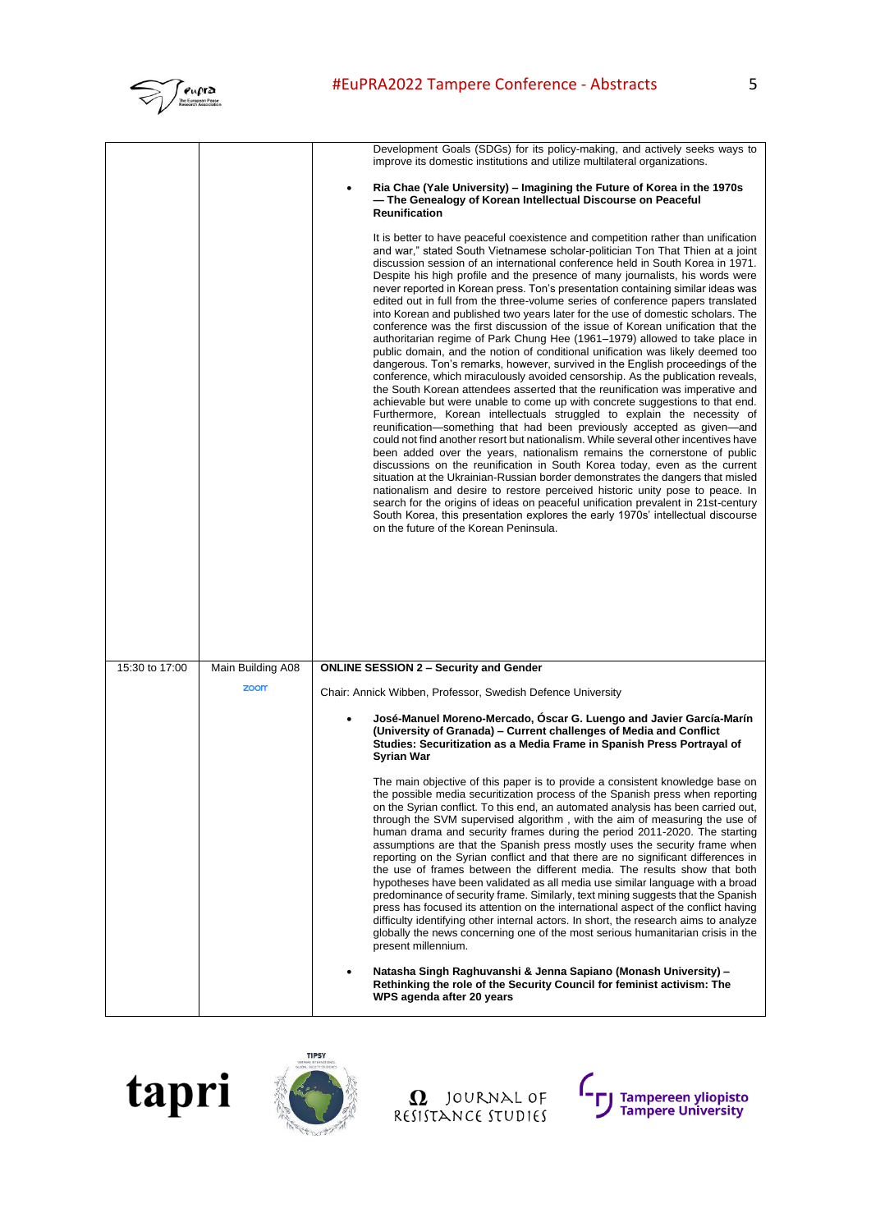

|                |                   | Development Goals (SDGs) for its policy-making, and actively seeks ways to<br>improve its domestic institutions and utilize multilateral organizations.                                                                                                                                                                                                                                                                                                                                                                                                                                                                                                                                                                                                                                                                                                                                                                                                                                                                                                                                                                                                                                                                                                                                                                                                                                                                                                                                                                                                                                                                                                                                                                                                                                                                                                                                                                                                                          |
|----------------|-------------------|----------------------------------------------------------------------------------------------------------------------------------------------------------------------------------------------------------------------------------------------------------------------------------------------------------------------------------------------------------------------------------------------------------------------------------------------------------------------------------------------------------------------------------------------------------------------------------------------------------------------------------------------------------------------------------------------------------------------------------------------------------------------------------------------------------------------------------------------------------------------------------------------------------------------------------------------------------------------------------------------------------------------------------------------------------------------------------------------------------------------------------------------------------------------------------------------------------------------------------------------------------------------------------------------------------------------------------------------------------------------------------------------------------------------------------------------------------------------------------------------------------------------------------------------------------------------------------------------------------------------------------------------------------------------------------------------------------------------------------------------------------------------------------------------------------------------------------------------------------------------------------------------------------------------------------------------------------------------------------|
|                |                   | Ria Chae (Yale University) – Imagining the Future of Korea in the 1970s<br>- The Genealogy of Korean Intellectual Discourse on Peaceful<br><b>Reunification</b>                                                                                                                                                                                                                                                                                                                                                                                                                                                                                                                                                                                                                                                                                                                                                                                                                                                                                                                                                                                                                                                                                                                                                                                                                                                                                                                                                                                                                                                                                                                                                                                                                                                                                                                                                                                                                  |
|                |                   | It is better to have peaceful coexistence and competition rather than unification<br>and war," stated South Vietnamese scholar-politician Ton That Thien at a joint<br>discussion session of an international conference held in South Korea in 1971.<br>Despite his high profile and the presence of many journalists, his words were<br>never reported in Korean press. Ton's presentation containing similar ideas was<br>edited out in full from the three-volume series of conference papers translated<br>into Korean and published two years later for the use of domestic scholars. The<br>conference was the first discussion of the issue of Korean unification that the<br>authoritarian regime of Park Chung Hee (1961-1979) allowed to take place in<br>public domain, and the notion of conditional unification was likely deemed too<br>dangerous. Ton's remarks, however, survived in the English proceedings of the<br>conference, which miraculously avoided censorship. As the publication reveals,<br>the South Korean attendees asserted that the reunification was imperative and<br>achievable but were unable to come up with concrete suggestions to that end.<br>Furthermore, Korean intellectuals struggled to explain the necessity of<br>reunification—something that had been previously accepted as given—and<br>could not find another resort but nationalism. While several other incentives have<br>been added over the years, nationalism remains the cornerstone of public<br>discussions on the reunification in South Korea today, even as the current<br>situation at the Ukrainian-Russian border demonstrates the dangers that misled<br>nationalism and desire to restore perceived historic unity pose to peace. In<br>search for the origins of ideas on peaceful unification prevalent in 21st-century<br>South Korea, this presentation explores the early 1970s' intellectual discourse<br>on the future of the Korean Peninsula. |
| 15:30 to 17:00 | Main Building A08 | <b>ONLINE SESSION 2 - Security and Gender</b>                                                                                                                                                                                                                                                                                                                                                                                                                                                                                                                                                                                                                                                                                                                                                                                                                                                                                                                                                                                                                                                                                                                                                                                                                                                                                                                                                                                                                                                                                                                                                                                                                                                                                                                                                                                                                                                                                                                                    |
|                | zoom              | Chair: Annick Wibben, Professor, Swedish Defence University                                                                                                                                                                                                                                                                                                                                                                                                                                                                                                                                                                                                                                                                                                                                                                                                                                                                                                                                                                                                                                                                                                                                                                                                                                                                                                                                                                                                                                                                                                                                                                                                                                                                                                                                                                                                                                                                                                                      |
|                |                   | José-Manuel Moreno-Mercado, Oscar G. Luengo and Javier García-Marín<br>(University of Granada) – Current challenges of Media and Conflict<br>Studies: Securitization as a Media Frame in Spanish Press Portrayal of<br><b>Syrian War</b>                                                                                                                                                                                                                                                                                                                                                                                                                                                                                                                                                                                                                                                                                                                                                                                                                                                                                                                                                                                                                                                                                                                                                                                                                                                                                                                                                                                                                                                                                                                                                                                                                                                                                                                                         |
|                |                   | The main objective of this paper is to provide a consistent knowledge base on<br>the possible media securitization process of the Spanish press when reporting<br>on the Syrian conflict. To this end, an automated analysis has been carried out,<br>through the SVM supervised algorithm, with the aim of measuring the use of<br>human drama and security frames during the period 2011-2020. The starting<br>assumptions are that the Spanish press mostly uses the security frame when<br>reporting on the Syrian conflict and that there are no significant differences in<br>the use of frames between the different media. The results show that both<br>hypotheses have been validated as all media use similar language with a broad<br>predominance of security frame. Similarly, text mining suggests that the Spanish<br>press has focused its attention on the international aspect of the conflict having<br>difficulty identifying other internal actors. In short, the research aims to analyze<br>globally the news concerning one of the most serious humanitarian crisis in the<br>present millennium.                                                                                                                                                                                                                                                                                                                                                                                                                                                                                                                                                                                                                                                                                                                                                                                                                                                       |
|                |                   | Natasha Singh Raghuvanshi & Jenna Sapiano (Monash University) –<br>Rethinking the role of the Security Council for feminist activism: The<br>WPS agenda after 20 years                                                                                                                                                                                                                                                                                                                                                                                                                                                                                                                                                                                                                                                                                                                                                                                                                                                                                                                                                                                                                                                                                                                                                                                                                                                                                                                                                                                                                                                                                                                                                                                                                                                                                                                                                                                                           |





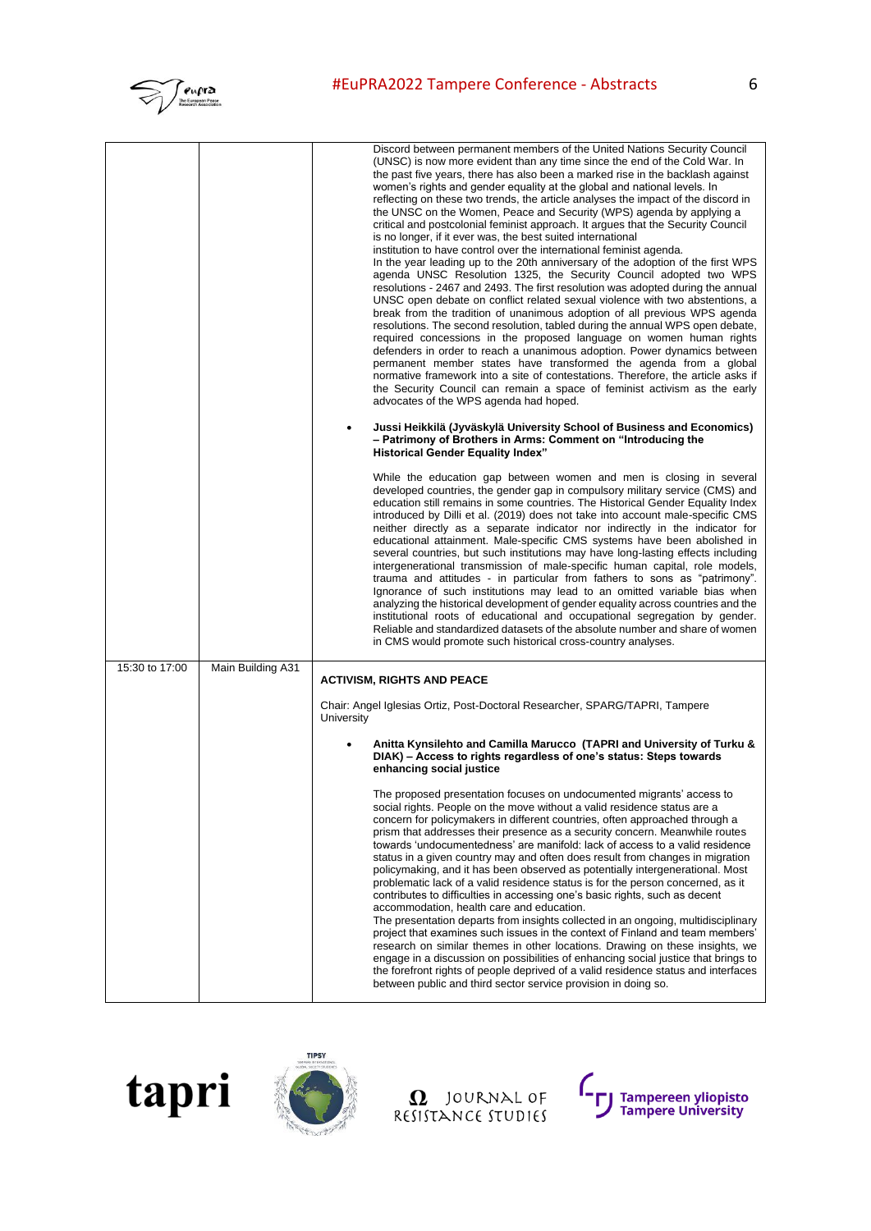

|                |                   | Discord between permanent members of the United Nations Security Council<br>(UNSC) is now more evident than any time since the end of the Cold War. In<br>the past five years, there has also been a marked rise in the backlash against<br>women's rights and gender equality at the global and national levels. In<br>reflecting on these two trends, the article analyses the impact of the discord in<br>the UNSC on the Women, Peace and Security (WPS) agenda by applying a<br>critical and postcolonial feminist approach. It argues that the Security Council<br>is no longer, if it ever was, the best suited international<br>institution to have control over the international feminist agenda.<br>In the year leading up to the 20th anniversary of the adoption of the first WPS<br>agenda UNSC Resolution 1325, the Security Council adopted two WPS<br>resolutions - 2467 and 2493. The first resolution was adopted during the annual<br>UNSC open debate on conflict related sexual violence with two abstentions, a<br>break from the tradition of unanimous adoption of all previous WPS agenda<br>resolutions. The second resolution, tabled during the annual WPS open debate,<br>required concessions in the proposed language on women human rights<br>defenders in order to reach a unanimous adoption. Power dynamics between<br>permanent member states have transformed the agenda from a global<br>normative framework into a site of contestations. Therefore, the article asks if<br>the Security Council can remain a space of feminist activism as the early<br>advocates of the WPS agenda had hoped.<br>Jussi Heikkilä (Jyväskylä University School of Business and Economics)<br>٠ |
|----------------|-------------------|------------------------------------------------------------------------------------------------------------------------------------------------------------------------------------------------------------------------------------------------------------------------------------------------------------------------------------------------------------------------------------------------------------------------------------------------------------------------------------------------------------------------------------------------------------------------------------------------------------------------------------------------------------------------------------------------------------------------------------------------------------------------------------------------------------------------------------------------------------------------------------------------------------------------------------------------------------------------------------------------------------------------------------------------------------------------------------------------------------------------------------------------------------------------------------------------------------------------------------------------------------------------------------------------------------------------------------------------------------------------------------------------------------------------------------------------------------------------------------------------------------------------------------------------------------------------------------------------------------------------------------------------------------------------------------------------------------------------|
|                |                   | - Patrimony of Brothers in Arms: Comment on "Introducing the<br><b>Historical Gender Equality Index"</b><br>While the education gap between women and men is closing in several<br>developed countries, the gender gap in compulsory military service (CMS) and<br>education still remains in some countries. The Historical Gender Equality Index<br>introduced by Dilli et al. (2019) does not take into account male-specific CMS<br>neither directly as a separate indicator nor indirectly in the indicator for<br>educational attainment. Male-specific CMS systems have been abolished in<br>several countries, but such institutions may have long-lasting effects including<br>intergenerational transmission of male-specific human capital, role models,<br>trauma and attitudes - in particular from fathers to sons as "patrimony".<br>Ignorance of such institutions may lead to an omitted variable bias when<br>analyzing the historical development of gender equality across countries and the<br>institutional roots of educational and occupational segregation by gender.<br>Reliable and standardized datasets of the absolute number and share of women                                                                                                                                                                                                                                                                                                                                                                                                                                                                                                                                         |
| 15:30 to 17:00 | Main Building A31 | in CMS would promote such historical cross-country analyses.                                                                                                                                                                                                                                                                                                                                                                                                                                                                                                                                                                                                                                                                                                                                                                                                                                                                                                                                                                                                                                                                                                                                                                                                                                                                                                                                                                                                                                                                                                                                                                                                                                                           |
|                |                   | <b>ACTIVISM, RIGHTS AND PEACE</b><br>Chair: Angel Iglesias Ortiz, Post-Doctoral Researcher, SPARG/TAPRI, Tampere                                                                                                                                                                                                                                                                                                                                                                                                                                                                                                                                                                                                                                                                                                                                                                                                                                                                                                                                                                                                                                                                                                                                                                                                                                                                                                                                                                                                                                                                                                                                                                                                       |
|                |                   | University                                                                                                                                                                                                                                                                                                                                                                                                                                                                                                                                                                                                                                                                                                                                                                                                                                                                                                                                                                                                                                                                                                                                                                                                                                                                                                                                                                                                                                                                                                                                                                                                                                                                                                             |
|                |                   | Anitta Kynsilehto and Camilla Marucco (TAPRI and University of Turku &<br>DIAK) - Access to rights regardless of one's status: Steps towards<br>enhancing social justice                                                                                                                                                                                                                                                                                                                                                                                                                                                                                                                                                                                                                                                                                                                                                                                                                                                                                                                                                                                                                                                                                                                                                                                                                                                                                                                                                                                                                                                                                                                                               |
|                |                   | The proposed presentation focuses on undocumented migrants' access to<br>social rights. People on the move without a valid residence status are a<br>concern for policymakers in different countries, often approached through a<br>prism that addresses their presence as a security concern. Meanwhile routes<br>towards 'undocumentedness' are manifold: lack of access to a valid residence<br>status in a given country may and often does result from changes in migration<br>policymaking, and it has been observed as potentially intergenerational. Most<br>problematic lack of a valid residence status is for the person concerned, as it<br>contributes to difficulties in accessing one's basic rights, such as decent<br>accommodation, health care and education.<br>The presentation departs from insights collected in an ongoing, multidisciplinary<br>project that examines such issues in the context of Finland and team members'<br>research on similar themes in other locations. Drawing on these insights, we<br>engage in a discussion on possibilities of enhancing social justice that brings to<br>the forefront rights of people deprived of a valid residence status and interfaces<br>between public and third sector service provision in doing so.                                                                                                                                                                                                                                                                                                                                                                                                                                   |





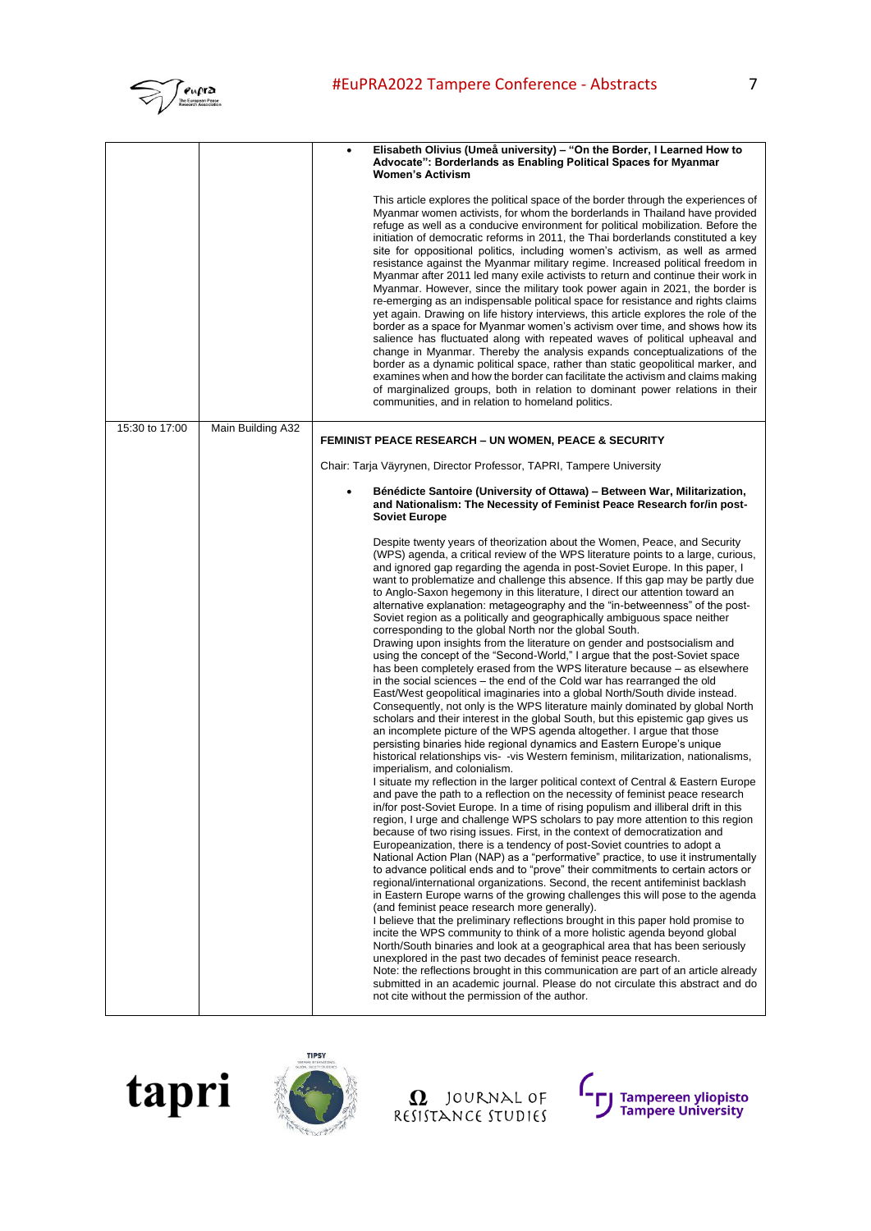

|                |                   | Elisabeth Olivius (Umeå university) - "On the Border, I Learned How to<br>٠<br>Advocate": Borderlands as Enabling Political Spaces for Myanmar<br><b>Women's Activism</b>                                                                                                                                                                                                                                                                                                                                                                                                                                                                                                                                                                                                                                                                                                                                                                                                                                                                                                                                                                                                                                                                                                                                                                                                                                                                                                                                                                                                                                                                                                                                                                                                                                                                                                                                                                                                                                                                                                                                                                                                                                                                                                                                                                                                                                                                                                                                                                                                                                                                                                                                                                                                                                                                                                                                                                          |
|----------------|-------------------|----------------------------------------------------------------------------------------------------------------------------------------------------------------------------------------------------------------------------------------------------------------------------------------------------------------------------------------------------------------------------------------------------------------------------------------------------------------------------------------------------------------------------------------------------------------------------------------------------------------------------------------------------------------------------------------------------------------------------------------------------------------------------------------------------------------------------------------------------------------------------------------------------------------------------------------------------------------------------------------------------------------------------------------------------------------------------------------------------------------------------------------------------------------------------------------------------------------------------------------------------------------------------------------------------------------------------------------------------------------------------------------------------------------------------------------------------------------------------------------------------------------------------------------------------------------------------------------------------------------------------------------------------------------------------------------------------------------------------------------------------------------------------------------------------------------------------------------------------------------------------------------------------------------------------------------------------------------------------------------------------------------------------------------------------------------------------------------------------------------------------------------------------------------------------------------------------------------------------------------------------------------------------------------------------------------------------------------------------------------------------------------------------------------------------------------------------------------------------------------------------------------------------------------------------------------------------------------------------------------------------------------------------------------------------------------------------------------------------------------------------------------------------------------------------------------------------------------------------------------------------------------------------------------------------------------------------|
|                |                   | This article explores the political space of the border through the experiences of<br>Myanmar women activists, for whom the borderlands in Thailand have provided<br>refuge as well as a conducive environment for political mobilization. Before the<br>initiation of democratic reforms in 2011, the Thai borderlands constituted a key<br>site for oppositional politics, including women's activism, as well as armed<br>resistance against the Myanmar military regime. Increased political freedom in<br>Myanmar after 2011 led many exile activists to return and continue their work in<br>Myanmar. However, since the military took power again in 2021, the border is<br>re-emerging as an indispensable political space for resistance and rights claims<br>yet again. Drawing on life history interviews, this article explores the role of the<br>border as a space for Myanmar women's activism over time, and shows how its<br>salience has fluctuated along with repeated waves of political upheaval and<br>change in Myanmar. Thereby the analysis expands conceptualizations of the<br>border as a dynamic political space, rather than static geopolitical marker, and<br>examines when and how the border can facilitate the activism and claims making<br>of marginalized groups, both in relation to dominant power relations in their<br>communities, and in relation to homeland politics.                                                                                                                                                                                                                                                                                                                                                                                                                                                                                                                                                                                                                                                                                                                                                                                                                                                                                                                                                                                                                                                                                                                                                                                                                                                                                                                                                                                                                                                                                                                                |
| 15:30 to 17:00 | Main Building A32 | <b>FEMINIST PEACE RESEARCH – UN WOMEN, PEACE &amp; SECURITY</b>                                                                                                                                                                                                                                                                                                                                                                                                                                                                                                                                                                                                                                                                                                                                                                                                                                                                                                                                                                                                                                                                                                                                                                                                                                                                                                                                                                                                                                                                                                                                                                                                                                                                                                                                                                                                                                                                                                                                                                                                                                                                                                                                                                                                                                                                                                                                                                                                                                                                                                                                                                                                                                                                                                                                                                                                                                                                                    |
|                |                   | Chair: Tarja Väyrynen, Director Professor, TAPRI, Tampere University                                                                                                                                                                                                                                                                                                                                                                                                                                                                                                                                                                                                                                                                                                                                                                                                                                                                                                                                                                                                                                                                                                                                                                                                                                                                                                                                                                                                                                                                                                                                                                                                                                                                                                                                                                                                                                                                                                                                                                                                                                                                                                                                                                                                                                                                                                                                                                                                                                                                                                                                                                                                                                                                                                                                                                                                                                                                               |
|                |                   | Bénédicte Santoire (University of Ottawa) – Between War, Militarization,<br>and Nationalism: The Necessity of Feminist Peace Research for/in post-<br><b>Soviet Europe</b>                                                                                                                                                                                                                                                                                                                                                                                                                                                                                                                                                                                                                                                                                                                                                                                                                                                                                                                                                                                                                                                                                                                                                                                                                                                                                                                                                                                                                                                                                                                                                                                                                                                                                                                                                                                                                                                                                                                                                                                                                                                                                                                                                                                                                                                                                                                                                                                                                                                                                                                                                                                                                                                                                                                                                                         |
|                |                   | Despite twenty years of theorization about the Women, Peace, and Security<br>(WPS) agenda, a critical review of the WPS literature points to a large, curious,<br>and ignored gap regarding the agenda in post-Soviet Europe. In this paper, I<br>want to problematize and challenge this absence. If this gap may be partly due<br>to Anglo-Saxon hegemony in this literature, I direct our attention toward an<br>alternative explanation: metageography and the "in-betweenness" of the post-<br>Soviet region as a politically and geographically ambiguous space neither<br>corresponding to the global North nor the global South.<br>Drawing upon insights from the literature on gender and postsocialism and<br>using the concept of the "Second-World," I argue that the post-Soviet space<br>has been completely erased from the WPS literature because – as elsewhere<br>in the social sciences – the end of the Cold war has rearranged the old<br>East/West geopolitical imaginaries into a global North/South divide instead.<br>Consequently, not only is the WPS literature mainly dominated by global North<br>scholars and their interest in the global South, but this epistemic gap gives us<br>an incomplete picture of the WPS agenda altogether. I arque that those<br>persisting binaries hide regional dynamics and Eastern Europe's unique<br>historical relationships vis- - vis Western feminism, militarization, nationalisms,<br>imperialism, and colonialism.<br>I situate my reflection in the larger political context of Central & Eastern Europe<br>and pave the path to a reflection on the necessity of feminist peace research<br>in/for post-Soviet Europe. In a time of rising populism and illiberal drift in this<br>region, I urge and challenge WPS scholars to pay more attention to this region<br>because of two rising issues. First, in the context of democratization and<br>Europeanization, there is a tendency of post-Soviet countries to adopt a<br>National Action Plan (NAP) as a "performative" practice, to use it instrumentally<br>to advance political ends and to "prove" their commitments to certain actors or<br>regional/international organizations. Second, the recent antifeminist backlash<br>in Eastern Europe warns of the growing challenges this will pose to the agenda<br>(and feminist peace research more generally).<br>I believe that the preliminary reflections brought in this paper hold promise to<br>incite the WPS community to think of a more holistic agenda beyond global<br>North/South binaries and look at a geographical area that has been seriously<br>unexplored in the past two decades of feminist peace research.<br>Note: the reflections brought in this communication are part of an article already<br>submitted in an academic journal. Please do not circulate this abstract and do<br>not cite without the permission of the author. |





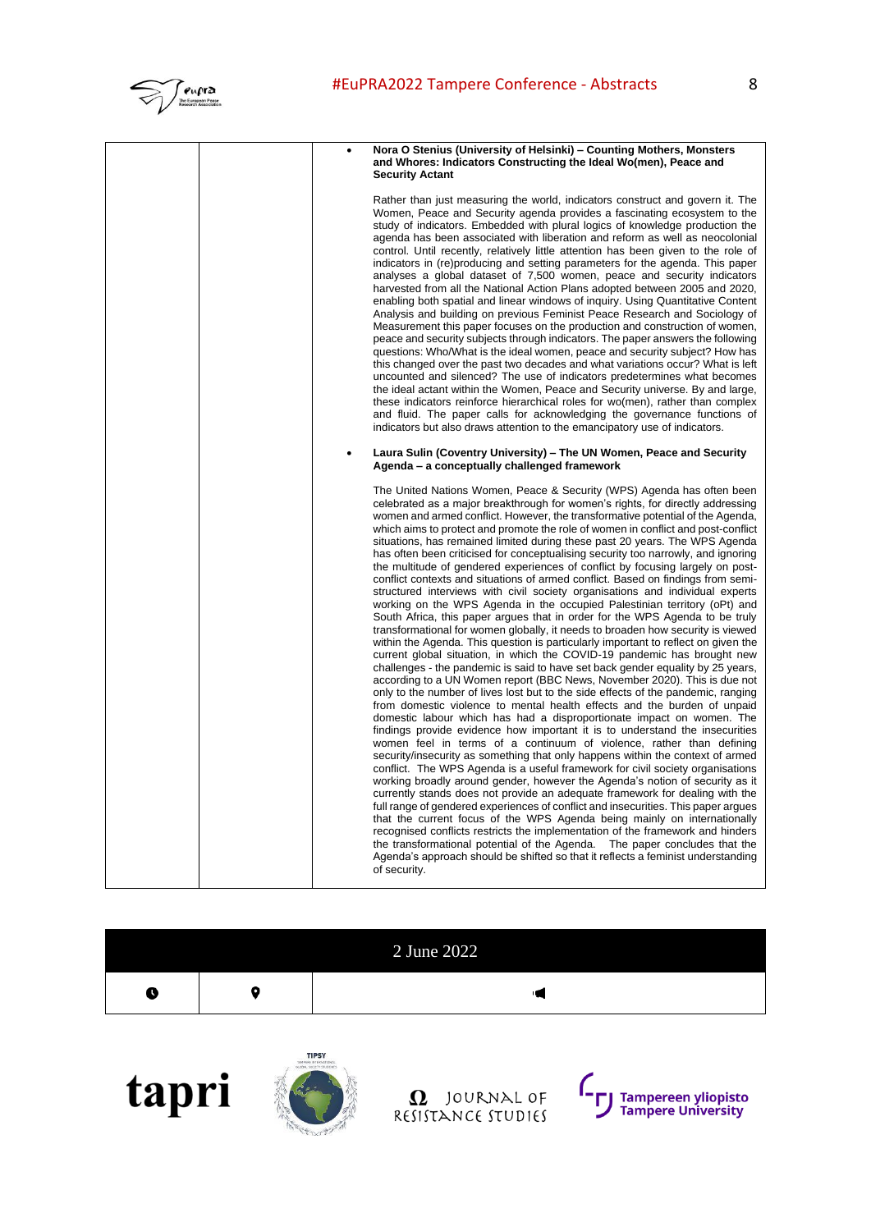

| Nora O Stenius (University of Helsinki) - Counting Mothers, Monsters<br>and Whores: Indicators Constructing the Ideal Wo(men), Peace and<br><b>Security Actant</b>                                                                                                                                                                                                                                                                                                                                                                                                                                                                                                                                                                                                                                                                                                                                                                                                                                                                                                                                                                                                                                                                                                                                                                                                                                                                                                                                                                                                                                                                                                                                                                                                                                                                                                                                                                                                                                                                                                                                                                                                                                                                                                                                                                                                                                                                                                                                                       |
|--------------------------------------------------------------------------------------------------------------------------------------------------------------------------------------------------------------------------------------------------------------------------------------------------------------------------------------------------------------------------------------------------------------------------------------------------------------------------------------------------------------------------------------------------------------------------------------------------------------------------------------------------------------------------------------------------------------------------------------------------------------------------------------------------------------------------------------------------------------------------------------------------------------------------------------------------------------------------------------------------------------------------------------------------------------------------------------------------------------------------------------------------------------------------------------------------------------------------------------------------------------------------------------------------------------------------------------------------------------------------------------------------------------------------------------------------------------------------------------------------------------------------------------------------------------------------------------------------------------------------------------------------------------------------------------------------------------------------------------------------------------------------------------------------------------------------------------------------------------------------------------------------------------------------------------------------------------------------------------------------------------------------------------------------------------------------------------------------------------------------------------------------------------------------------------------------------------------------------------------------------------------------------------------------------------------------------------------------------------------------------------------------------------------------------------------------------------------------------------------------------------------------|
| Rather than just measuring the world, indicators construct and govern it. The<br>Women, Peace and Security agenda provides a fascinating ecosystem to the<br>study of indicators. Embedded with plural logics of knowledge production the<br>agenda has been associated with liberation and reform as well as neocolonial<br>control. Until recently, relatively little attention has been given to the role of<br>indicators in (re)producing and setting parameters for the agenda. This paper<br>analyses a global dataset of 7,500 women, peace and security indicators<br>harvested from all the National Action Plans adopted between 2005 and 2020,<br>enabling both spatial and linear windows of inguiry. Using Quantitative Content<br>Analysis and building on previous Feminist Peace Research and Sociology of<br>Measurement this paper focuses on the production and construction of women,<br>peace and security subjects through indicators. The paper answers the following<br>questions: Who/What is the ideal women, peace and security subject? How has<br>this changed over the past two decades and what variations occur? What is left<br>uncounted and silenced? The use of indicators predetermines what becomes<br>the ideal actant within the Women, Peace and Security universe. By and large,<br>these indicators reinforce hierarchical roles for wo(men), rather than complex<br>and fluid. The paper calls for acknowledging the governance functions of<br>indicators but also draws attention to the emancipatory use of indicators.                                                                                                                                                                                                                                                                                                                                                                                                                                                                                                                                                                                                                                                                                                                                                                                                                                                                                                                                                  |
| Laura Sulin (Coventry University) – The UN Women, Peace and Security<br>Agenda - a conceptually challenged framework                                                                                                                                                                                                                                                                                                                                                                                                                                                                                                                                                                                                                                                                                                                                                                                                                                                                                                                                                                                                                                                                                                                                                                                                                                                                                                                                                                                                                                                                                                                                                                                                                                                                                                                                                                                                                                                                                                                                                                                                                                                                                                                                                                                                                                                                                                                                                                                                     |
| The United Nations Women, Peace & Security (WPS) Agenda has often been<br>celebrated as a major breakthrough for women's rights, for directly addressing<br>women and armed conflict. However, the transformative potential of the Agenda,<br>which aims to protect and promote the role of women in conflict and post-conflict<br>situations, has remained limited during these past 20 years. The WPS Agenda<br>has often been criticised for conceptualising security too narrowly, and ignoring<br>the multitude of gendered experiences of conflict by focusing largely on post-<br>conflict contexts and situations of armed conflict. Based on findings from semi-<br>structured interviews with civil society organisations and individual experts<br>working on the WPS Agenda in the occupied Palestinian territory (oPt) and<br>South Africa, this paper argues that in order for the WPS Agenda to be truly<br>transformational for women globally, it needs to broaden how security is viewed<br>within the Agenda. This question is particularly important to reflect on given the<br>current global situation, in which the COVID-19 pandemic has brought new<br>challenges - the pandemic is said to have set back gender equality by 25 years,<br>according to a UN Women report (BBC News, November 2020). This is due not<br>only to the number of lives lost but to the side effects of the pandemic, ranging<br>from domestic violence to mental health effects and the burden of unpaid<br>domestic labour which has had a disproportionate impact on women. The<br>findings provide evidence how important it is to understand the insecurities<br>women feel in terms of a continuum of violence, rather than defining<br>security/insecurity as something that only happens within the context of armed<br>conflict. The WPS Agenda is a useful framework for civil society organisations<br>working broadly around gender, however the Agenda's notion of security as it<br>currently stands does not provide an adequate framework for dealing with the<br>full range of gendered experiences of conflict and insecurities. This paper argues<br>that the current focus of the WPS Agenda being mainly on internationally<br>recognised conflicts restricts the implementation of the framework and hinders<br>the transformational potential of the Agenda. The paper concludes that the<br>Agenda's approach should be shifted so that it reflects a feminist understanding<br>of security. |

|                                                                                 |   | 2 June 2022 |  |  |
|---------------------------------------------------------------------------------|---|-------------|--|--|
| O                                                                               | О | - 16        |  |  |
| <b>TIPSY</b><br>TAMPERE INTERNATIONAL<br>GLOBAL SOCIETY STUDENTS<br><b>CELL</b> |   |             |  |  |

tapri



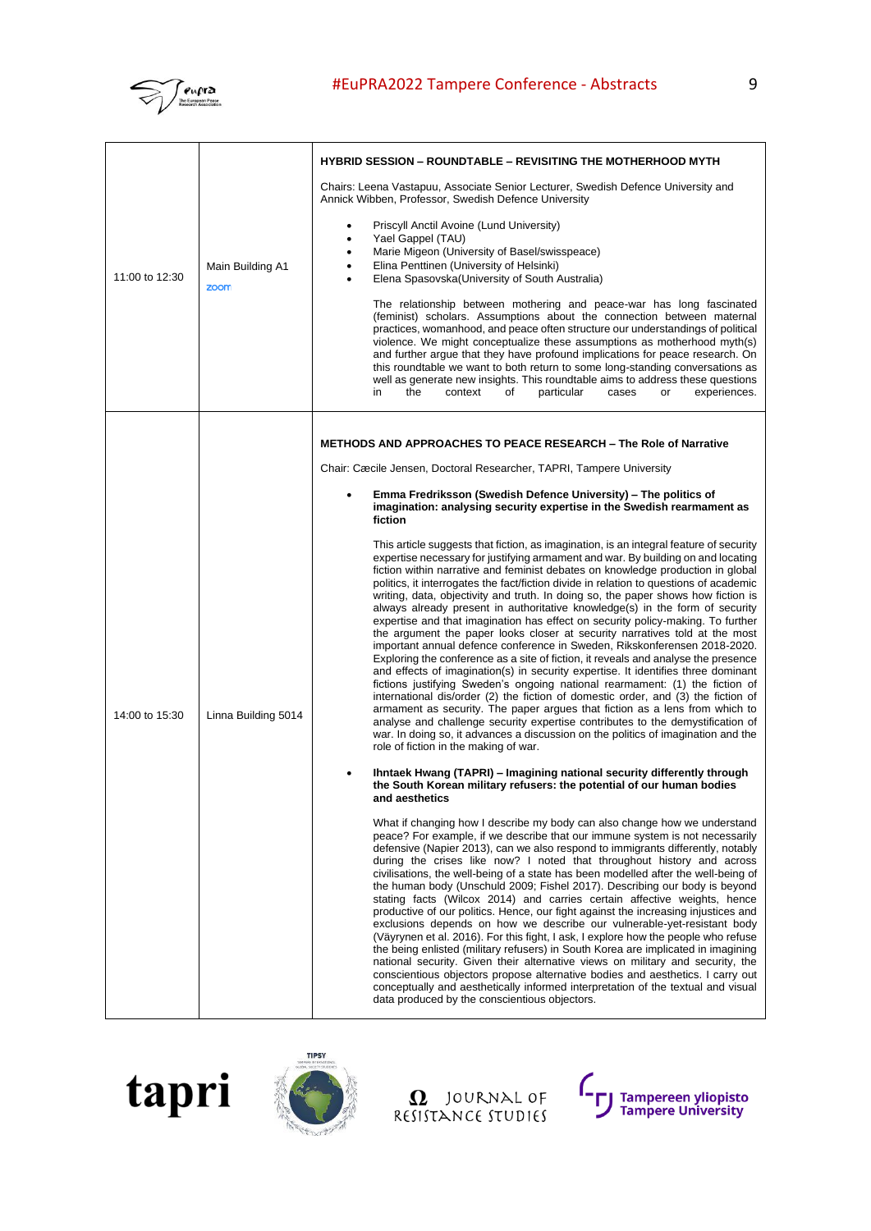

|                | Main Building A1<br>zoom | HYBRID SESSION – ROUNDTABLE – REVISITING THE MOTHERHOOD MYTH                                                                                                                                                                                                                                                                                                                                                                                                                                                                                                                                                                                                                                                                                                                                                                                                                                                                                                                                                                                                                                                                                                                                                                                                                                                                                                                                                               |
|----------------|--------------------------|----------------------------------------------------------------------------------------------------------------------------------------------------------------------------------------------------------------------------------------------------------------------------------------------------------------------------------------------------------------------------------------------------------------------------------------------------------------------------------------------------------------------------------------------------------------------------------------------------------------------------------------------------------------------------------------------------------------------------------------------------------------------------------------------------------------------------------------------------------------------------------------------------------------------------------------------------------------------------------------------------------------------------------------------------------------------------------------------------------------------------------------------------------------------------------------------------------------------------------------------------------------------------------------------------------------------------------------------------------------------------------------------------------------------------|
| 11:00 to 12:30 |                          | Chairs: Leena Vastapuu, Associate Senior Lecturer, Swedish Defence University and<br>Annick Wibben, Professor, Swedish Defence University                                                                                                                                                                                                                                                                                                                                                                                                                                                                                                                                                                                                                                                                                                                                                                                                                                                                                                                                                                                                                                                                                                                                                                                                                                                                                  |
|                |                          | Priscyll Anctil Avoine (Lund University)<br>Yael Gappel (TAU)<br>٠<br>Marie Migeon (University of Basel/swisspeace)<br>٠<br>Elina Penttinen (University of Helsinki)<br>٠<br>Elena Spasovska(University of South Australia)                                                                                                                                                                                                                                                                                                                                                                                                                                                                                                                                                                                                                                                                                                                                                                                                                                                                                                                                                                                                                                                                                                                                                                                                |
|                |                          | The relationship between mothering and peace-war has long fascinated<br>(feminist) scholars. Assumptions about the connection between maternal<br>practices, womanhood, and peace often structure our understandings of political<br>violence. We might conceptualize these assumptions as motherhood myth(s)<br>and further argue that they have profound implications for peace research. On<br>this roundtable we want to both return to some long-standing conversations as<br>well as generate new insights. This roundtable aims to address these questions<br>the<br>in<br>context<br>particular<br>experiences.<br>οf<br>cases<br>or                                                                                                                                                                                                                                                                                                                                                                                                                                                                                                                                                                                                                                                                                                                                                                               |
|                |                          | <b>METHODS AND APPROACHES TO PEACE RESEARCH - The Role of Narrative</b>                                                                                                                                                                                                                                                                                                                                                                                                                                                                                                                                                                                                                                                                                                                                                                                                                                                                                                                                                                                                                                                                                                                                                                                                                                                                                                                                                    |
|                |                          | Chair: Cæcile Jensen, Doctoral Researcher, TAPRI, Tampere University                                                                                                                                                                                                                                                                                                                                                                                                                                                                                                                                                                                                                                                                                                                                                                                                                                                                                                                                                                                                                                                                                                                                                                                                                                                                                                                                                       |
| 14:00 to 15:30 | Linna Building 5014      | Emma Fredriksson (Swedish Defence University) - The politics of<br>imagination: analysing security expertise in the Swedish rearmament as<br>fiction                                                                                                                                                                                                                                                                                                                                                                                                                                                                                                                                                                                                                                                                                                                                                                                                                                                                                                                                                                                                                                                                                                                                                                                                                                                                       |
|                |                          | This article suggests that fiction, as imagination, is an integral feature of security<br>expertise necessary for justifying armament and war. By building on and locating<br>fiction within narrative and feminist debates on knowledge production in global<br>politics, it interrogates the fact/fiction divide in relation to questions of academic<br>writing, data, objectivity and truth. In doing so, the paper shows how fiction is<br>always already present in authoritative knowledge(s) in the form of security<br>expertise and that imagination has effect on security policy-making. To further<br>the argument the paper looks closer at security narratives told at the most<br>important annual defence conference in Sweden, Rikskonferensen 2018-2020.<br>Exploring the conference as a site of fiction, it reveals and analyse the presence<br>and effects of imagination(s) in security expertise. It identifies three dominant<br>fictions justifying Sweden's ongoing national rearmament: (1) the fiction of<br>international dis/order (2) the fiction of domestic order, and (3) the fiction of<br>armament as security. The paper argues that fiction as a lens from which to<br>analyse and challenge security expertise contributes to the demystification of<br>war. In doing so, it advances a discussion on the politics of imagination and the<br>role of fiction in the making of war. |
|                |                          | Ihntaek Hwang (TAPRI) - Imagining national security differently through<br>the South Korean military refusers: the potential of our human bodies<br>and aesthetics                                                                                                                                                                                                                                                                                                                                                                                                                                                                                                                                                                                                                                                                                                                                                                                                                                                                                                                                                                                                                                                                                                                                                                                                                                                         |
|                |                          | What if changing how I describe my body can also change how we understand<br>peace? For example, if we describe that our immune system is not necessarily<br>defensive (Napier 2013), can we also respond to immigrants differently, notably<br>during the crises like now? I noted that throughout history and across<br>civilisations, the well-being of a state has been modelled after the well-being of<br>the human body (Unschuld 2009; Fishel 2017). Describing our body is beyond<br>stating facts (Wilcox 2014) and carries certain affective weights, hence<br>productive of our politics. Hence, our fight against the increasing injustices and<br>exclusions depends on how we describe our vulnerable-yet-resistant body<br>(Väyrynen et al. 2016). For this fight, I ask, I explore how the people who refuse<br>the being enlisted (military refusers) in South Korea are implicated in imagining<br>national security. Given their alternative views on military and security, the<br>conscientious objectors propose alternative bodies and aesthetics. I carry out<br>conceptually and aesthetically informed interpretation of the textual and visual<br>data produced by the conscientious objectors.                                                                                                                                                                                                |





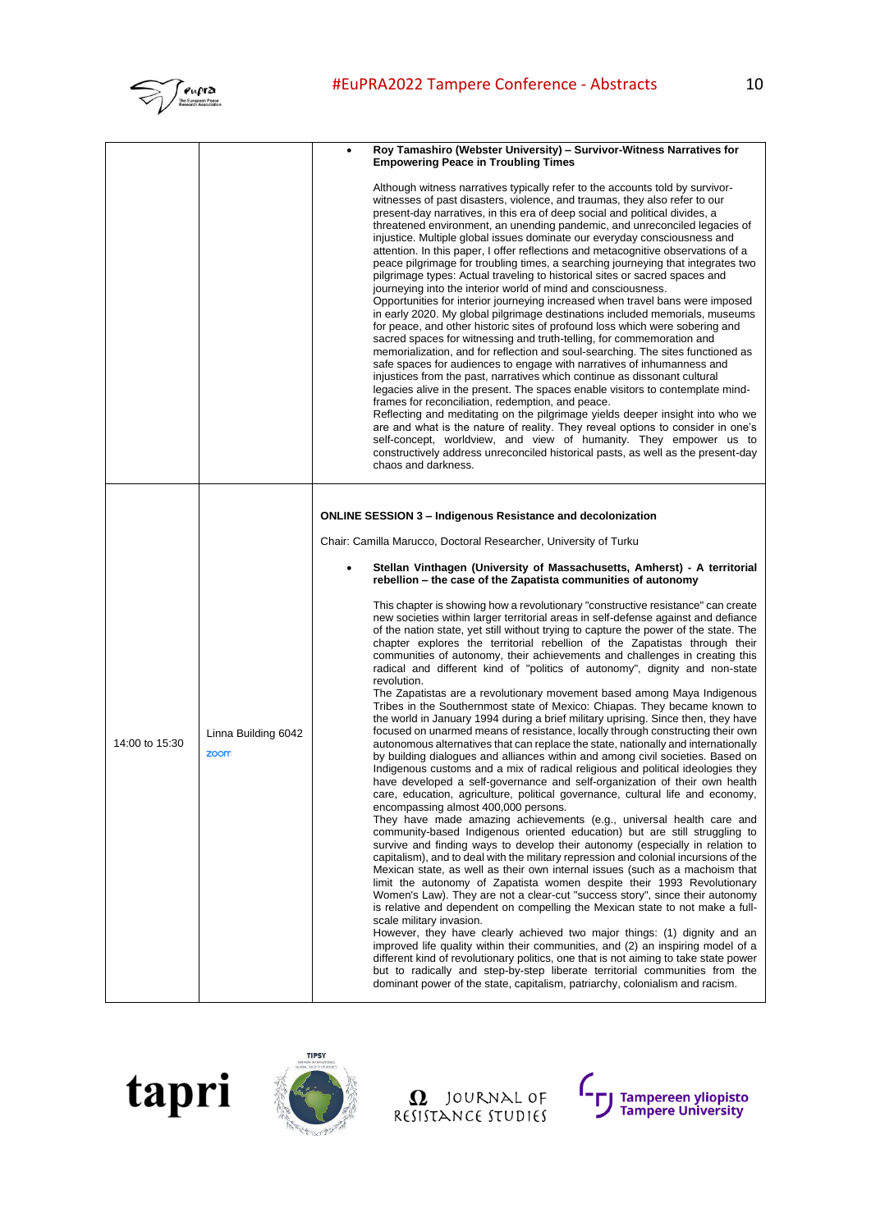

|                |                             | Roy Tamashiro (Webster University) - Survivor-Witness Narratives for<br>$\bullet$<br><b>Empowering Peace in Troubling Times</b>                                                                                                                                                                                                                                                                                                                                                                                                                                                                                                                                                                                                                                                                                                                                                                                                                                                                                                                                                                                                                                                                                                                                                                                                                                                                                                                                                                                                                                                                                                                                                                                                                                                                                                                                                                                                                                                                                                                                                                                                                                                                                                                                                                                                                                                                                                                                                                                                                                                                                                                                                                                                |
|----------------|-----------------------------|--------------------------------------------------------------------------------------------------------------------------------------------------------------------------------------------------------------------------------------------------------------------------------------------------------------------------------------------------------------------------------------------------------------------------------------------------------------------------------------------------------------------------------------------------------------------------------------------------------------------------------------------------------------------------------------------------------------------------------------------------------------------------------------------------------------------------------------------------------------------------------------------------------------------------------------------------------------------------------------------------------------------------------------------------------------------------------------------------------------------------------------------------------------------------------------------------------------------------------------------------------------------------------------------------------------------------------------------------------------------------------------------------------------------------------------------------------------------------------------------------------------------------------------------------------------------------------------------------------------------------------------------------------------------------------------------------------------------------------------------------------------------------------------------------------------------------------------------------------------------------------------------------------------------------------------------------------------------------------------------------------------------------------------------------------------------------------------------------------------------------------------------------------------------------------------------------------------------------------------------------------------------------------------------------------------------------------------------------------------------------------------------------------------------------------------------------------------------------------------------------------------------------------------------------------------------------------------------------------------------------------------------------------------------------------------------------------------------------------|
|                |                             | Although witness narratives typically refer to the accounts told by survivor-<br>witnesses of past disasters, violence, and traumas, they also refer to our<br>present-day narratives, in this era of deep social and political divides, a<br>threatened environment, an unending pandemic, and unreconciled legacies of<br>injustice. Multiple global issues dominate our everyday consciousness and<br>attention. In this paper, I offer reflections and metacognitive observations of a<br>peace pilgrimage for troubling times, a searching journeying that integrates two<br>pilgrimage types: Actual traveling to historical sites or sacred spaces and<br>journeying into the interior world of mind and consciousness.<br>Opportunities for interior journeying increased when travel bans were imposed<br>in early 2020. My global pilgrimage destinations included memorials, museums<br>for peace, and other historic sites of profound loss which were sobering and<br>sacred spaces for witnessing and truth-telling, for commemoration and<br>memorialization, and for reflection and soul-searching. The sites functioned as<br>safe spaces for audiences to engage with narratives of inhumanness and<br>injustices from the past, narratives which continue as dissonant cultural<br>legacies alive in the present. The spaces enable visitors to contemplate mind-<br>frames for reconciliation, redemption, and peace.<br>Reflecting and meditating on the pilgrimage yields deeper insight into who we<br>are and what is the nature of reality. They reveal options to consider in one's<br>self-concept, worldview, and view of humanity. They empower us to<br>constructively address unreconciled historical pasts, as well as the present-day<br>chaos and darkness.                                                                                                                                                                                                                                                                                                                                                                                                                                                                                                                                                                                                                                                                                                                                                                                                                                                                                                                                  |
| 14:00 to 15:30 | Linna Building 6042<br>zoom | <b>ONLINE SESSION 3 - Indigenous Resistance and decolonization</b><br>Chair: Camilla Marucco, Doctoral Researcher, University of Turku<br>Stellan Vinthagen (University of Massachusetts, Amherst) - A territorial<br>rebellion – the case of the Zapatista communities of autonomy<br>This chapter is showing how a revolutionary "constructive resistance" can create<br>new societies within larger territorial areas in self-defense against and defiance<br>of the nation state, yet still without trying to capture the power of the state. The<br>chapter explores the territorial rebellion of the Zapatistas through their<br>communities of autonomy, their achievements and challenges in creating this<br>radical and different kind of "politics of autonomy", dignity and non-state<br>revolution.<br>The Zapatistas are a revolutionary movement based among Maya Indigenous<br>Tribes in the Southernmost state of Mexico: Chiapas. They became known to<br>the world in January 1994 during a brief military uprising. Since then, they have<br>focused on unarmed means of resistance, locally through constructing their own<br>autonomous alternatives that can replace the state, nationally and internationally<br>by building dialogues and alliances within and among civil societies. Based on<br>Indigenous customs and a mix of radical religious and political ideologies they<br>have developed a self-governance and self-organization of their own health<br>care, education, agriculture, political governance, cultural life and economy,<br>encompassing almost 400,000 persons.<br>They have made amazing achievements (e.g., universal health care and<br>community-based Indigenous oriented education) but are still struggling to<br>survive and finding ways to develop their autonomy (especially in relation to<br>capitalism), and to deal with the military repression and colonial incursions of the<br>Mexican state, as well as their own internal issues (such as a machoism that<br>limit the autonomy of Zapatista women despite their 1993 Revolutionary<br>Women's Law). They are not a clear-cut "success story", since their autonomy<br>is relative and dependent on compelling the Mexican state to not make a full-<br>scale military invasion.<br>However, they have clearly achieved two major things: (1) dignity and an<br>improved life quality within their communities, and (2) an inspiring model of a<br>different kind of revolutionary politics, one that is not aiming to take state power<br>but to radically and step-by-step liberate territorial communities from the<br>dominant power of the state, capitalism, patriarchy, colonialism and racism. |





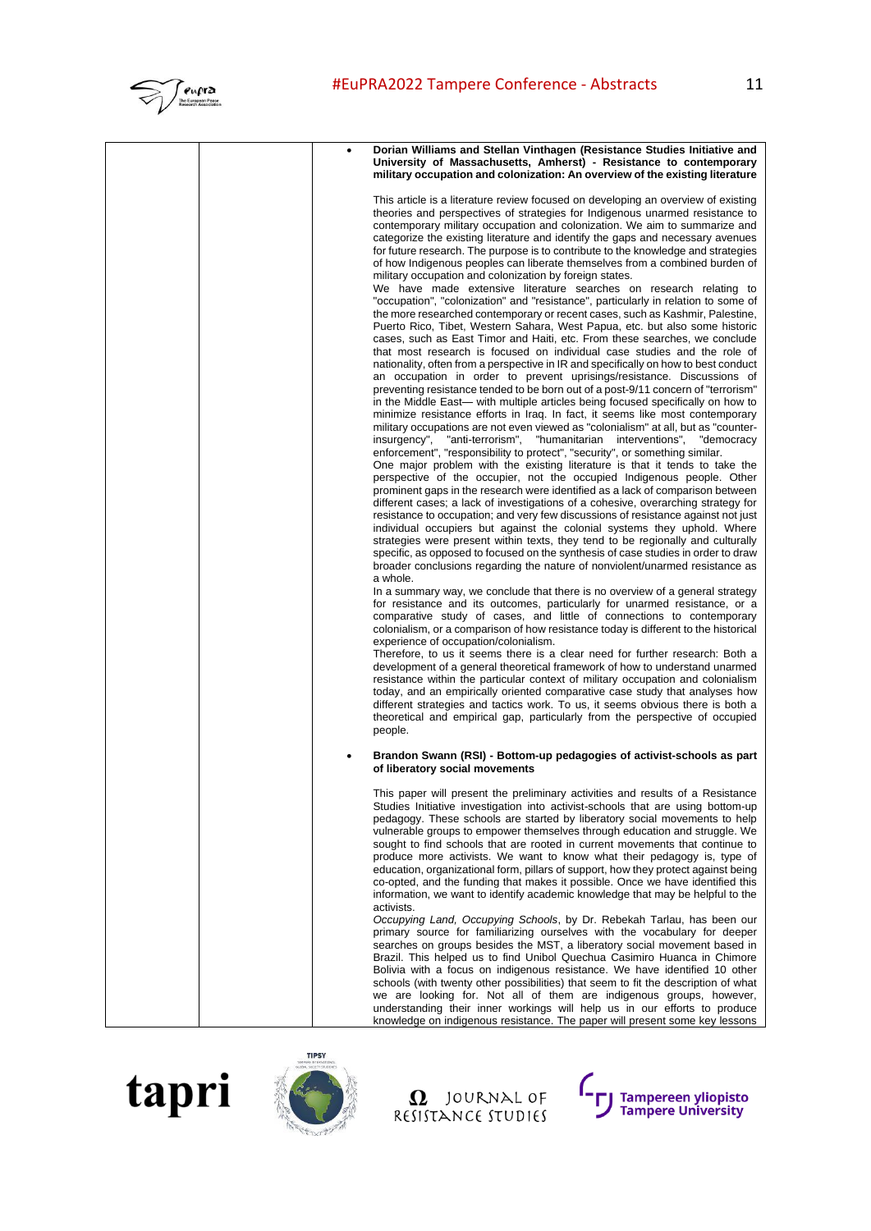

|  | Dorian Williams and Stellan Vinthagen (Resistance Studies Initiative and<br>University of Massachusetts, Amherst) - Resistance to contemporary<br>military occupation and colonization: An overview of the existing literature                                                                                                                                                                                                                                                                                                                                                                                                                                                                                                                                                                                                                                                                                                                                                                                                                                                                                                                                                                                                                                                                                                                                                                                                                                                                                                                                                                                                                                                                                                                                                                                            |
|--|---------------------------------------------------------------------------------------------------------------------------------------------------------------------------------------------------------------------------------------------------------------------------------------------------------------------------------------------------------------------------------------------------------------------------------------------------------------------------------------------------------------------------------------------------------------------------------------------------------------------------------------------------------------------------------------------------------------------------------------------------------------------------------------------------------------------------------------------------------------------------------------------------------------------------------------------------------------------------------------------------------------------------------------------------------------------------------------------------------------------------------------------------------------------------------------------------------------------------------------------------------------------------------------------------------------------------------------------------------------------------------------------------------------------------------------------------------------------------------------------------------------------------------------------------------------------------------------------------------------------------------------------------------------------------------------------------------------------------------------------------------------------------------------------------------------------------|
|  | This article is a literature review focused on developing an overview of existing<br>theories and perspectives of strategies for Indigenous unarmed resistance to<br>contemporary military occupation and colonization. We aim to summarize and<br>categorize the existing literature and identify the gaps and necessary avenues<br>for future research. The purpose is to contribute to the knowledge and strategies<br>of how Indigenous peoples can liberate themselves from a combined burden of<br>military occupation and colonization by foreign states.<br>We have made extensive literature searches on research relating to<br>"occupation", "colonization" and "resistance", particularly in relation to some of<br>the more researched contemporary or recent cases, such as Kashmir, Palestine,<br>Puerto Rico, Tibet, Western Sahara, West Papua, etc. but also some historic<br>cases, such as East Timor and Haiti, etc. From these searches, we conclude<br>that most research is focused on individual case studies and the role of<br>nationality, often from a perspective in IR and specifically on how to best conduct<br>an occupation in order to prevent uprisings/resistance. Discussions of<br>preventing resistance tended to be born out of a post-9/11 concern of "terrorism"<br>in the Middle East— with multiple articles being focused specifically on how to<br>minimize resistance efforts in Iraq. In fact, it seems like most contemporary<br>military occupations are not even viewed as "colonialism" at all, but as "counter-<br>insurgency",<br>"anti-terrorism",<br>"humanitarian interventions",<br>"democracy<br>enforcement", "responsibility to protect", "security", or something similar.<br>One major problem with the existing literature is that it tends to take the |
|  | perspective of the occupier, not the occupied Indigenous people. Other<br>prominent gaps in the research were identified as a lack of comparison between<br>different cases; a lack of investigations of a cohesive, overarching strategy for<br>resistance to occupation; and very few discussions of resistance against not just<br>individual occupiers but against the colonial systems they uphold. Where<br>strategies were present within texts, they tend to be regionally and culturally<br>specific, as opposed to focused on the synthesis of case studies in order to draw<br>broader conclusions regarding the nature of nonviolent/unarmed resistance as<br>a whole.                                                                                                                                                                                                                                                                                                                                                                                                                                                                                                                                                                                                                                                                                                                                                                                                                                                                                                                                                                                                                                                                                                                                        |
|  | In a summary way, we conclude that there is no overview of a general strategy<br>for resistance and its outcomes, particularly for unarmed resistance, or a<br>comparative study of cases, and little of connections to contemporary<br>colonialism, or a comparison of how resistance today is different to the historical<br>experience of occupation/colonialism.<br>Therefore, to us it seems there is a clear need for further research: Both a<br>development of a general theoretical framework of how to understand unarmed<br>resistance within the particular context of military occupation and colonialism<br>today, and an empirically oriented comparative case study that analyses how<br>different strategies and tactics work. To us, it seems obvious there is both a<br>theoretical and empirical gap, particularly from the perspective of occupied<br>people.                                                                                                                                                                                                                                                                                                                                                                                                                                                                                                                                                                                                                                                                                                                                                                                                                                                                                                                                        |
|  | Brandon Swann (RSI) - Bottom-up pedagogies of activist-schools as part<br>of liberatory social movements                                                                                                                                                                                                                                                                                                                                                                                                                                                                                                                                                                                                                                                                                                                                                                                                                                                                                                                                                                                                                                                                                                                                                                                                                                                                                                                                                                                                                                                                                                                                                                                                                                                                                                                  |
|  | This paper will present the preliminary activities and results of a Resistance<br>Studies Initiative investigation into activist-schools that are using bottom-up<br>pedagogy. These schools are started by liberatory social movements to help<br>vulnerable groups to empower themselves through education and struggle. We<br>sought to find schools that are rooted in current movements that continue to<br>produce more activists. We want to know what their pedagogy is, type of<br>education, organizational form, pillars of support, how they protect against being<br>co-opted, and the funding that makes it possible. Once we have identified this<br>information, we want to identify academic knowledge that may be helpful to the<br>activists.                                                                                                                                                                                                                                                                                                                                                                                                                                                                                                                                                                                                                                                                                                                                                                                                                                                                                                                                                                                                                                                          |
|  | Occupying Land, Occupying Schools, by Dr. Rebekah Tarlau, has been our<br>primary source for familiarizing ourselves with the vocabulary for deeper<br>searches on groups besides the MST, a liberatory social movement based in<br>Brazil. This helped us to find Unibol Quechua Casimiro Huanca in Chimore<br>Bolivia with a focus on indigenous resistance. We have identified 10 other<br>schools (with twenty other possibilities) that seem to fit the description of what<br>we are looking for. Not all of them are indigenous groups, however,<br>understanding their inner workings will help us in our efforts to produce<br>knowledge on indigenous resistance. The paper will present some key lessons                                                                                                                                                                                                                                                                                                                                                                                                                                                                                                                                                                                                                                                                                                                                                                                                                                                                                                                                                                                                                                                                                                       |





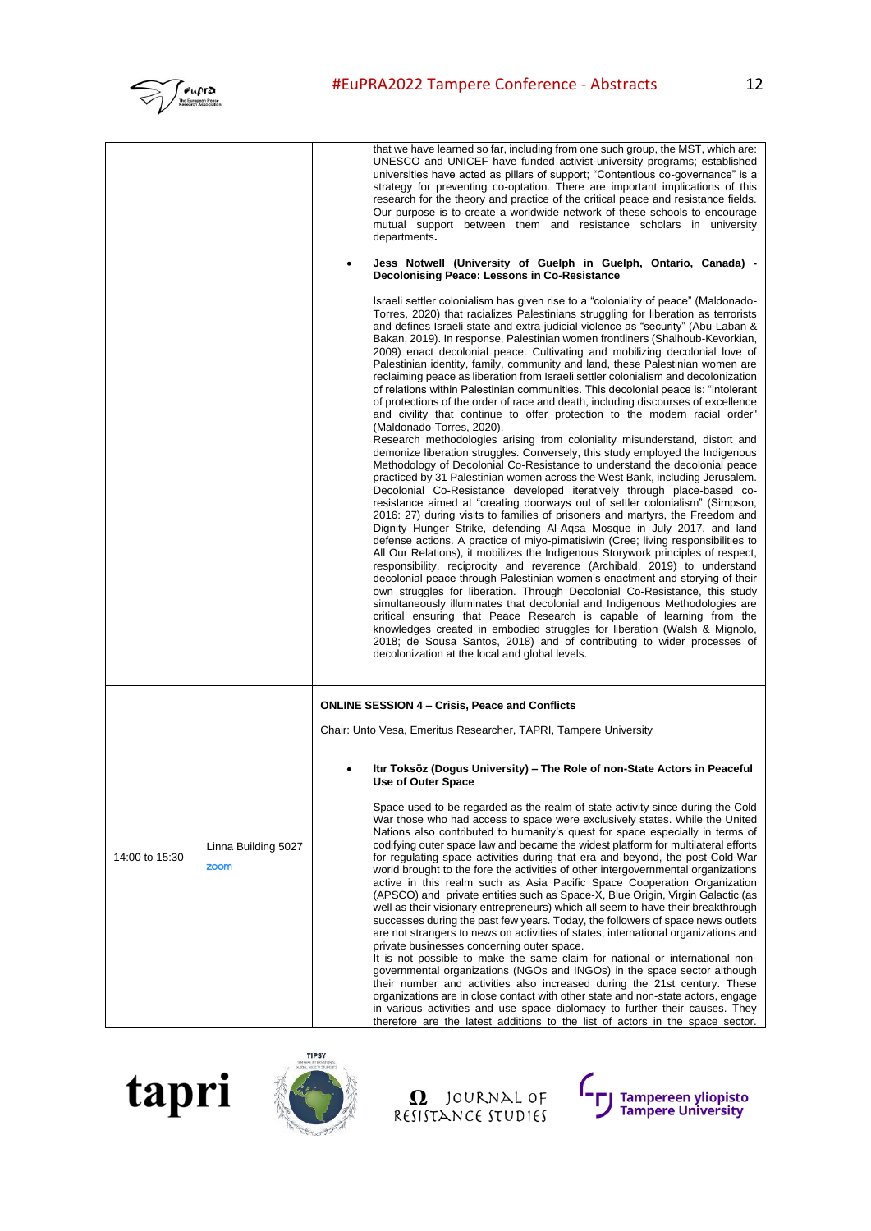

|                |                             | that we have learned so far, including from one such group, the MST, which are:<br>UNESCO and UNICEF have funded activist-university programs; established<br>universities have acted as pillars of support; "Contentious co-governance" is a<br>strategy for preventing co-optation. There are important implications of this<br>research for the theory and practice of the critical peace and resistance fields.<br>Our purpose is to create a worldwide network of these schools to encourage<br>mutual support between them and resistance scholars in university<br>departments.                                                                                                                                                                                                                                                                                                                                                                                                                                                                                                                                                                                                                                                                                                                                                                                                                                                                                                                                                                                                                                                                                                                                                                                                                                                                                                                                                                                                                                                                                                                                                                                                                                                                                                                                           |
|----------------|-----------------------------|----------------------------------------------------------------------------------------------------------------------------------------------------------------------------------------------------------------------------------------------------------------------------------------------------------------------------------------------------------------------------------------------------------------------------------------------------------------------------------------------------------------------------------------------------------------------------------------------------------------------------------------------------------------------------------------------------------------------------------------------------------------------------------------------------------------------------------------------------------------------------------------------------------------------------------------------------------------------------------------------------------------------------------------------------------------------------------------------------------------------------------------------------------------------------------------------------------------------------------------------------------------------------------------------------------------------------------------------------------------------------------------------------------------------------------------------------------------------------------------------------------------------------------------------------------------------------------------------------------------------------------------------------------------------------------------------------------------------------------------------------------------------------------------------------------------------------------------------------------------------------------------------------------------------------------------------------------------------------------------------------------------------------------------------------------------------------------------------------------------------------------------------------------------------------------------------------------------------------------------------------------------------------------------------------------------------------------|
|                |                             | Jess Notwell (University of Guelph in Guelph, Ontario, Canada) -<br>Decolonising Peace: Lessons in Co-Resistance                                                                                                                                                                                                                                                                                                                                                                                                                                                                                                                                                                                                                                                                                                                                                                                                                                                                                                                                                                                                                                                                                                                                                                                                                                                                                                                                                                                                                                                                                                                                                                                                                                                                                                                                                                                                                                                                                                                                                                                                                                                                                                                                                                                                                 |
|                |                             | Israeli settler colonialism has given rise to a "coloniality of peace" (Maldonado-<br>Torres, 2020) that racializes Palestinians struggling for liberation as terrorists<br>and defines Israeli state and extra-judicial violence as "security" (Abu-Laban &<br>Bakan, 2019). In response, Palestinian women frontliners (Shalhoub-Kevorkian,<br>2009) enact decolonial peace. Cultivating and mobilizing decolonial love of<br>Palestinian identity, family, community and land, these Palestinian women are<br>reclaiming peace as liberation from Israeli settler colonialism and decolonization<br>of relations within Palestinian communities. This decolonial peace is: "intolerant<br>of protections of the order of race and death, including discourses of excellence<br>and civility that continue to offer protection to the modern racial order"<br>(Maldonado-Torres, 2020).<br>Research methodologies arising from coloniality misunderstand, distort and<br>demonize liberation struggles. Conversely, this study employed the Indigenous<br>Methodology of Decolonial Co-Resistance to understand the decolonial peace<br>practiced by 31 Palestinian women across the West Bank, including Jerusalem.<br>Decolonial Co-Resistance developed iteratively through place-based co-<br>resistance aimed at "creating doorways out of settler colonialism" (Simpson,<br>2016: 27) during visits to families of prisoners and martyrs, the Freedom and<br>Dignity Hunger Strike, defending Al-Agsa Mosque in July 2017, and land<br>defense actions. A practice of miyo-pimatisiwin (Cree; living responsibilities to<br>All Our Relations), it mobilizes the Indigenous Storywork principles of respect,<br>responsibility, reciprocity and reverence (Archibald, 2019) to understand<br>decolonial peace through Palestinian women's enactment and storying of their<br>own struggles for liberation. Through Decolonial Co-Resistance, this study<br>simultaneously illuminates that decolonial and Indigenous Methodologies are<br>critical ensuring that Peace Research is capable of learning from the<br>knowledges created in embodied struggles for liberation (Walsh & Mignolo,<br>2018; de Sousa Santos, 2018) and of contributing to wider processes of<br>decolonization at the local and global levels. |
|                |                             | <b>ONLINE SESSION 4 – Crisis, Peace and Conflicts</b>                                                                                                                                                                                                                                                                                                                                                                                                                                                                                                                                                                                                                                                                                                                                                                                                                                                                                                                                                                                                                                                                                                                                                                                                                                                                                                                                                                                                                                                                                                                                                                                                                                                                                                                                                                                                                                                                                                                                                                                                                                                                                                                                                                                                                                                                            |
|                |                             | Chair: Unto Vesa, Emeritus Researcher, TAPRI, Tampere University                                                                                                                                                                                                                                                                                                                                                                                                                                                                                                                                                                                                                                                                                                                                                                                                                                                                                                                                                                                                                                                                                                                                                                                                                                                                                                                                                                                                                                                                                                                                                                                                                                                                                                                                                                                                                                                                                                                                                                                                                                                                                                                                                                                                                                                                 |
|                |                             | Itır Toksöz (Dogus University) – The Role of non-State Actors in Peaceful<br><b>Use of Outer Space</b>                                                                                                                                                                                                                                                                                                                                                                                                                                                                                                                                                                                                                                                                                                                                                                                                                                                                                                                                                                                                                                                                                                                                                                                                                                                                                                                                                                                                                                                                                                                                                                                                                                                                                                                                                                                                                                                                                                                                                                                                                                                                                                                                                                                                                           |
| 14:00 to 15:30 | Linna Building 5027<br>zoom | Space used to be regarded as the realm of state activity since during the Cold<br>War those who had access to space were exclusively states. While the United<br>Nations also contributed to humanity's quest for space especially in terms of<br>codifying outer space law and became the widest platform for multilateral efforts<br>for regulating space activities during that era and beyond, the post-Cold-War<br>world brought to the fore the activities of other intergovernmental organizations<br>active in this realm such as Asia Pacific Space Cooperation Organization<br>(APSCO) and private entities such as Space-X, Blue Origin, Virgin Galactic (as<br>well as their visionary entrepreneurs) which all seem to have their breakthrough<br>successes during the past few years. Today, the followers of space news outlets<br>are not strangers to news on activities of states, international organizations and<br>private businesses concerning outer space.<br>It is not possible to make the same claim for national or international non-<br>governmental organizations (NGOs and INGOs) in the space sector although<br>their number and activities also increased during the 21st century. These<br>organizations are in close contact with other state and non-state actors, engage<br>in various activities and use space diplomacy to further their causes. They<br>therefore are the latest additions to the list of actors in the space sector.                                                                                                                                                                                                                                                                                                                                                                                                                                                                                                                                                                                                                                                                                                                                                                                                                                                  |





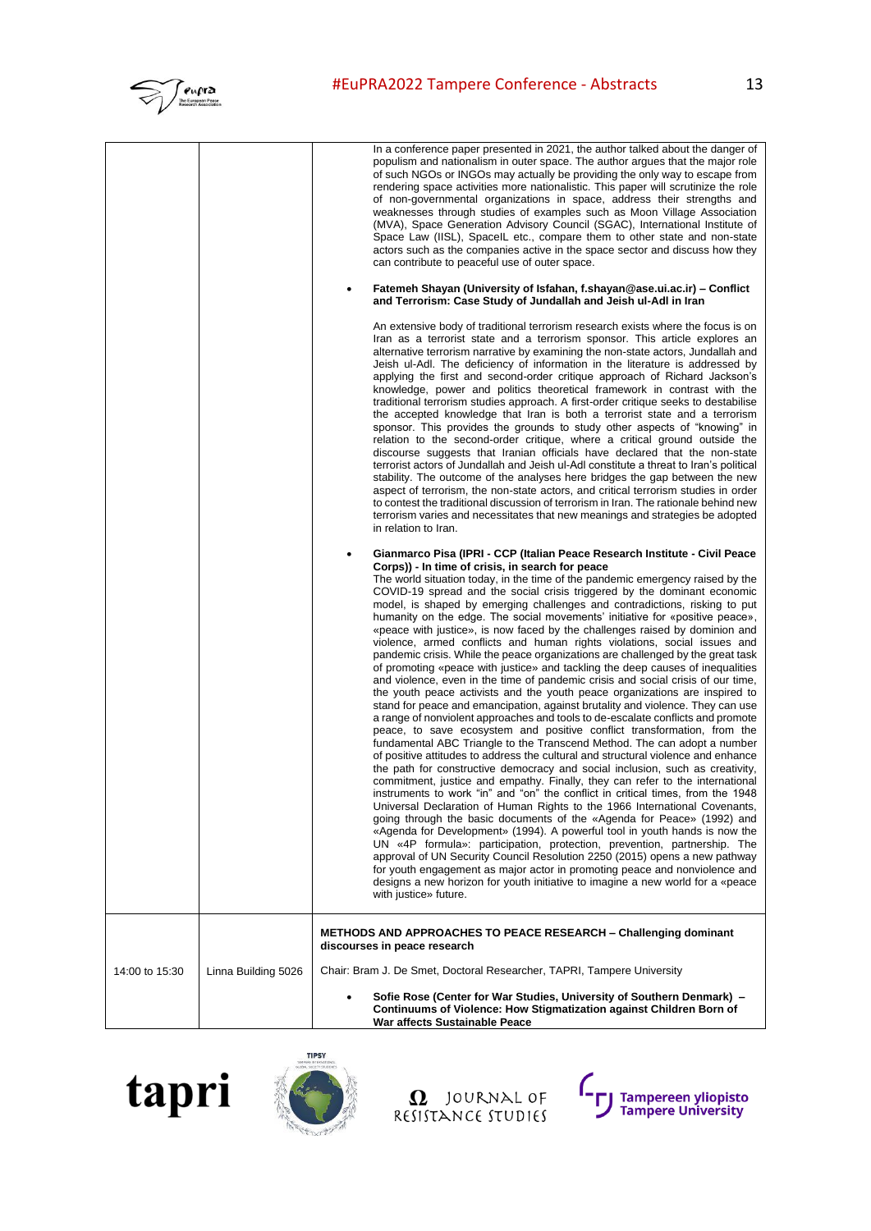

|                |                     | In a conference paper presented in 2021, the author talked about the danger of<br>populism and nationalism in outer space. The author argues that the major role<br>of such NGOs or INGOs may actually be providing the only way to escape from<br>rendering space activities more nationalistic. This paper will scrutinize the role<br>of non-governmental organizations in space, address their strengths and<br>weaknesses through studies of examples such as Moon Village Association<br>(MVA), Space Generation Advisory Council (SGAC), International Institute of<br>Space Law (IISL), SpacelL etc., compare them to other state and non-state<br>actors such as the companies active in the space sector and discuss how they<br>can contribute to peaceful use of outer space.<br>Fatemeh Shayan (University of Isfahan, f.shayan@ase.ui.ac.ir) – Conflict<br>and Terrorism: Case Study of Jundallah and Jeish ul-Adl in Iran<br>An extensive body of traditional terrorism research exists where the focus is on<br>Iran as a terrorist state and a terrorism sponsor. This article explores an<br>alternative terrorism narrative by examining the non-state actors, Jundallah and<br>Jeish ul-Adl. The deficiency of information in the literature is addressed by<br>applying the first and second-order critique approach of Richard Jackson's<br>knowledge, power and politics theoretical framework in contrast with the<br>traditional terrorism studies approach. A first-order critique seeks to destabilise<br>the accepted knowledge that Iran is both a terrorist state and a terrorism<br>sponsor. This provides the grounds to study other aspects of "knowing" in<br>relation to the second-order critique, where a critical ground outside the<br>discourse suggests that Iranian officials have declared that the non-state<br>terrorist actors of Jundallah and Jeish ul-Adl constitute a threat to Iran's political<br>stability. The outcome of the analyses here bridges the gap between the new<br>aspect of terrorism, the non-state actors, and critical terrorism studies in order                         |
|----------------|---------------------|-------------------------------------------------------------------------------------------------------------------------------------------------------------------------------------------------------------------------------------------------------------------------------------------------------------------------------------------------------------------------------------------------------------------------------------------------------------------------------------------------------------------------------------------------------------------------------------------------------------------------------------------------------------------------------------------------------------------------------------------------------------------------------------------------------------------------------------------------------------------------------------------------------------------------------------------------------------------------------------------------------------------------------------------------------------------------------------------------------------------------------------------------------------------------------------------------------------------------------------------------------------------------------------------------------------------------------------------------------------------------------------------------------------------------------------------------------------------------------------------------------------------------------------------------------------------------------------------------------------------------------------------------------------------------------------------------------------------------------------------------------------------------------------------------------------------------------------------------------------------------------------------------------------------------------------------------------------------------------------------------------------------------------------------------------------------------------------------------------------------------------------------------|
|                |                     | to contest the traditional discussion of terrorism in Iran. The rationale behind new<br>terrorism varies and necessitates that new meanings and strategies be adopted<br>in relation to Iran.<br>Gianmarco Pisa (IPRI - CCP (Italian Peace Research Institute - Civil Peace                                                                                                                                                                                                                                                                                                                                                                                                                                                                                                                                                                                                                                                                                                                                                                                                                                                                                                                                                                                                                                                                                                                                                                                                                                                                                                                                                                                                                                                                                                                                                                                                                                                                                                                                                                                                                                                                     |
|                |                     | Corps)) - In time of crisis, in search for peace<br>The world situation today, in the time of the pandemic emergency raised by the<br>COVID-19 spread and the social crisis triggered by the dominant economic<br>model, is shaped by emerging challenges and contradictions, risking to put<br>humanity on the edge. The social movements' initiative for «positive peace»,<br>«peace with justice», is now faced by the challenges raised by dominion and<br>violence, armed conflicts and human rights violations, social issues and<br>pandemic crisis. While the peace organizations are challenged by the great task<br>of promoting «peace with justice» and tackling the deep causes of inequalities<br>and violence, even in the time of pandemic crisis and social crisis of our time,<br>the youth peace activists and the youth peace organizations are inspired to<br>stand for peace and emancipation, against brutality and violence. They can use<br>a range of nonviolent approaches and tools to de-escalate conflicts and promote<br>peace, to save ecosystem and positive conflict transformation, from the<br>fundamental ABC Triangle to the Transcend Method. The can adopt a number<br>of positive attitudes to address the cultural and structural violence and enhance<br>the path for constructive democracy and social inclusion, such as creativity,<br>commitment, justice and empathy. Finally, they can refer to the international<br>instruments to work "in" and "on" the conflict in critical times, from the 1948<br>Universal Declaration of Human Rights to the 1966 International Covenants,<br>going through the basic documents of the «Agenda for Peace» (1992) and<br>«Agenda for Development» (1994). A powerful tool in youth hands is now the<br>UN «4P formula»: participation, protection, prevention, partnership. The<br>approval of UN Security Council Resolution 2250 (2015) opens a new pathway<br>for youth engagement as major actor in promoting peace and nonviolence and<br>designs a new horizon for youth initiative to imagine a new world for a «peace<br>with justice » future. |
|                |                     | <b>METHODS AND APPROACHES TO PEACE RESEARCH – Challenging dominant</b><br>discourses in peace research                                                                                                                                                                                                                                                                                                                                                                                                                                                                                                                                                                                                                                                                                                                                                                                                                                                                                                                                                                                                                                                                                                                                                                                                                                                                                                                                                                                                                                                                                                                                                                                                                                                                                                                                                                                                                                                                                                                                                                                                                                          |
| 14:00 to 15:30 | Linna Building 5026 | Chair: Bram J. De Smet, Doctoral Researcher, TAPRI, Tampere University<br>Sofie Rose (Center for War Studies, University of Southern Denmark) –<br>Continuums of Violence: How Stigmatization against Children Born of<br>War affects Sustainable Peace                                                                                                                                                                                                                                                                                                                                                                                                                                                                                                                                                                                                                                                                                                                                                                                                                                                                                                                                                                                                                                                                                                                                                                                                                                                                                                                                                                                                                                                                                                                                                                                                                                                                                                                                                                                                                                                                                         |





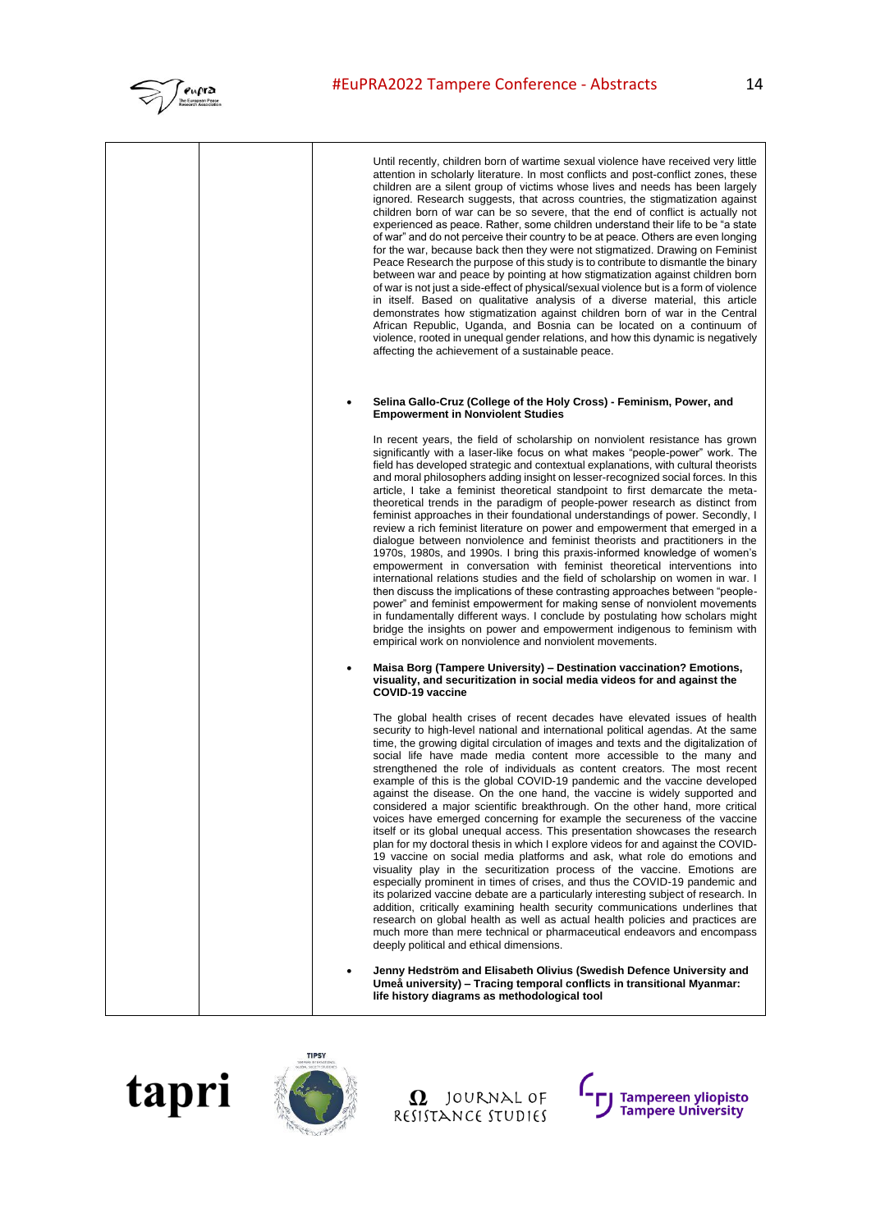

|  | Until recently, children born of wartime sexual violence have received very little<br>attention in scholarly literature. In most conflicts and post-conflict zones, these<br>children are a silent group of victims whose lives and needs has been largely<br>ignored. Research suggests, that across countries, the stigmatization against<br>children born of war can be so severe, that the end of conflict is actually not<br>experienced as peace. Rather, some children understand their life to be "a state<br>of war" and do not perceive their country to be at peace. Others are even longing<br>for the war, because back then they were not stigmatized. Drawing on Feminist<br>Peace Research the purpose of this study is to contribute to dismantle the binary<br>between war and peace by pointing at how stigmatization against children born<br>of war is not just a side-effect of physical/sexual violence but is a form of violence<br>in itself. Based on qualitative analysis of a diverse material, this article<br>demonstrates how stigmatization against children born of war in the Central<br>African Republic, Uganda, and Bosnia can be located on a continuum of<br>violence, rooted in unequal gender relations, and how this dynamic is negatively<br>affecting the achievement of a sustainable peace.                                                                                                                                                                                  |
|--|----------------------------------------------------------------------------------------------------------------------------------------------------------------------------------------------------------------------------------------------------------------------------------------------------------------------------------------------------------------------------------------------------------------------------------------------------------------------------------------------------------------------------------------------------------------------------------------------------------------------------------------------------------------------------------------------------------------------------------------------------------------------------------------------------------------------------------------------------------------------------------------------------------------------------------------------------------------------------------------------------------------------------------------------------------------------------------------------------------------------------------------------------------------------------------------------------------------------------------------------------------------------------------------------------------------------------------------------------------------------------------------------------------------------------------------------------------------------------------------------------------------------------|
|  | Selina Gallo-Cruz (College of the Holy Cross) - Feminism, Power, and<br><b>Empowerment in Nonviolent Studies</b>                                                                                                                                                                                                                                                                                                                                                                                                                                                                                                                                                                                                                                                                                                                                                                                                                                                                                                                                                                                                                                                                                                                                                                                                                                                                                                                                                                                                           |
|  | In recent years, the field of scholarship on nonviolent resistance has grown<br>significantly with a laser-like focus on what makes "people-power" work. The<br>field has developed strategic and contextual explanations, with cultural theorists<br>and moral philosophers adding insight on lesser-recognized social forces. In this<br>article, I take a feminist theoretical standpoint to first demarcate the meta-<br>theoretical trends in the paradigm of people-power research as distinct from<br>feminist approaches in their foundational understandings of power. Secondly, I<br>review a rich feminist literature on power and empowerment that emerged in a<br>dialoque between nonviolence and feminist theorists and practitioners in the<br>1970s, 1980s, and 1990s. I bring this praxis-informed knowledge of women's<br>empowerment in conversation with feminist theoretical interventions into<br>international relations studies and the field of scholarship on women in war. I<br>then discuss the implications of these contrasting approaches between "people-<br>power" and feminist empowerment for making sense of nonviolent movements<br>in fundamentally different ways. I conclude by postulating how scholars might<br>bridge the insights on power and empowerment indigenous to feminism with<br>empirical work on nonviolence and nonviolent movements.                                                                                                                             |
|  | Maisa Borg (Tampere University) – Destination vaccination? Emotions,<br>visuality, and securitization in social media videos for and against the<br>COVID-19 vaccine                                                                                                                                                                                                                                                                                                                                                                                                                                                                                                                                                                                                                                                                                                                                                                                                                                                                                                                                                                                                                                                                                                                                                                                                                                                                                                                                                       |
|  | The global health crises of recent decades have elevated issues of health<br>security to high-level national and international political agendas. At the same<br>time, the growing digital circulation of images and texts and the digitalization of<br>social life have made media content more accessible to the many and<br>strengthened the role of individuals as content creators. The most recent<br>example of this is the global COVID-19 pandemic and the vaccine developed<br>against the disease. On the one hand, the vaccine is widely supported and<br>considered a major scientific breakthrough. On the other hand, more critical<br>voices have emerged concerning for example the secureness of the vaccine<br>itself or its global unequal access. This presentation showcases the research<br>plan for my doctoral thesis in which I explore videos for and against the COVID-<br>19 vaccine on social media platforms and ask, what role do emotions and<br>visuality play in the securitization process of the vaccine. Emotions are<br>especially prominent in times of crises, and thus the COVID-19 pandemic and<br>its polarized vaccine debate are a particularly interesting subject of research. In<br>addition, critically examining health security communications underlines that<br>research on global health as well as actual health policies and practices are<br>much more than mere technical or pharmaceutical endeavors and encompass<br>deeply political and ethical dimensions. |
|  | Jenny Hedström and Elisabeth Olivius (Swedish Defence University and<br>٠<br>Umeå university) - Tracing temporal conflicts in transitional Myanmar:<br>life history diagrams as methodological tool                                                                                                                                                                                                                                                                                                                                                                                                                                                                                                                                                                                                                                                                                                                                                                                                                                                                                                                                                                                                                                                                                                                                                                                                                                                                                                                        |





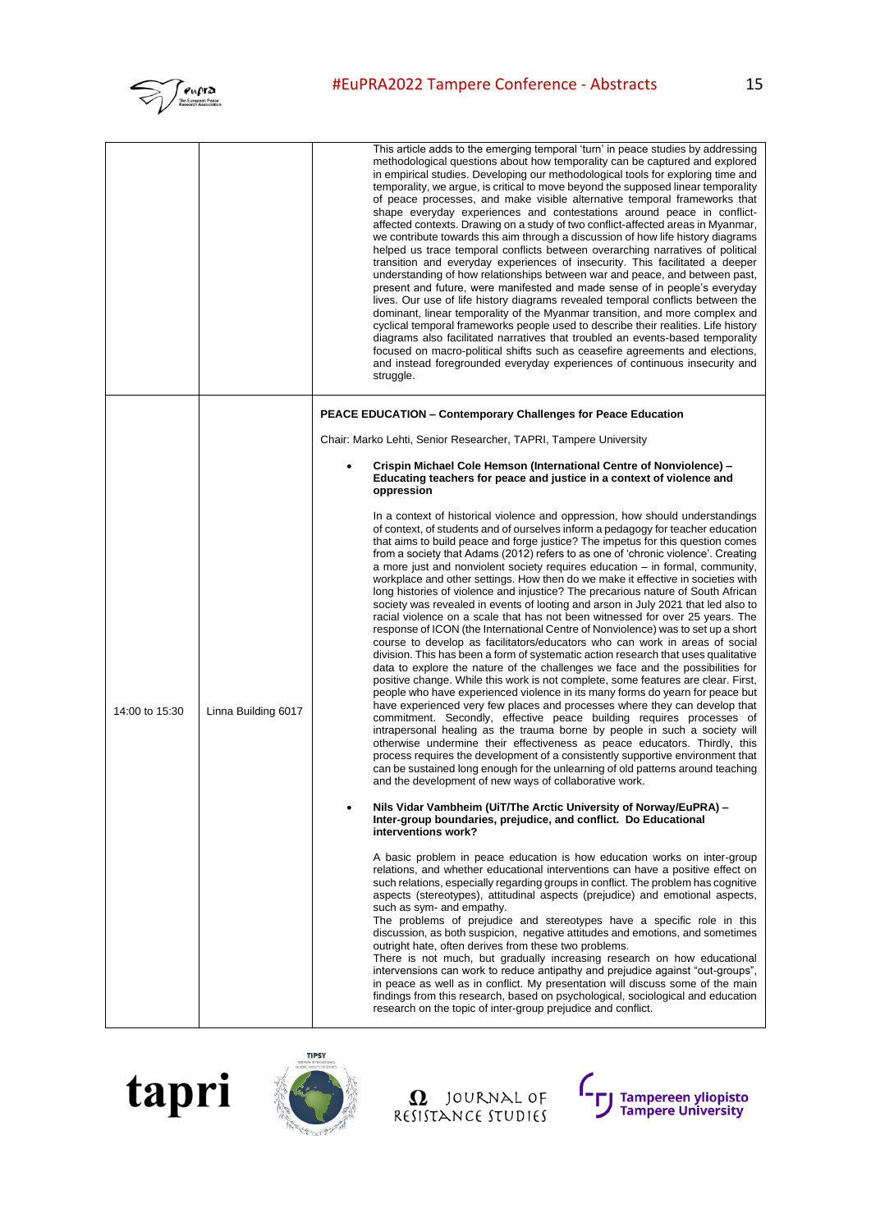

|                |                     | This article adds to the emerging temporal 'turn' in peace studies by addressing<br>methodological questions about how temporality can be captured and explored<br>in empirical studies. Developing our methodological tools for exploring time and<br>temporality, we argue, is critical to move beyond the supposed linear temporality<br>of peace processes, and make visible alternative temporal frameworks that<br>shape everyday experiences and contestations around peace in conflict-<br>affected contexts. Drawing on a study of two conflict-affected areas in Myanmar,<br>we contribute towards this aim through a discussion of how life history diagrams<br>helped us trace temporal conflicts between overarching narratives of political<br>transition and everyday experiences of insecurity. This facilitated a deeper<br>understanding of how relationships between war and peace, and between past,<br>present and future, were manifested and made sense of in people's everyday<br>lives. Our use of life history diagrams revealed temporal conflicts between the<br>dominant, linear temporality of the Myanmar transition, and more complex and<br>cyclical temporal frameworks people used to describe their realities. Life history<br>diagrams also facilitated narratives that troubled an events-based temporality<br>focused on macro-political shifts such as ceasefire agreements and elections,<br>and instead foregrounded everyday experiences of continuous insecurity and<br>struggle.                                                                                                                                                                                                                                                                                                             |
|----------------|---------------------|-------------------------------------------------------------------------------------------------------------------------------------------------------------------------------------------------------------------------------------------------------------------------------------------------------------------------------------------------------------------------------------------------------------------------------------------------------------------------------------------------------------------------------------------------------------------------------------------------------------------------------------------------------------------------------------------------------------------------------------------------------------------------------------------------------------------------------------------------------------------------------------------------------------------------------------------------------------------------------------------------------------------------------------------------------------------------------------------------------------------------------------------------------------------------------------------------------------------------------------------------------------------------------------------------------------------------------------------------------------------------------------------------------------------------------------------------------------------------------------------------------------------------------------------------------------------------------------------------------------------------------------------------------------------------------------------------------------------------------------------------------------------------------------------------------------------------------------------|
|                |                     | PEACE EDUCATION - Contemporary Challenges for Peace Education<br>Chair: Marko Lehti, Senior Researcher, TAPRI, Tampere University                                                                                                                                                                                                                                                                                                                                                                                                                                                                                                                                                                                                                                                                                                                                                                                                                                                                                                                                                                                                                                                                                                                                                                                                                                                                                                                                                                                                                                                                                                                                                                                                                                                                                                         |
|                |                     | Crispin Michael Cole Hemson (International Centre of Nonviolence) -<br>Educating teachers for peace and justice in a context of violence and<br>oppression                                                                                                                                                                                                                                                                                                                                                                                                                                                                                                                                                                                                                                                                                                                                                                                                                                                                                                                                                                                                                                                                                                                                                                                                                                                                                                                                                                                                                                                                                                                                                                                                                                                                                |
| 14:00 to 15:30 | Linna Building 6017 | In a context of historical violence and oppression, how should understandings<br>of context, of students and of ourselves inform a pedagogy for teacher education<br>that aims to build peace and forge justice? The impetus for this question comes<br>from a society that Adams (2012) refers to as one of 'chronic violence'. Creating<br>a more just and nonviolent society requires education – in formal, community,<br>workplace and other settings. How then do we make it effective in societies with<br>long histories of violence and injustice? The precarious nature of South African<br>society was revealed in events of looting and arson in July 2021 that led also to<br>racial violence on a scale that has not been witnessed for over 25 years. The<br>response of ICON (the International Centre of Nonviolence) was to set up a short<br>course to develop as facilitators/educators who can work in areas of social<br>division. This has been a form of systematic action research that uses qualitative<br>data to explore the nature of the challenges we face and the possibilities for<br>positive change. While this work is not complete, some features are clear. First,<br>people who have experienced violence in its many forms do yearn for peace but<br>have experienced very few places and processes where they can develop that<br>commitment. Secondly, effective peace building requires processes of<br>intrapersonal healing as the trauma borne by people in such a society will<br>otherwise undermine their effectiveness as peace educators. Thirdly, this<br>process requires the development of a consistently supportive environment that<br>can be sustained long enough for the unlearning of old patterns around teaching<br>and the development of new ways of collaborative work. |
|                |                     | Nils Vidar Vambheim (UiT/The Arctic University of Norway/EuPRA) -<br>Inter-group boundaries, prejudice, and conflict. Do Educational<br>interventions work?                                                                                                                                                                                                                                                                                                                                                                                                                                                                                                                                                                                                                                                                                                                                                                                                                                                                                                                                                                                                                                                                                                                                                                                                                                                                                                                                                                                                                                                                                                                                                                                                                                                                               |
|                |                     | A basic problem in peace education is how education works on inter-group<br>relations, and whether educational interventions can have a positive effect on<br>such relations, especially regarding groups in conflict. The problem has cognitive<br>aspects (stereotypes), attitudinal aspects (prejudice) and emotional aspects,<br>such as sym- and empathy.<br>The problems of prejudice and stereotypes have a specific role in this<br>discussion, as both suspicion, negative attitudes and emotions, and sometimes<br>outright hate, often derives from these two problems.<br>There is not much, but gradually increasing research on how educational<br>intervensions can work to reduce antipathy and prejudice against "out-groups",<br>in peace as well as in conflict. My presentation will discuss some of the main<br>findings from this research, based on psychological, sociological and education<br>research on the topic of inter-group prejudice and conflict.                                                                                                                                                                                                                                                                                                                                                                                                                                                                                                                                                                                                                                                                                                                                                                                                                                                      |





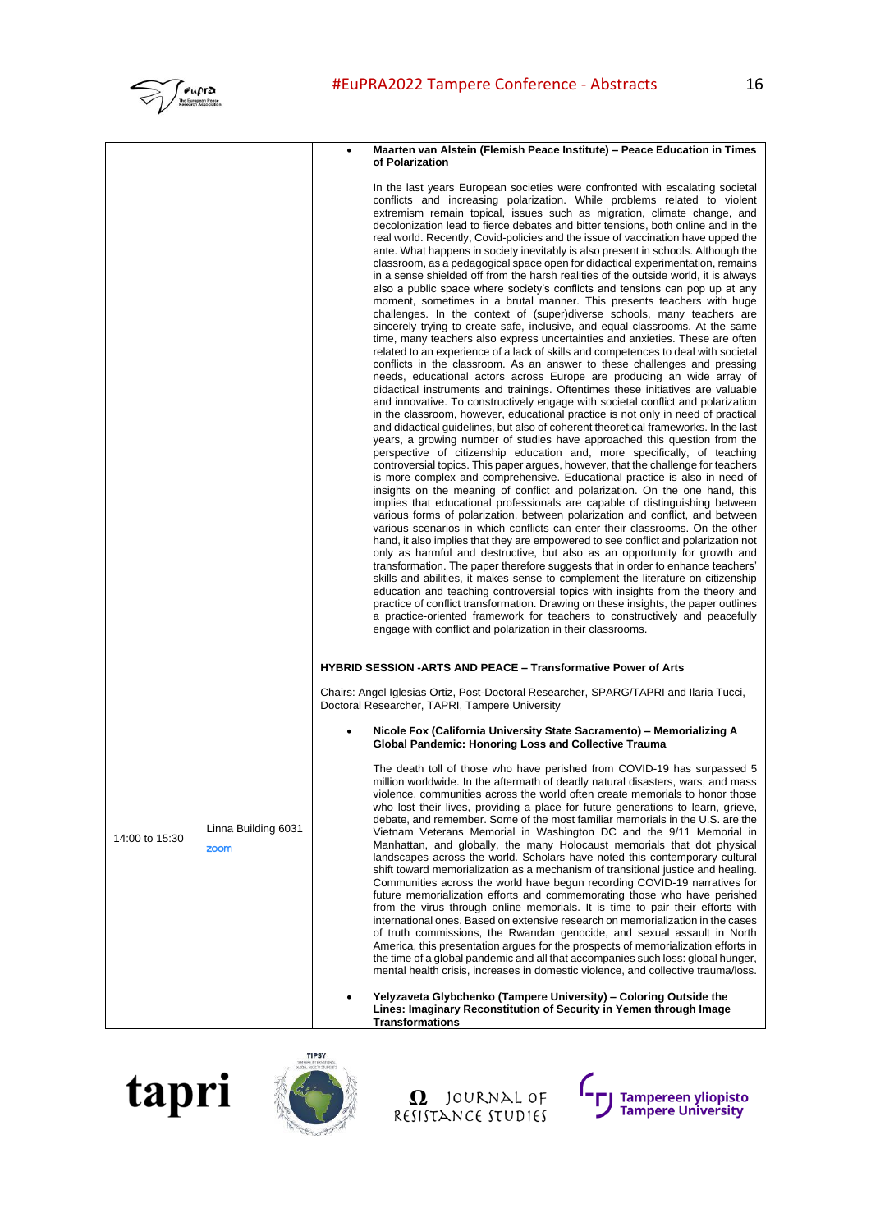

|                |                             | Maarten van Alstein (Flemish Peace Institute) - Peace Education in Times<br>of Polarization                                                                                                                                                                                                                                                                                                                                                                                                                                                                                                                                                                                                                                                                                                                                                                                                                                                                                                                                                                                                                                                                                                                                                                                                                                                                                                                                                                                                                                                                                                                                                                                                                                                                                                                                                                                                                                                                                                                                                                                                                                                                                                                                                                                                                                                                                                                                                                                                                                                                                                                                                                                                                                                                                                                                                                                                                                                                                                                   |
|----------------|-----------------------------|---------------------------------------------------------------------------------------------------------------------------------------------------------------------------------------------------------------------------------------------------------------------------------------------------------------------------------------------------------------------------------------------------------------------------------------------------------------------------------------------------------------------------------------------------------------------------------------------------------------------------------------------------------------------------------------------------------------------------------------------------------------------------------------------------------------------------------------------------------------------------------------------------------------------------------------------------------------------------------------------------------------------------------------------------------------------------------------------------------------------------------------------------------------------------------------------------------------------------------------------------------------------------------------------------------------------------------------------------------------------------------------------------------------------------------------------------------------------------------------------------------------------------------------------------------------------------------------------------------------------------------------------------------------------------------------------------------------------------------------------------------------------------------------------------------------------------------------------------------------------------------------------------------------------------------------------------------------------------------------------------------------------------------------------------------------------------------------------------------------------------------------------------------------------------------------------------------------------------------------------------------------------------------------------------------------------------------------------------------------------------------------------------------------------------------------------------------------------------------------------------------------------------------------------------------------------------------------------------------------------------------------------------------------------------------------------------------------------------------------------------------------------------------------------------------------------------------------------------------------------------------------------------------------------------------------------------------------------------------------------------------------|
|                |                             | In the last years European societies were confronted with escalating societal<br>conflicts and increasing polarization. While problems related to violent<br>extremism remain topical, issues such as migration, climate change, and<br>decolonization lead to fierce debates and bitter tensions, both online and in the<br>real world. Recently, Covid-policies and the issue of vaccination have upped the<br>ante. What happens in society inevitably is also present in schools. Although the<br>classroom, as a pedagogical space open for didactical experimentation, remains<br>in a sense shielded off from the harsh realities of the outside world, it is always<br>also a public space where society's conflicts and tensions can pop up at any<br>moment, sometimes in a brutal manner. This presents teachers with huge<br>challenges. In the context of (super)diverse schools, many teachers are<br>sincerely trying to create safe, inclusive, and equal classrooms. At the same<br>time, many teachers also express uncertainties and anxieties. These are often<br>related to an experience of a lack of skills and competences to deal with societal<br>conflicts in the classroom. As an answer to these challenges and pressing<br>needs, educational actors across Europe are producing an wide array of<br>didactical instruments and trainings. Oftentimes these initiatives are valuable<br>and innovative. To constructively engage with societal conflict and polarization<br>in the classroom, however, educational practice is not only in need of practical<br>and didactical guidelines, but also of coherent theoretical frameworks. In the last<br>years, a growing number of studies have approached this question from the<br>perspective of citizenship education and, more specifically, of teaching<br>controversial topics. This paper argues, however, that the challenge for teachers<br>is more complex and comprehensive. Educational practice is also in need of<br>insights on the meaning of conflict and polarization. On the one hand, this<br>implies that educational professionals are capable of distinguishing between<br>various forms of polarization, between polarization and conflict, and between<br>various scenarios in which conflicts can enter their classrooms. On the other<br>hand, it also implies that they are empowered to see conflict and polarization not<br>only as harmful and destructive, but also as an opportunity for growth and<br>transformation. The paper therefore suggests that in order to enhance teachers'<br>skills and abilities, it makes sense to complement the literature on citizenship<br>education and teaching controversial topics with insights from the theory and<br>practice of conflict transformation. Drawing on these insights, the paper outlines<br>a practice-oriented framework for teachers to constructively and peacefully<br>engage with conflict and polarization in their classrooms. |
|                |                             | <b>HYBRID SESSION -ARTS AND PEACE - Transformative Power of Arts</b>                                                                                                                                                                                                                                                                                                                                                                                                                                                                                                                                                                                                                                                                                                                                                                                                                                                                                                                                                                                                                                                                                                                                                                                                                                                                                                                                                                                                                                                                                                                                                                                                                                                                                                                                                                                                                                                                                                                                                                                                                                                                                                                                                                                                                                                                                                                                                                                                                                                                                                                                                                                                                                                                                                                                                                                                                                                                                                                                          |
|                | Linna Building 6031<br>zoom | Chairs: Angel Iglesias Ortiz, Post-Doctoral Researcher, SPARG/TAPRI and Ilaria Tucci,<br>Doctoral Researcher, TAPRI, Tampere University                                                                                                                                                                                                                                                                                                                                                                                                                                                                                                                                                                                                                                                                                                                                                                                                                                                                                                                                                                                                                                                                                                                                                                                                                                                                                                                                                                                                                                                                                                                                                                                                                                                                                                                                                                                                                                                                                                                                                                                                                                                                                                                                                                                                                                                                                                                                                                                                                                                                                                                                                                                                                                                                                                                                                                                                                                                                       |
|                |                             | Nicole Fox (California University State Sacramento) – Memorializing A<br><b>Global Pandemic: Honoring Loss and Collective Trauma</b>                                                                                                                                                                                                                                                                                                                                                                                                                                                                                                                                                                                                                                                                                                                                                                                                                                                                                                                                                                                                                                                                                                                                                                                                                                                                                                                                                                                                                                                                                                                                                                                                                                                                                                                                                                                                                                                                                                                                                                                                                                                                                                                                                                                                                                                                                                                                                                                                                                                                                                                                                                                                                                                                                                                                                                                                                                                                          |
| 14:00 to 15:30 |                             | The death toll of those who have perished from COVID-19 has surpassed 5<br>million worldwide. In the aftermath of deadly natural disasters, wars, and mass<br>violence, communities across the world often create memorials to honor those<br>who lost their lives, providing a place for future generations to learn, grieve,<br>debate, and remember. Some of the most familiar memorials in the U.S. are the<br>Vietnam Veterans Memorial in Washington DC and the 9/11 Memorial in<br>Manhattan, and globally, the many Holocaust memorials that dot physical<br>landscapes across the world. Scholars have noted this contemporary cultural<br>shift toward memorialization as a mechanism of transitional justice and healing.<br>Communities across the world have begun recording COVID-19 narratives for<br>future memorialization efforts and commemorating those who have perished<br>from the virus through online memorials. It is time to pair their efforts with<br>international ones. Based on extensive research on memorialization in the cases<br>of truth commissions, the Rwandan genocide, and sexual assault in North<br>America, this presentation argues for the prospects of memorialization efforts in<br>the time of a global pandemic and all that accompanies such loss: global hunger,<br>mental health crisis, increases in domestic violence, and collective trauma/loss.                                                                                                                                                                                                                                                                                                                                                                                                                                                                                                                                                                                                                                                                                                                                                                                                                                                                                                                                                                                                                                                                                                                                                                                                                                                                                                                                                                                                                                                                                                                                                                                                   |
|                |                             | Yelyzaveta Glybchenko (Tampere University) – Coloring Outside the<br>Lines: Imaginary Reconstitution of Security in Yemen through Image<br><b>Transformations</b>                                                                                                                                                                                                                                                                                                                                                                                                                                                                                                                                                                                                                                                                                                                                                                                                                                                                                                                                                                                                                                                                                                                                                                                                                                                                                                                                                                                                                                                                                                                                                                                                                                                                                                                                                                                                                                                                                                                                                                                                                                                                                                                                                                                                                                                                                                                                                                                                                                                                                                                                                                                                                                                                                                                                                                                                                                             |





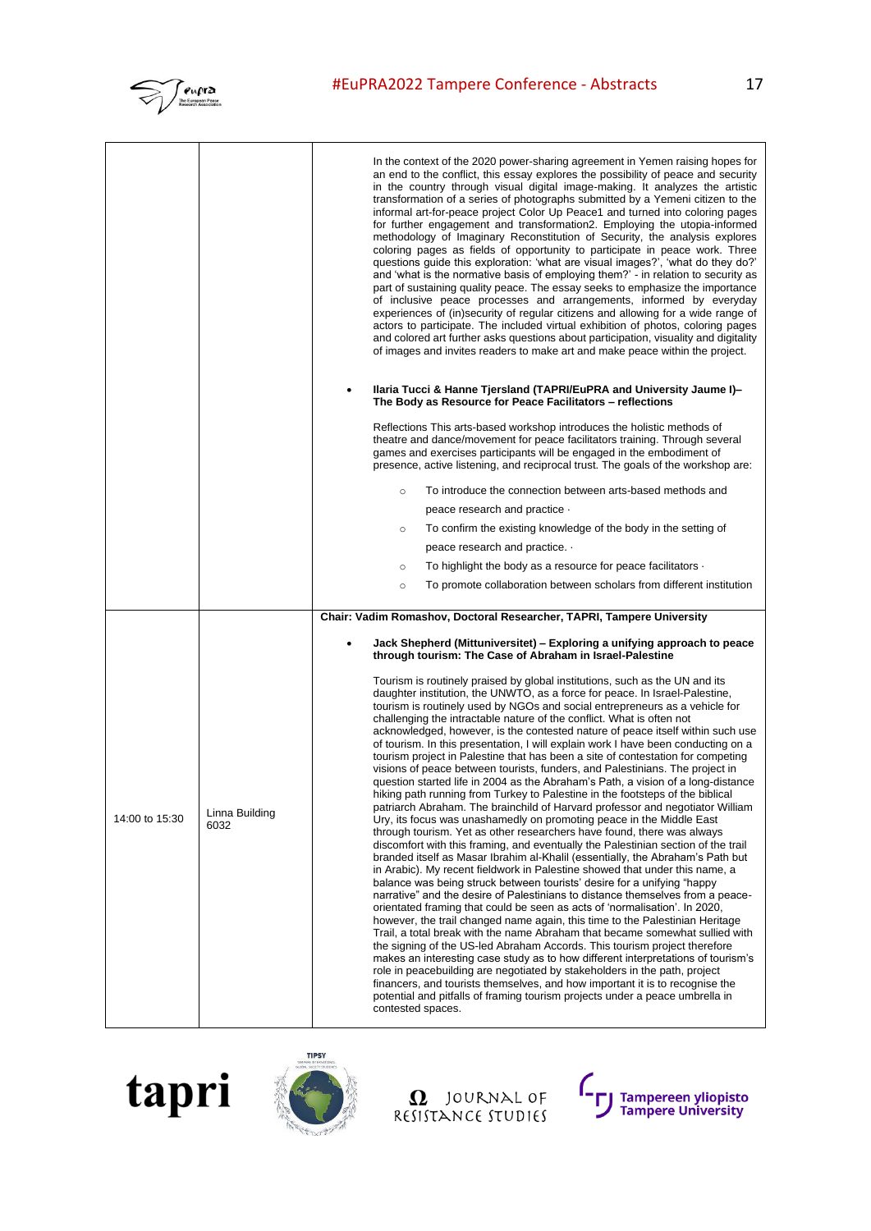

|                |                        | In the context of the 2020 power-sharing agreement in Yemen raising hopes for<br>an end to the conflict, this essay explores the possibility of peace and security<br>in the country through visual digital image-making. It analyzes the artistic<br>transformation of a series of photographs submitted by a Yemeni citizen to the<br>informal art-for-peace project Color Up Peace1 and turned into coloring pages<br>for further engagement and transformation2. Employing the utopia-informed<br>methodology of Imaginary Reconstitution of Security, the analysis explores<br>coloring pages as fields of opportunity to participate in peace work. Three<br>questions guide this exploration: 'what are visual images?', 'what do they do?'<br>and 'what is the normative basis of employing them?' - in relation to security as<br>part of sustaining quality peace. The essay seeks to emphasize the importance<br>of inclusive peace processes and arrangements, informed by everyday<br>experiences of (in)security of regular citizens and allowing for a wide range of<br>actors to participate. The included virtual exhibition of photos, coloring pages<br>and colored art further asks questions about participation, visuality and digitality<br>of images and invites readers to make art and make peace within the project.                                                                                                                                                                                                                                                                                                                                                                                                                                                                                                                                                                                                                                                                                                                                                                                                                          |
|----------------|------------------------|--------------------------------------------------------------------------------------------------------------------------------------------------------------------------------------------------------------------------------------------------------------------------------------------------------------------------------------------------------------------------------------------------------------------------------------------------------------------------------------------------------------------------------------------------------------------------------------------------------------------------------------------------------------------------------------------------------------------------------------------------------------------------------------------------------------------------------------------------------------------------------------------------------------------------------------------------------------------------------------------------------------------------------------------------------------------------------------------------------------------------------------------------------------------------------------------------------------------------------------------------------------------------------------------------------------------------------------------------------------------------------------------------------------------------------------------------------------------------------------------------------------------------------------------------------------------------------------------------------------------------------------------------------------------------------------------------------------------------------------------------------------------------------------------------------------------------------------------------------------------------------------------------------------------------------------------------------------------------------------------------------------------------------------------------------------------------------------------------------------------------------------------------------------------------|
|                |                        | Ilaria Tucci & Hanne Tjersland (TAPRI/EuPRA and University Jaume I)–<br>$\bullet$<br>The Body as Resource for Peace Facilitators - reflections                                                                                                                                                                                                                                                                                                                                                                                                                                                                                                                                                                                                                                                                                                                                                                                                                                                                                                                                                                                                                                                                                                                                                                                                                                                                                                                                                                                                                                                                                                                                                                                                                                                                                                                                                                                                                                                                                                                                                                                                                           |
|                |                        | Reflections This arts-based workshop introduces the holistic methods of<br>theatre and dance/movement for peace facilitators training. Through several<br>games and exercises participants will be engaged in the embodiment of<br>presence, active listening, and reciprocal trust. The goals of the workshop are:                                                                                                                                                                                                                                                                                                                                                                                                                                                                                                                                                                                                                                                                                                                                                                                                                                                                                                                                                                                                                                                                                                                                                                                                                                                                                                                                                                                                                                                                                                                                                                                                                                                                                                                                                                                                                                                      |
|                |                        | To introduce the connection between arts-based methods and<br>$\circ$                                                                                                                                                                                                                                                                                                                                                                                                                                                                                                                                                                                                                                                                                                                                                                                                                                                                                                                                                                                                                                                                                                                                                                                                                                                                                                                                                                                                                                                                                                                                                                                                                                                                                                                                                                                                                                                                                                                                                                                                                                                                                                    |
|                |                        | peace research and practice .                                                                                                                                                                                                                                                                                                                                                                                                                                                                                                                                                                                                                                                                                                                                                                                                                                                                                                                                                                                                                                                                                                                                                                                                                                                                                                                                                                                                                                                                                                                                                                                                                                                                                                                                                                                                                                                                                                                                                                                                                                                                                                                                            |
|                |                        | To confirm the existing knowledge of the body in the setting of<br>$\circ$                                                                                                                                                                                                                                                                                                                                                                                                                                                                                                                                                                                                                                                                                                                                                                                                                                                                                                                                                                                                                                                                                                                                                                                                                                                                                                                                                                                                                                                                                                                                                                                                                                                                                                                                                                                                                                                                                                                                                                                                                                                                                               |
|                |                        | peace research and practice. .                                                                                                                                                                                                                                                                                                                                                                                                                                                                                                                                                                                                                                                                                                                                                                                                                                                                                                                                                                                                                                                                                                                                                                                                                                                                                                                                                                                                                                                                                                                                                                                                                                                                                                                                                                                                                                                                                                                                                                                                                                                                                                                                           |
|                |                        | To highlight the body as a resource for peace facilitators $\cdot$<br>$\circ$                                                                                                                                                                                                                                                                                                                                                                                                                                                                                                                                                                                                                                                                                                                                                                                                                                                                                                                                                                                                                                                                                                                                                                                                                                                                                                                                                                                                                                                                                                                                                                                                                                                                                                                                                                                                                                                                                                                                                                                                                                                                                            |
|                |                        | To promote collaboration between scholars from different institution<br>$\circ$                                                                                                                                                                                                                                                                                                                                                                                                                                                                                                                                                                                                                                                                                                                                                                                                                                                                                                                                                                                                                                                                                                                                                                                                                                                                                                                                                                                                                                                                                                                                                                                                                                                                                                                                                                                                                                                                                                                                                                                                                                                                                          |
|                |                        | Chair: Vadim Romashov, Doctoral Researcher, TAPRI, Tampere University                                                                                                                                                                                                                                                                                                                                                                                                                                                                                                                                                                                                                                                                                                                                                                                                                                                                                                                                                                                                                                                                                                                                                                                                                                                                                                                                                                                                                                                                                                                                                                                                                                                                                                                                                                                                                                                                                                                                                                                                                                                                                                    |
|                |                        | Jack Shepherd (Mittuniversitet) – Exploring a unifying approach to peace<br>$\bullet$<br>through tourism: The Case of Abraham in Israel-Palestine                                                                                                                                                                                                                                                                                                                                                                                                                                                                                                                                                                                                                                                                                                                                                                                                                                                                                                                                                                                                                                                                                                                                                                                                                                                                                                                                                                                                                                                                                                                                                                                                                                                                                                                                                                                                                                                                                                                                                                                                                        |
| 14:00 to 15:30 | Linna Building<br>6032 | Tourism is routinely praised by global institutions, such as the UN and its<br>daughter institution, the UNWTO, as a force for peace. In Israel-Palestine,<br>tourism is routinely used by NGOs and social entrepreneurs as a vehicle for<br>challenging the intractable nature of the conflict. What is often not<br>acknowledged, however, is the contested nature of peace itself within such use<br>of tourism. In this presentation, I will explain work I have been conducting on a<br>tourism project in Palestine that has been a site of contestation for competing<br>visions of peace between tourists, funders, and Palestinians. The project in<br>question started life in 2004 as the Abraham's Path, a vision of a long-distance<br>hiking path running from Turkey to Palestine in the footsteps of the biblical<br>patriarch Abraham. The brainchild of Harvard professor and negotiator William<br>Ury, its focus was unashamedly on promoting peace in the Middle East<br>through tourism. Yet as other researchers have found, there was always<br>discomfort with this framing, and eventually the Palestinian section of the trail<br>branded itself as Masar Ibrahim al-Khalil (essentially, the Abraham's Path but<br>in Arabic). My recent fieldwork in Palestine showed that under this name, a<br>balance was being struck between tourists' desire for a unifying "happy<br>narrative" and the desire of Palestinians to distance themselves from a peace-<br>orientated framing that could be seen as acts of 'normalisation'. In 2020,<br>however, the trail changed name again, this time to the Palestinian Heritage<br>Trail, a total break with the name Abraham that became somewhat sullied with<br>the signing of the US-led Abraham Accords. This tourism project therefore<br>makes an interesting case study as to how different interpretations of tourism's<br>role in peacebuilding are negotiated by stakeholders in the path, project<br>financers, and tourists themselves, and how important it is to recognise the<br>potential and pitfalls of framing tourism projects under a peace umbrella in<br>contested spaces. |





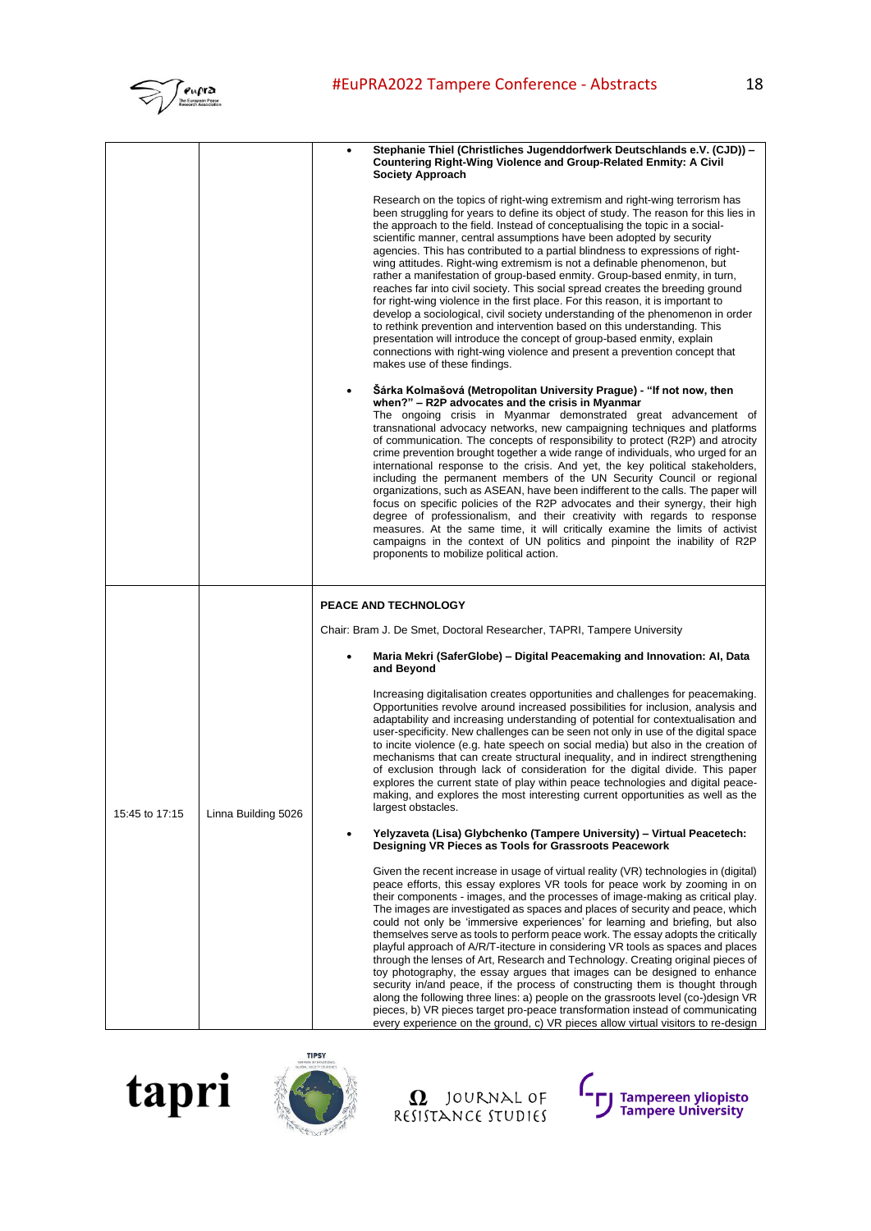

|                |                     | Stephanie Thiel (Christliches Jugenddorfwerk Deutschlands e.V. (CJD)) -<br>٠<br><b>Countering Right-Wing Violence and Group-Related Enmity: A Civil</b><br><b>Society Approach</b>                                                                                                                                                                                                                                                                                                                                                                                                                                                                                                                                                                                                                                                                                                                                                                                                                                                                                                                |
|----------------|---------------------|---------------------------------------------------------------------------------------------------------------------------------------------------------------------------------------------------------------------------------------------------------------------------------------------------------------------------------------------------------------------------------------------------------------------------------------------------------------------------------------------------------------------------------------------------------------------------------------------------------------------------------------------------------------------------------------------------------------------------------------------------------------------------------------------------------------------------------------------------------------------------------------------------------------------------------------------------------------------------------------------------------------------------------------------------------------------------------------------------|
|                |                     | Research on the topics of right-wing extremism and right-wing terrorism has<br>been struggling for years to define its object of study. The reason for this lies in<br>the approach to the field. Instead of conceptualising the topic in a social-<br>scientific manner, central assumptions have been adopted by security<br>agencies. This has contributed to a partial blindness to expressions of right-<br>wing attitudes. Right-wing extremism is not a definable phenomenon, but<br>rather a manifestation of group-based enmity. Group-based enmity, in turn,<br>reaches far into civil society. This social spread creates the breeding ground<br>for right-wing violence in the first place. For this reason, it is important to<br>develop a sociological, civil society understanding of the phenomenon in order<br>to rethink prevention and intervention based on this understanding. This<br>presentation will introduce the concept of group-based enmity, explain<br>connections with right-wing violence and present a prevention concept that<br>makes use of these findings. |
|                |                     | Sárka Kolmašová (Metropolitan University Prague) - "If not now, then<br>$\bullet$<br>when?" – R2P advocates and the crisis in Myanmar<br>The ongoing crisis in Myanmar demonstrated great advancement of<br>transnational advocacy networks, new campaigning techniques and platforms<br>of communication. The concepts of responsibility to protect (R2P) and atrocity<br>crime prevention brought together a wide range of individuals, who urged for an<br>international response to the crisis. And yet, the key political stakeholders,<br>including the permanent members of the UN Security Council or regional<br>organizations, such as ASEAN, have been indifferent to the calls. The paper will<br>focus on specific policies of the R2P advocates and their synergy, their high<br>degree of professionalism, and their creativity with regards to response<br>measures. At the same time, it will critically examine the limits of activist<br>campaigns in the context of UN politics and pinpoint the inability of R2P<br>proponents to mobilize political action.                 |
|                |                     |                                                                                                                                                                                                                                                                                                                                                                                                                                                                                                                                                                                                                                                                                                                                                                                                                                                                                                                                                                                                                                                                                                   |
|                |                     | PEACE AND TECHNOLOGY                                                                                                                                                                                                                                                                                                                                                                                                                                                                                                                                                                                                                                                                                                                                                                                                                                                                                                                                                                                                                                                                              |
|                |                     | Chair: Bram J. De Smet, Doctoral Researcher, TAPRI, Tampere University                                                                                                                                                                                                                                                                                                                                                                                                                                                                                                                                                                                                                                                                                                                                                                                                                                                                                                                                                                                                                            |
|                |                     | Maria Mekri (SaferGlobe) – Digital Peacemaking and Innovation: AI, Data<br>and Beyond                                                                                                                                                                                                                                                                                                                                                                                                                                                                                                                                                                                                                                                                                                                                                                                                                                                                                                                                                                                                             |
| 15:45 to 17:15 | Linna Building 5026 | Increasing digitalisation creates opportunities and challenges for peacemaking.<br>Opportunities revolve around increased possibilities for inclusion, analysis and<br>adaptability and increasing understanding of potential for contextualisation and<br>user-specificity. New challenges can be seen not only in use of the digital space<br>to incite violence (e.g. hate speech on social media) but also in the creation of<br>mechanisms that can create structural inequality, and in indirect strengthening<br>of exclusion through lack of consideration for the digital divide. This paper<br>explores the current state of play within peace technologies and digital peace-<br>making, and explores the most interesting current opportunities as well as the<br>largest obstacles.                                                                                                                                                                                                                                                                                                  |
|                |                     | Yelyzaveta (Lisa) Glybchenko (Tampere University) – Virtual Peacetech:<br>$\bullet$<br>Designing VR Pieces as Tools for Grassroots Peacework                                                                                                                                                                                                                                                                                                                                                                                                                                                                                                                                                                                                                                                                                                                                                                                                                                                                                                                                                      |





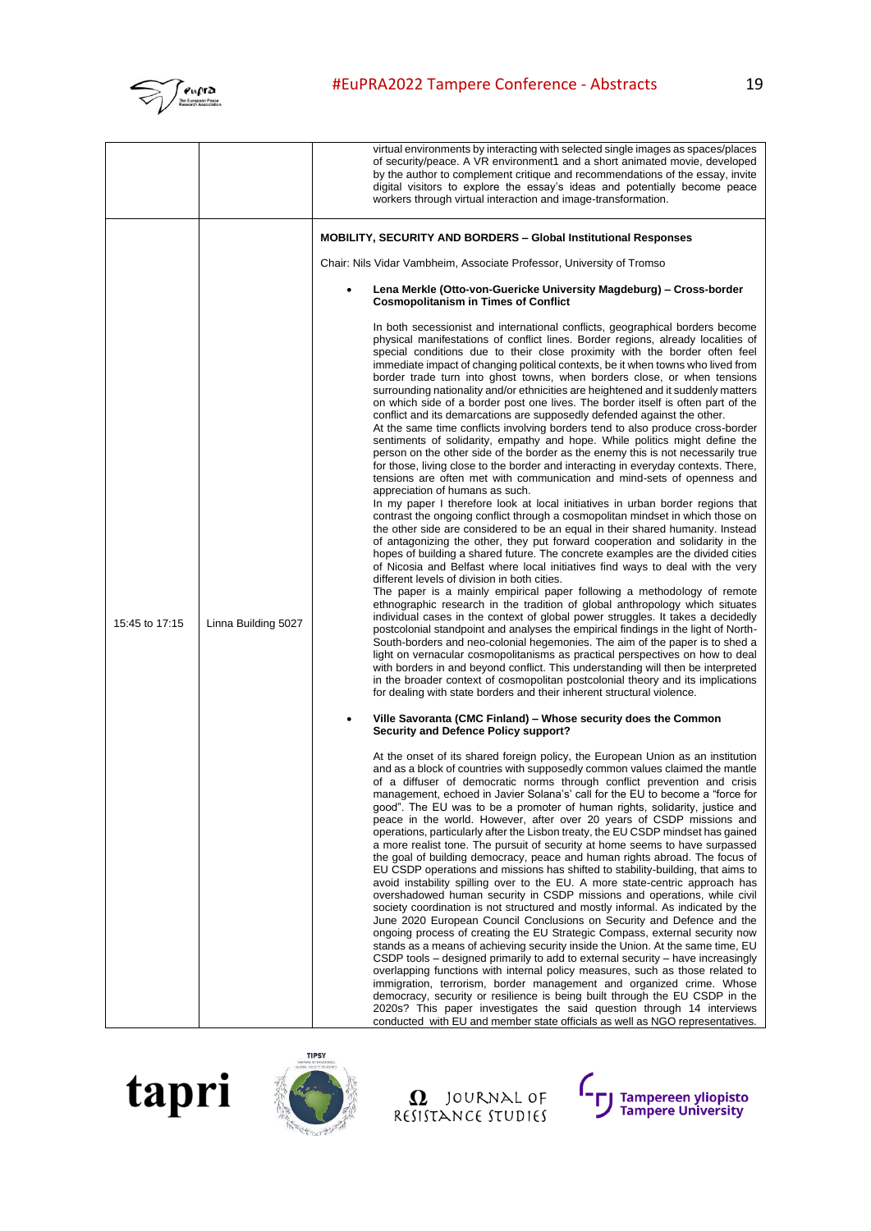

|                |                     | virtual environments by interacting with selected single images as spaces/places<br>of security/peace. A VR environment1 and a short animated movie, developed<br>by the author to complement critique and recommendations of the essay, invite<br>digital visitors to explore the essay's ideas and potentially become peace<br>workers through virtual interaction and image-transformation.                                                                                                                                                                                                                                                                                                                                                                                                                                                                                                                                                                                                                                                                                                                                                                                                                                                                                                                                                                                                                                                                                                                                                                                                                                                                                                                                                                                                                                                                                                                                                                                                                                                                                                                                                                                                                                                                                                                                                                                                                                                  |
|----------------|---------------------|-------------------------------------------------------------------------------------------------------------------------------------------------------------------------------------------------------------------------------------------------------------------------------------------------------------------------------------------------------------------------------------------------------------------------------------------------------------------------------------------------------------------------------------------------------------------------------------------------------------------------------------------------------------------------------------------------------------------------------------------------------------------------------------------------------------------------------------------------------------------------------------------------------------------------------------------------------------------------------------------------------------------------------------------------------------------------------------------------------------------------------------------------------------------------------------------------------------------------------------------------------------------------------------------------------------------------------------------------------------------------------------------------------------------------------------------------------------------------------------------------------------------------------------------------------------------------------------------------------------------------------------------------------------------------------------------------------------------------------------------------------------------------------------------------------------------------------------------------------------------------------------------------------------------------------------------------------------------------------------------------------------------------------------------------------------------------------------------------------------------------------------------------------------------------------------------------------------------------------------------------------------------------------------------------------------------------------------------------------------------------------------------------------------------------------------------------|
|                |                     | <b>MOBILITY, SECURITY AND BORDERS - Global Institutional Responses</b>                                                                                                                                                                                                                                                                                                                                                                                                                                                                                                                                                                                                                                                                                                                                                                                                                                                                                                                                                                                                                                                                                                                                                                                                                                                                                                                                                                                                                                                                                                                                                                                                                                                                                                                                                                                                                                                                                                                                                                                                                                                                                                                                                                                                                                                                                                                                                                          |
| 15:45 to 17:15 |                     | Chair: Nils Vidar Vambheim, Associate Professor, University of Tromso                                                                                                                                                                                                                                                                                                                                                                                                                                                                                                                                                                                                                                                                                                                                                                                                                                                                                                                                                                                                                                                                                                                                                                                                                                                                                                                                                                                                                                                                                                                                                                                                                                                                                                                                                                                                                                                                                                                                                                                                                                                                                                                                                                                                                                                                                                                                                                           |
|                |                     | Lena Merkle (Otto-von-Guericke University Magdeburg) – Cross-border<br><b>Cosmopolitanism in Times of Conflict</b>                                                                                                                                                                                                                                                                                                                                                                                                                                                                                                                                                                                                                                                                                                                                                                                                                                                                                                                                                                                                                                                                                                                                                                                                                                                                                                                                                                                                                                                                                                                                                                                                                                                                                                                                                                                                                                                                                                                                                                                                                                                                                                                                                                                                                                                                                                                              |
|                | Linna Building 5027 | In both secessionist and international conflicts, geographical borders become<br>physical manifestations of conflict lines. Border regions, already localities of<br>special conditions due to their close proximity with the border often feel<br>immediate impact of changing political contexts, be it when towns who lived from<br>border trade turn into ghost towns, when borders close, or when tensions<br>surrounding nationality and/or ethnicities are heightened and it suddenly matters<br>on which side of a border post one lives. The border itself is often part of the<br>conflict and its demarcations are supposedly defended against the other.<br>At the same time conflicts involving borders tend to also produce cross-border<br>sentiments of solidarity, empathy and hope. While politics might define the<br>person on the other side of the border as the enemy this is not necessarily true<br>for those, living close to the border and interacting in everyday contexts. There,<br>tensions are often met with communication and mind-sets of openness and<br>appreciation of humans as such.<br>In my paper I therefore look at local initiatives in urban border regions that<br>contrast the ongoing conflict through a cosmopolitan mindset in which those on<br>the other side are considered to be an equal in their shared humanity. Instead<br>of antagonizing the other, they put forward cooperation and solidarity in the<br>hopes of building a shared future. The concrete examples are the divided cities<br>of Nicosia and Belfast where local initiatives find ways to deal with the very<br>different levels of division in both cities.<br>The paper is a mainly empirical paper following a methodology of remote<br>ethnographic research in the tradition of global anthropology which situates<br>individual cases in the context of global power struggles. It takes a decidedly<br>postcolonial standpoint and analyses the empirical findings in the light of North-<br>South-borders and neo-colonial hegemonies. The aim of the paper is to shed a<br>light on vernacular cosmopolitanisms as practical perspectives on how to deal<br>with borders in and beyond conflict. This understanding will then be interpreted<br>in the broader context of cosmopolitan postcolonial theory and its implications<br>for dealing with state borders and their inherent structural violence. |
|                |                     | Ville Savoranta (CMC Finland) – Whose security does the Common<br>$\bullet$<br><b>Security and Defence Policy support?</b>                                                                                                                                                                                                                                                                                                                                                                                                                                                                                                                                                                                                                                                                                                                                                                                                                                                                                                                                                                                                                                                                                                                                                                                                                                                                                                                                                                                                                                                                                                                                                                                                                                                                                                                                                                                                                                                                                                                                                                                                                                                                                                                                                                                                                                                                                                                      |
|                |                     | At the onset of its shared foreign policy, the European Union as an institution<br>and as a block of countries with supposedly common values claimed the mantle<br>of a diffuser of democratic norms through conflict prevention and crisis<br>management, echoed in Javier Solana's' call for the EU to become a "force for<br>good". The EU was to be a promoter of human rights, solidarity, justice and<br>peace in the world. However, after over 20 years of CSDP missions and<br>operations, particularly after the Lisbon treaty, the EU CSDP mindset has gained<br>a more realist tone. The pursuit of security at home seems to have surpassed<br>the goal of building democracy, peace and human rights abroad. The focus of<br>EU CSDP operations and missions has shifted to stability-building, that aims to<br>avoid instability spilling over to the EU. A more state-centric approach has<br>overshadowed human security in CSDP missions and operations, while civil<br>society coordination is not structured and mostly informal. As indicated by the<br>June 2020 European Council Conclusions on Security and Defence and the<br>ongoing process of creating the EU Strategic Compass, external security now<br>stands as a means of achieving security inside the Union. At the same time, EU<br>CSDP tools - designed primarily to add to external security - have increasingly<br>overlapping functions with internal policy measures, such as those related to<br>immigration, terrorism, border management and organized crime. Whose<br>democracy, security or resilience is being built through the EU CSDP in the<br>2020s? This paper investigates the said question through 14 interviews<br>conducted with EU and member state officials as well as NGO representatives.                                                                                                                                                                                                                                                                                                                                                                                                                                                                                                                                                                                                                                       |





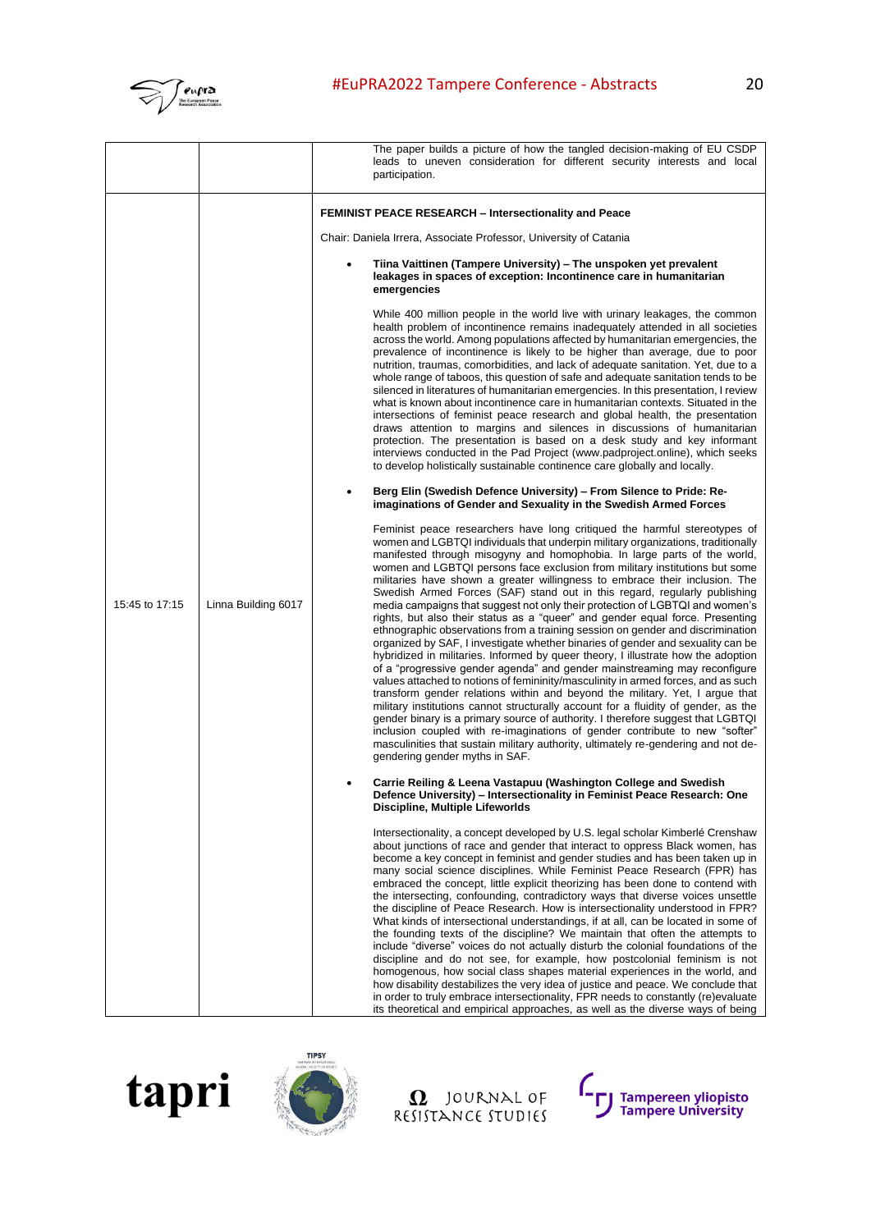

|                |                     | The paper builds a picture of how the tangled decision-making of EU CSDP<br>leads to uneven consideration for different security interests and local<br>participation.                                                                                                                                                                                                                                                                                                                                                                                                                                                                                                                                                                                                                                                                                                                                                                                                                                                                                                                                                                                                                                                                                                                                                                                                                                                                                                                                                                                                                                                                                                                                                                                                                                                                                                                                                                                                                                                                                                                                                                                                                                                                                                                                                                                                                                                                                                                                                                                                                                                                                                                                                                                                                                                                                                                                                                                                                                                                          |
|----------------|---------------------|-------------------------------------------------------------------------------------------------------------------------------------------------------------------------------------------------------------------------------------------------------------------------------------------------------------------------------------------------------------------------------------------------------------------------------------------------------------------------------------------------------------------------------------------------------------------------------------------------------------------------------------------------------------------------------------------------------------------------------------------------------------------------------------------------------------------------------------------------------------------------------------------------------------------------------------------------------------------------------------------------------------------------------------------------------------------------------------------------------------------------------------------------------------------------------------------------------------------------------------------------------------------------------------------------------------------------------------------------------------------------------------------------------------------------------------------------------------------------------------------------------------------------------------------------------------------------------------------------------------------------------------------------------------------------------------------------------------------------------------------------------------------------------------------------------------------------------------------------------------------------------------------------------------------------------------------------------------------------------------------------------------------------------------------------------------------------------------------------------------------------------------------------------------------------------------------------------------------------------------------------------------------------------------------------------------------------------------------------------------------------------------------------------------------------------------------------------------------------------------------------------------------------------------------------------------------------------------------------------------------------------------------------------------------------------------------------------------------------------------------------------------------------------------------------------------------------------------------------------------------------------------------------------------------------------------------------------------------------------------------------------------------------------------------------|
| 15:45 to 17:15 | Linna Building 6017 | <b>FEMINIST PEACE RESEARCH - Intersectionality and Peace</b><br>Chair: Daniela Irrera, Associate Professor, University of Catania<br>Tiina Vaittinen (Tampere University) – The unspoken yet prevalent<br>leakages in spaces of exception: Incontinence care in humanitarian<br>emergencies<br>While 400 million people in the world live with urinary leakages, the common<br>health problem of incontinence remains inadequately attended in all societies<br>across the world. Among populations affected by humanitarian emergencies, the<br>prevalence of incontinence is likely to be higher than average, due to poor<br>nutrition, traumas, comorbidities, and lack of adequate sanitation. Yet, due to a<br>whole range of taboos, this question of safe and adequate sanitation tends to be<br>silenced in literatures of humanitarian emergencies. In this presentation, I review<br>what is known about incontinence care in humanitarian contexts. Situated in the<br>intersections of feminist peace research and global health, the presentation<br>draws attention to margins and silences in discussions of humanitarian<br>protection. The presentation is based on a desk study and key informant<br>interviews conducted in the Pad Project (www.padproject.online), which seeks<br>to develop holistically sustainable continence care globally and locally.<br>Berg Elin (Swedish Defence University) - From Silence to Pride: Re-<br>imaginations of Gender and Sexuality in the Swedish Armed Forces<br>Feminist peace researchers have long critiqued the harmful stereotypes of<br>women and LGBTQI individuals that underpin military organizations, traditionally<br>manifested through misogyny and homophobia. In large parts of the world,<br>women and LGBTQI persons face exclusion from military institutions but some<br>militaries have shown a greater willingness to embrace their inclusion. The<br>Swedish Armed Forces (SAF) stand out in this regard, regularly publishing<br>media campaigns that suggest not only their protection of LGBTQI and women's<br>rights, but also their status as a "queer" and gender equal force. Presenting<br>ethnographic observations from a training session on gender and discrimination<br>organized by SAF, I investigate whether binaries of gender and sexuality can be<br>hybridized in militaries. Informed by queer theory, I illustrate how the adoption<br>of a "progressive gender agenda" and gender mainstreaming may reconfigure<br>values attached to notions of femininity/masculinity in armed forces, and as such<br>transform gender relations within and beyond the military. Yet, I argue that<br>military institutions cannot structurally account for a fluidity of gender, as the<br>gender binary is a primary source of authority. I therefore suggest that LGBTQI<br>inclusion coupled with re-imaginations of gender contribute to new "softer"<br>masculinities that sustain military authority, ultimately re-gendering and not de- |
|                |                     | gendering gender myths in SAF.<br>Carrie Reiling & Leena Vastapuu (Washington College and Swedish<br>Defence University) – Intersectionality in Feminist Peace Research: One                                                                                                                                                                                                                                                                                                                                                                                                                                                                                                                                                                                                                                                                                                                                                                                                                                                                                                                                                                                                                                                                                                                                                                                                                                                                                                                                                                                                                                                                                                                                                                                                                                                                                                                                                                                                                                                                                                                                                                                                                                                                                                                                                                                                                                                                                                                                                                                                                                                                                                                                                                                                                                                                                                                                                                                                                                                                    |
|                |                     |                                                                                                                                                                                                                                                                                                                                                                                                                                                                                                                                                                                                                                                                                                                                                                                                                                                                                                                                                                                                                                                                                                                                                                                                                                                                                                                                                                                                                                                                                                                                                                                                                                                                                                                                                                                                                                                                                                                                                                                                                                                                                                                                                                                                                                                                                                                                                                                                                                                                                                                                                                                                                                                                                                                                                                                                                                                                                                                                                                                                                                                 |





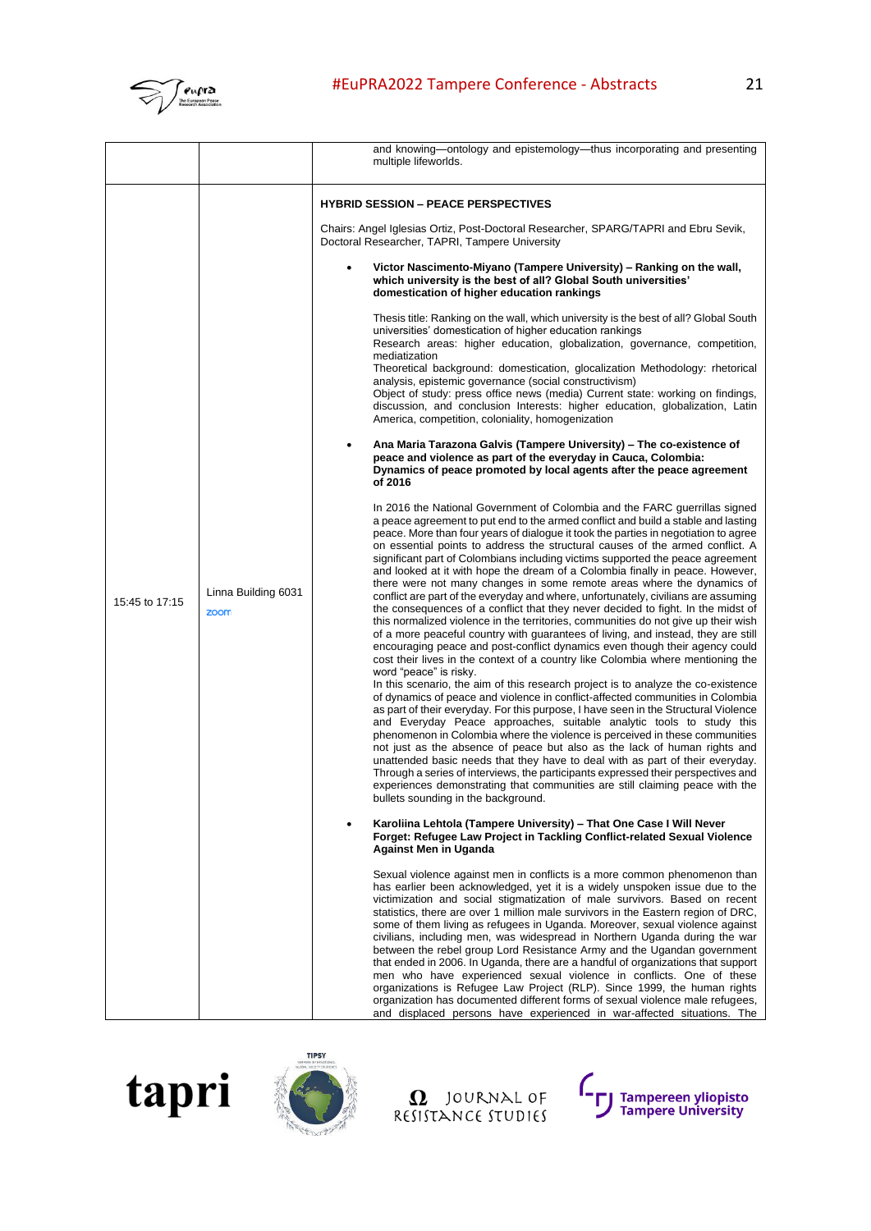

|                |                             | and knowing-ontology and epistemology-thus incorporating and presenting<br>multiple lifeworlds.                                                                                                                                                                                                                                                                                                                                                                                                                                                                                                                                                                                                                                                                                                                                                                                                                                                                                                                                                                                                                                                                                                                                                                                                                                                                                                                                                                                                                                                                                                                                                                                                                                                                                                                                                                                                                                                                                                             |
|----------------|-----------------------------|-------------------------------------------------------------------------------------------------------------------------------------------------------------------------------------------------------------------------------------------------------------------------------------------------------------------------------------------------------------------------------------------------------------------------------------------------------------------------------------------------------------------------------------------------------------------------------------------------------------------------------------------------------------------------------------------------------------------------------------------------------------------------------------------------------------------------------------------------------------------------------------------------------------------------------------------------------------------------------------------------------------------------------------------------------------------------------------------------------------------------------------------------------------------------------------------------------------------------------------------------------------------------------------------------------------------------------------------------------------------------------------------------------------------------------------------------------------------------------------------------------------------------------------------------------------------------------------------------------------------------------------------------------------------------------------------------------------------------------------------------------------------------------------------------------------------------------------------------------------------------------------------------------------------------------------------------------------------------------------------------------------|
|                |                             | <b>HYBRID SESSION – PEACE PERSPECTIVES</b>                                                                                                                                                                                                                                                                                                                                                                                                                                                                                                                                                                                                                                                                                                                                                                                                                                                                                                                                                                                                                                                                                                                                                                                                                                                                                                                                                                                                                                                                                                                                                                                                                                                                                                                                                                                                                                                                                                                                                                  |
| 15:45 to 17:15 |                             | Chairs: Angel Iglesias Ortiz, Post-Doctoral Researcher, SPARG/TAPRI and Ebru Sevik,<br>Doctoral Researcher, TAPRI, Tampere University                                                                                                                                                                                                                                                                                                                                                                                                                                                                                                                                                                                                                                                                                                                                                                                                                                                                                                                                                                                                                                                                                                                                                                                                                                                                                                                                                                                                                                                                                                                                                                                                                                                                                                                                                                                                                                                                       |
|                |                             | Victor Nascimento-Miyano (Tampere University) – Ranking on the wall,<br>$\bullet$<br>which university is the best of all? Global South universities'<br>domestication of higher education rankings                                                                                                                                                                                                                                                                                                                                                                                                                                                                                                                                                                                                                                                                                                                                                                                                                                                                                                                                                                                                                                                                                                                                                                                                                                                                                                                                                                                                                                                                                                                                                                                                                                                                                                                                                                                                          |
|                |                             | Thesis title: Ranking on the wall, which university is the best of all? Global South<br>universities' domestication of higher education rankings<br>Research areas: higher education, globalization, governance, competition,<br>mediatization                                                                                                                                                                                                                                                                                                                                                                                                                                                                                                                                                                                                                                                                                                                                                                                                                                                                                                                                                                                                                                                                                                                                                                                                                                                                                                                                                                                                                                                                                                                                                                                                                                                                                                                                                              |
|                |                             | Theoretical background: domestication, glocalization Methodology: rhetorical<br>analysis, epistemic governance (social constructivism)<br>Object of study: press office news (media) Current state: working on findings,<br>discussion, and conclusion Interests: higher education, globalization, Latin<br>America, competition, coloniality, homogenization                                                                                                                                                                                                                                                                                                                                                                                                                                                                                                                                                                                                                                                                                                                                                                                                                                                                                                                                                                                                                                                                                                                                                                                                                                                                                                                                                                                                                                                                                                                                                                                                                                               |
|                | Linna Building 6031<br>zoom | Ana Maria Tarazona Galvis (Tampere University) – The co-existence of<br>$\bullet$<br>peace and violence as part of the everyday in Cauca, Colombia:<br>Dynamics of peace promoted by local agents after the peace agreement<br>of 2016                                                                                                                                                                                                                                                                                                                                                                                                                                                                                                                                                                                                                                                                                                                                                                                                                                                                                                                                                                                                                                                                                                                                                                                                                                                                                                                                                                                                                                                                                                                                                                                                                                                                                                                                                                      |
|                |                             | In 2016 the National Government of Colombia and the FARC guerrillas signed<br>a peace agreement to put end to the armed conflict and build a stable and lasting<br>peace. More than four years of dialogue it took the parties in negotiation to agree<br>on essential points to address the structural causes of the armed conflict. A<br>significant part of Colombians including victims supported the peace agreement<br>and looked at it with hope the dream of a Colombia finally in peace. However,<br>there were not many changes in some remote areas where the dynamics of<br>conflict are part of the everyday and where, unfortunately, civilians are assuming<br>the consequences of a conflict that they never decided to fight. In the midst of<br>this normalized violence in the territories, communities do not give up their wish<br>of a more peaceful country with guarantees of living, and instead, they are still<br>encouraging peace and post-conflict dynamics even though their agency could<br>cost their lives in the context of a country like Colombia where mentioning the<br>word "peace" is risky.<br>In this scenario, the aim of this research project is to analyze the co-existence<br>of dynamics of peace and violence in conflict-affected communities in Colombia<br>as part of their everyday. For this purpose, I have seen in the Structural Violence<br>and Everyday Peace approaches, suitable analytic tools to study this<br>phenomenon in Colombia where the violence is perceived in these communities<br>not just as the absence of peace but also as the lack of human rights and<br>unattended basic needs that they have to deal with as part of their everyday.<br>Through a series of interviews, the participants expressed their perspectives and<br>experiences demonstrating that communities are still claiming peace with the<br>bullets sounding in the background.<br>Karoliina Lehtola (Tampere University) – That One Case I Will Never |
|                |                             | Forget: Refugee Law Project in Tackling Conflict-related Sexual Violence<br><b>Against Men in Uganda</b>                                                                                                                                                                                                                                                                                                                                                                                                                                                                                                                                                                                                                                                                                                                                                                                                                                                                                                                                                                                                                                                                                                                                                                                                                                                                                                                                                                                                                                                                                                                                                                                                                                                                                                                                                                                                                                                                                                    |
|                |                             | Sexual violence against men in conflicts is a more common phenomenon than<br>has earlier been acknowledged, yet it is a widely unspoken issue due to the<br>victimization and social stigmatization of male survivors. Based on recent<br>statistics, there are over 1 million male survivors in the Eastern region of DRC.<br>some of them living as refugees in Uganda. Moreover, sexual violence against<br>civilians, including men, was widespread in Northern Uganda during the war<br>between the rebel group Lord Resistance Army and the Ugandan government<br>that ended in 2006. In Uganda, there are a handful of organizations that support<br>men who have experienced sexual violence in conflicts. One of these<br>organizations is Refugee Law Project (RLP). Since 1999, the human rights<br>organization has documented different forms of sexual violence male refugees,<br>and displaced persons have experienced in war-affected situations. The                                                                                                                                                                                                                                                                                                                                                                                                                                                                                                                                                                                                                                                                                                                                                                                                                                                                                                                                                                                                                                      |





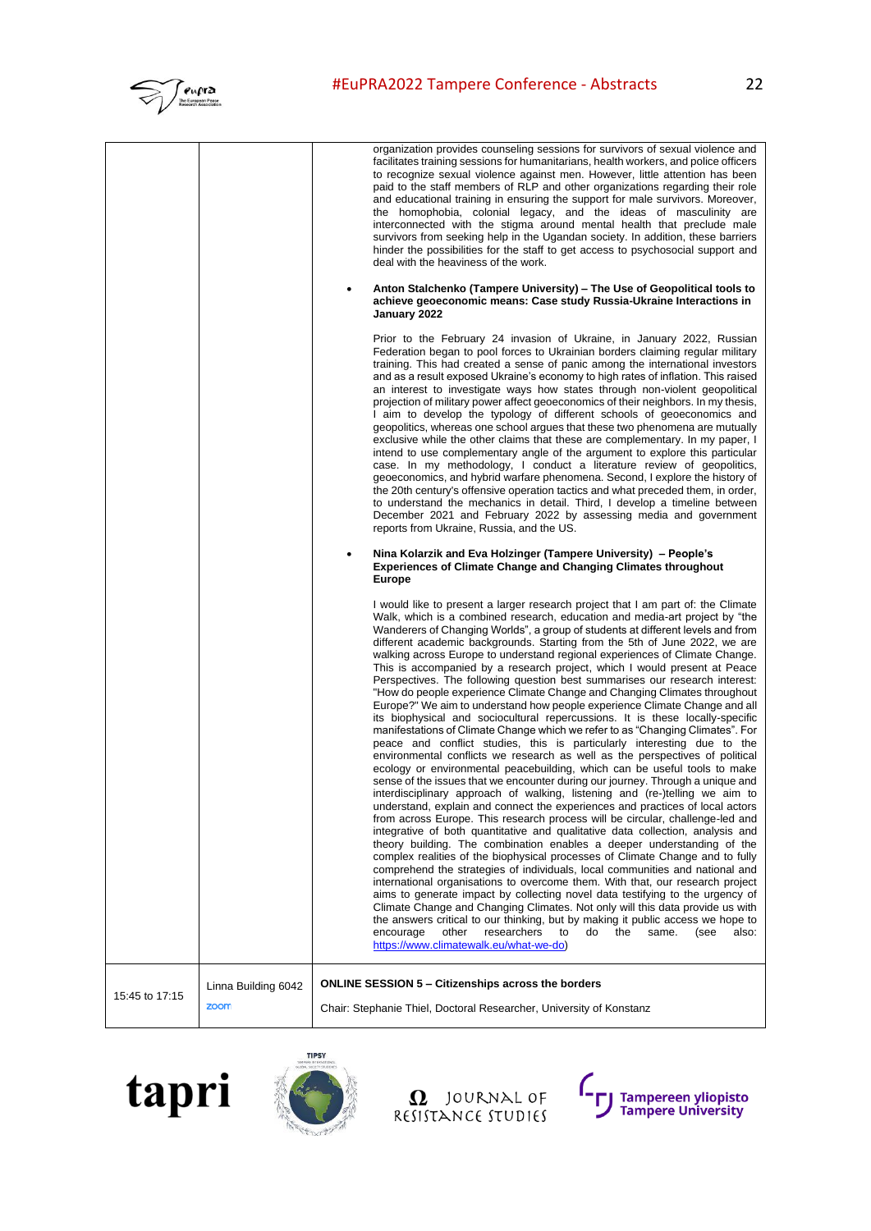

|                |                             | organization provides counseling sessions for survivors of sexual violence and<br>facilitates training sessions for humanitarians, health workers, and police officers<br>to recognize sexual violence against men. However, little attention has been<br>paid to the staff members of RLP and other organizations regarding their role<br>and educational training in ensuring the support for male survivors. Moreover,<br>the homophobia, colonial legacy, and the ideas of masculinity are<br>interconnected with the stigma around mental health that preclude male<br>survivors from seeking help in the Ugandan society. In addition, these barriers<br>hinder the possibilities for the staff to get access to psychosocial support and<br>deal with the heaviness of the work.                                                                                                                                                                                                                                                                                                                                                                                                                                                                                                                                                                                                                                                                                                                                                                                                                                                                                                                                                                                                                                                                                                                                                                                                                                                                                                                                                                                                                                                                                             |
|----------------|-----------------------------|-------------------------------------------------------------------------------------------------------------------------------------------------------------------------------------------------------------------------------------------------------------------------------------------------------------------------------------------------------------------------------------------------------------------------------------------------------------------------------------------------------------------------------------------------------------------------------------------------------------------------------------------------------------------------------------------------------------------------------------------------------------------------------------------------------------------------------------------------------------------------------------------------------------------------------------------------------------------------------------------------------------------------------------------------------------------------------------------------------------------------------------------------------------------------------------------------------------------------------------------------------------------------------------------------------------------------------------------------------------------------------------------------------------------------------------------------------------------------------------------------------------------------------------------------------------------------------------------------------------------------------------------------------------------------------------------------------------------------------------------------------------------------------------------------------------------------------------------------------------------------------------------------------------------------------------------------------------------------------------------------------------------------------------------------------------------------------------------------------------------------------------------------------------------------------------------------------------------------------------------------------------------------------------|
|                |                             | Anton Stalchenko (Tampere University) – The Use of Geopolitical tools to<br>achieve geoeconomic means: Case study Russia-Ukraine Interactions in<br>January 2022                                                                                                                                                                                                                                                                                                                                                                                                                                                                                                                                                                                                                                                                                                                                                                                                                                                                                                                                                                                                                                                                                                                                                                                                                                                                                                                                                                                                                                                                                                                                                                                                                                                                                                                                                                                                                                                                                                                                                                                                                                                                                                                    |
|                |                             | Prior to the February 24 invasion of Ukraine, in January 2022, Russian<br>Federation began to pool forces to Ukrainian borders claiming regular military<br>training. This had created a sense of panic among the international investors<br>and as a result exposed Ukraine's economy to high rates of inflation. This raised<br>an interest to investigate ways how states through non-violent geopolitical<br>projection of military power affect geoeconomics of their neighbors. In my thesis,<br>I aim to develop the typology of different schools of geoeconomics and<br>geopolitics, whereas one school argues that these two phenomena are mutually<br>exclusive while the other claims that these are complementary. In my paper, I<br>intend to use complementary angle of the argument to explore this particular<br>case. In my methodology, I conduct a literature review of geopolitics,<br>geoeconomics, and hybrid warfare phenomena. Second, I explore the history of<br>the 20th century's offensive operation tactics and what preceded them, in order,<br>to understand the mechanics in detail. Third, I develop a timeline between<br>December 2021 and February 2022 by assessing media and government<br>reports from Ukraine, Russia, and the US.                                                                                                                                                                                                                                                                                                                                                                                                                                                                                                                                                                                                                                                                                                                                                                                                                                                                                                                                                                                                        |
|                |                             | Nina Kolarzik and Eva Holzinger (Tampere University) – People's<br><b>Experiences of Climate Change and Changing Climates throughout</b><br><b>Europe</b>                                                                                                                                                                                                                                                                                                                                                                                                                                                                                                                                                                                                                                                                                                                                                                                                                                                                                                                                                                                                                                                                                                                                                                                                                                                                                                                                                                                                                                                                                                                                                                                                                                                                                                                                                                                                                                                                                                                                                                                                                                                                                                                           |
|                |                             | I would like to present a larger research project that I am part of: the Climate<br>Walk, which is a combined research, education and media-art project by "the<br>Wanderers of Changing Worlds", a group of students at different levels and from<br>different academic backgrounds. Starting from the 5th of June 2022, we are<br>walking across Europe to understand regional experiences of Climate Change.<br>This is accompanied by a research project, which I would present at Peace<br>Perspectives. The following question best summarises our research interest:<br>"How do people experience Climate Change and Changing Climates throughout<br>Europe?" We aim to understand how people experience Climate Change and all<br>its biophysical and sociocultural repercussions. It is these locally-specific<br>manifestations of Climate Change which we refer to as "Changing Climates". For<br>peace and conflict studies, this is particularly interesting due to the<br>environmental conflicts we research as well as the perspectives of political<br>ecology or environmental peacebuilding, which can be useful tools to make<br>sense of the issues that we encounter during our journey. Through a unique and<br>interdisciplinary approach of walking, listening and (re-)telling we aim to<br>understand, explain and connect the experiences and practices of local actors<br>from across Europe. This research process will be circular, challenge-led and<br>integrative of both quantitative and qualitative data collection, analysis and<br>theory building. The combination enables a deeper understanding of the<br>complex realities of the biophysical processes of Climate Change and to fully<br>comprehend the strategies of individuals, local communities and national and<br>international organisations to overcome them. With that, our research project<br>aims to generate impact by collecting novel data testifying to the urgency of<br>Climate Change and Changing Climates. Not only will this data provide us with<br>the answers critical to our thinking, but by making it public access we hope to<br>other<br>researchers<br>do<br>the<br>encourage<br>to<br>same.<br>(see<br>also:<br>https://www.climatewalk.eu/what-we-do) |
| 15:45 to 17:15 | Linna Building 6042<br>zoom | <b>ONLINE SESSION 5 - Citizenships across the borders</b><br>Chair: Stephanie Thiel, Doctoral Researcher, University of Konstanz                                                                                                                                                                                                                                                                                                                                                                                                                                                                                                                                                                                                                                                                                                                                                                                                                                                                                                                                                                                                                                                                                                                                                                                                                                                                                                                                                                                                                                                                                                                                                                                                                                                                                                                                                                                                                                                                                                                                                                                                                                                                                                                                                    |





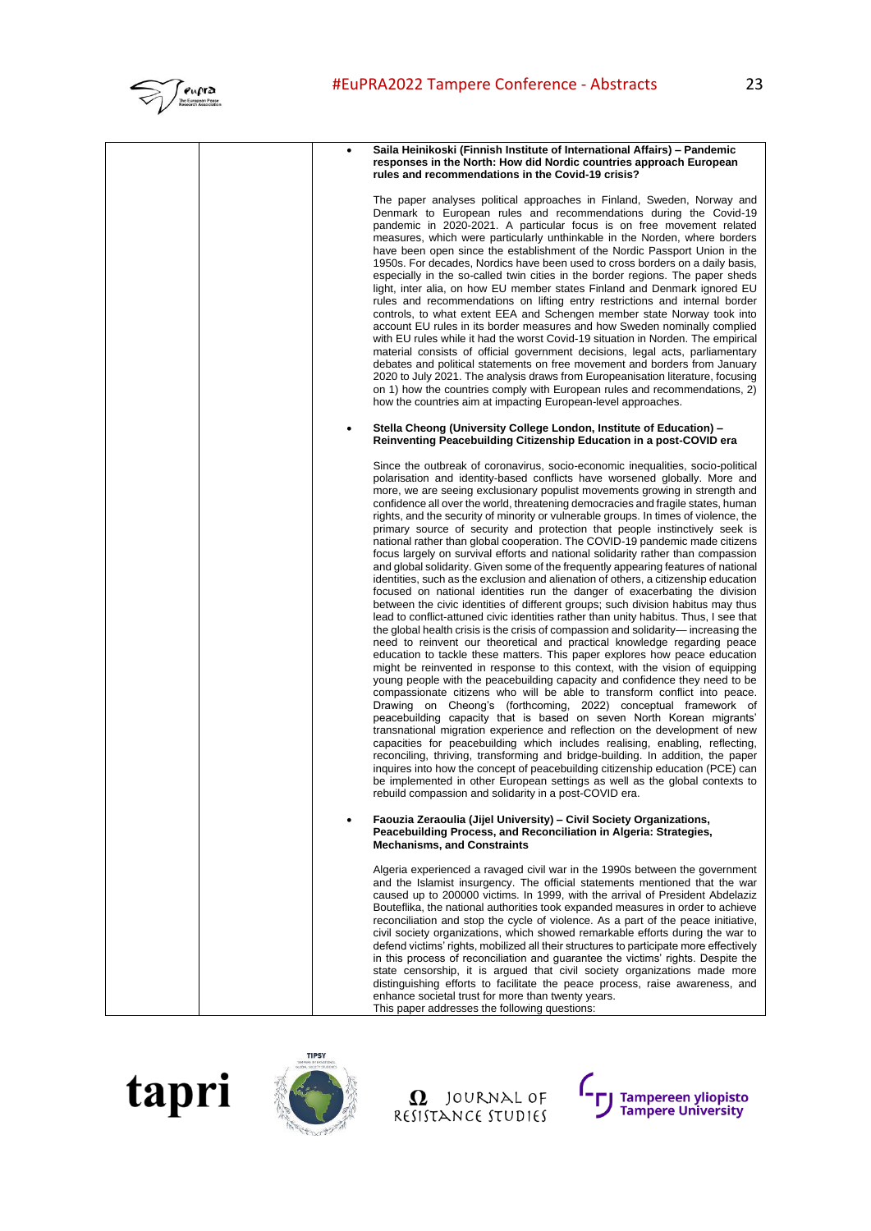

|  | ٠ | Saila Heinikoski (Finnish Institute of International Affairs) – Pandemic<br>responses in the North: How did Nordic countries approach European<br>rules and recommendations in the Covid-19 crisis?                                                                                                                                                                                                                                                                                                                                                                                                                                                                                                                                                                                                                                                                                                                                                                                                                                                                                                                                                                                                                                                                                                                                                                                                                                                                                                                                                                                                                                                                                                                                                                                                                                                                                                                                                                                                                                                                                                                                                                                                                                       |
|--|---|-------------------------------------------------------------------------------------------------------------------------------------------------------------------------------------------------------------------------------------------------------------------------------------------------------------------------------------------------------------------------------------------------------------------------------------------------------------------------------------------------------------------------------------------------------------------------------------------------------------------------------------------------------------------------------------------------------------------------------------------------------------------------------------------------------------------------------------------------------------------------------------------------------------------------------------------------------------------------------------------------------------------------------------------------------------------------------------------------------------------------------------------------------------------------------------------------------------------------------------------------------------------------------------------------------------------------------------------------------------------------------------------------------------------------------------------------------------------------------------------------------------------------------------------------------------------------------------------------------------------------------------------------------------------------------------------------------------------------------------------------------------------------------------------------------------------------------------------------------------------------------------------------------------------------------------------------------------------------------------------------------------------------------------------------------------------------------------------------------------------------------------------------------------------------------------------------------------------------------------------|
|  |   | The paper analyses political approaches in Finland, Sweden, Norway and<br>Denmark to European rules and recommendations during the Covid-19<br>pandemic in 2020-2021. A particular focus is on free movement related<br>measures, which were particularly unthinkable in the Norden, where borders<br>have been open since the establishment of the Nordic Passport Union in the<br>1950s. For decades, Nordics have been used to cross borders on a daily basis,<br>especially in the so-called twin cities in the border regions. The paper sheds<br>light, inter alia, on how EU member states Finland and Denmark ignored EU<br>rules and recommendations on lifting entry restrictions and internal border<br>controls, to what extent EEA and Schengen member state Norway took into<br>account EU rules in its border measures and how Sweden nominally complied<br>with EU rules while it had the worst Covid-19 situation in Norden. The empirical<br>material consists of official government decisions, legal acts, parliamentary<br>debates and political statements on free movement and borders from January<br>2020 to July 2021. The analysis draws from Europeanisation literature, focusing<br>on 1) how the countries comply with European rules and recommendations, 2)<br>how the countries aim at impacting European-level approaches.                                                                                                                                                                                                                                                                                                                                                                                                                                                                                                                                                                                                                                                                                                                                                                                                                                                                              |
|  |   | Stella Cheong (University College London, Institute of Education) -<br>Reinventing Peacebuilding Citizenship Education in a post-COVID era                                                                                                                                                                                                                                                                                                                                                                                                                                                                                                                                                                                                                                                                                                                                                                                                                                                                                                                                                                                                                                                                                                                                                                                                                                                                                                                                                                                                                                                                                                                                                                                                                                                                                                                                                                                                                                                                                                                                                                                                                                                                                                |
|  |   | Since the outbreak of coronavirus, socio-economic inequalities, socio-political<br>polarisation and identity-based conflicts have worsened globally. More and<br>more, we are seeing exclusionary populist movements growing in strength and<br>confidence all over the world, threatening democracies and fragile states, human<br>rights, and the security of minority or vulnerable groups. In times of violence, the<br>primary source of security and protection that people instinctively seek is<br>national rather than global cooperation. The COVID-19 pandemic made citizens<br>focus largely on survival efforts and national solidarity rather than compassion<br>and global solidarity. Given some of the frequently appearing features of national<br>identities, such as the exclusion and alienation of others, a citizenship education<br>focused on national identities run the danger of exacerbating the division<br>between the civic identities of different groups; such division habitus may thus<br>lead to conflict-attuned civic identities rather than unity habitus. Thus, I see that<br>the global health crisis is the crisis of compassion and solidarity— increasing the<br>need to reinvent our theoretical and practical knowledge regarding peace<br>education to tackle these matters. This paper explores how peace education<br>might be reinvented in response to this context, with the vision of equipping<br>young people with the peacebuilding capacity and confidence they need to be<br>compassionate citizens who will be able to transform conflict into peace.<br>Drawing on Cheong's (forthcoming, 2022) conceptual framework of<br>peacebuilding capacity that is based on seven North Korean migrants'<br>transnational migration experience and reflection on the development of new<br>capacities for peacebuilding which includes realising, enabling, reflecting,<br>reconciling, thriving, transforming and bridge-building. In addition, the paper<br>inquires into how the concept of peacebuilding citizenship education (PCE) can<br>be implemented in other European settings as well as the global contexts to<br>rebuild compassion and solidarity in a post-COVID era. |
|  |   | Faouzia Zeraoulia (Jijel University) – Civil Society Organizations,<br>Peacebuilding Process, and Reconciliation in Algeria: Strategies,<br><b>Mechanisms, and Constraints</b>                                                                                                                                                                                                                                                                                                                                                                                                                                                                                                                                                                                                                                                                                                                                                                                                                                                                                                                                                                                                                                                                                                                                                                                                                                                                                                                                                                                                                                                                                                                                                                                                                                                                                                                                                                                                                                                                                                                                                                                                                                                            |
|  |   | Algeria experienced a ravaged civil war in the 1990s between the government<br>and the Islamist insurgency. The official statements mentioned that the war<br>caused up to 200000 victims. In 1999, with the arrival of President Abdelaziz<br>Bouteflika, the national authorities took expanded measures in order to achieve<br>reconciliation and stop the cycle of violence. As a part of the peace initiative,<br>civil society organizations, which showed remarkable efforts during the war to<br>defend victims' rights, mobilized all their structures to participate more effectively<br>in this process of reconciliation and guarantee the victims' rights. Despite the<br>state censorship, it is argued that civil society organizations made more<br>distinguishing efforts to facilitate the peace process, raise awareness, and<br>enhance societal trust for more than twenty years.<br>This paper addresses the following questions:                                                                                                                                                                                                                                                                                                                                                                                                                                                                                                                                                                                                                                                                                                                                                                                                                                                                                                                                                                                                                                                                                                                                                                                                                                                                                   |





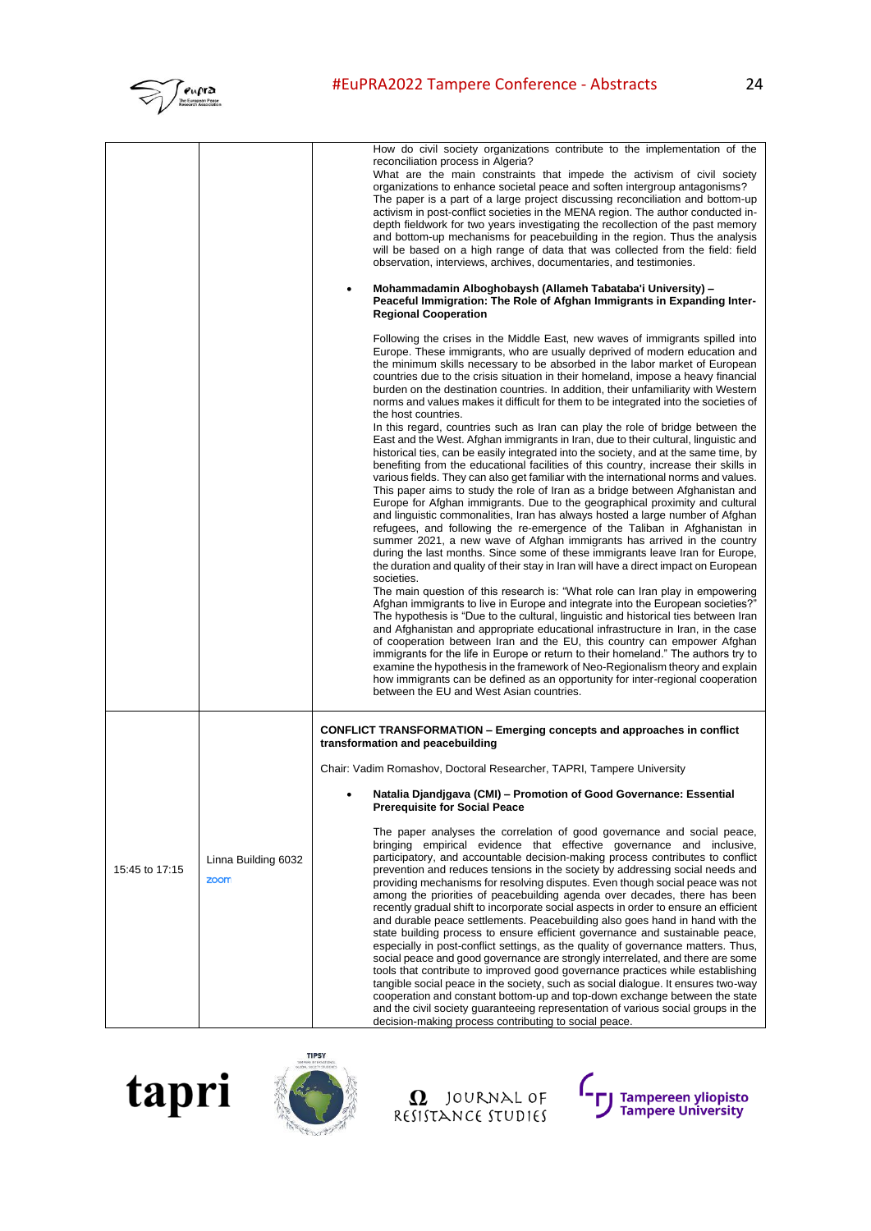

|                |                             | How do civil society organizations contribute to the implementation of the<br>reconciliation process in Algeria?<br>What are the main constraints that impede the activism of civil society<br>organizations to enhance societal peace and soften intergroup antagonisms?<br>The paper is a part of a large project discussing reconciliation and bottom-up<br>activism in post-conflict societies in the MENA region. The author conducted in-<br>depth fieldwork for two years investigating the recollection of the past memory<br>and bottom-up mechanisms for peacebuilding in the region. Thus the analysis<br>will be based on a high range of data that was collected from the field: field<br>observation, interviews, archives, documentaries, and testimonies.<br>Mohammadamin Alboghobaysh (Allameh Tabataba'i University) -<br>Peaceful Immigration: The Role of Afghan Immigrants in Expanding Inter-<br><b>Regional Cooperation</b><br>Following the crises in the Middle East, new waves of immigrants spilled into<br>Europe. These immigrants, who are usually deprived of modern education and<br>the minimum skills necessary to be absorbed in the labor market of European<br>countries due to the crisis situation in their homeland, impose a heavy financial<br>burden on the destination countries. In addition, their unfamiliarity with Western<br>norms and values makes it difficult for them to be integrated into the societies of<br>the host countries.<br>In this regard, countries such as Iran can play the role of bridge between the<br>East and the West. Afghan immigrants in Iran, due to their cultural, linguistic and<br>historical ties, can be easily integrated into the society, and at the same time, by<br>benefiting from the educational facilities of this country, increase their skills in<br>various fields. They can also get familiar with the international norms and values. |
|----------------|-----------------------------|-------------------------------------------------------------------------------------------------------------------------------------------------------------------------------------------------------------------------------------------------------------------------------------------------------------------------------------------------------------------------------------------------------------------------------------------------------------------------------------------------------------------------------------------------------------------------------------------------------------------------------------------------------------------------------------------------------------------------------------------------------------------------------------------------------------------------------------------------------------------------------------------------------------------------------------------------------------------------------------------------------------------------------------------------------------------------------------------------------------------------------------------------------------------------------------------------------------------------------------------------------------------------------------------------------------------------------------------------------------------------------------------------------------------------------------------------------------------------------------------------------------------------------------------------------------------------------------------------------------------------------------------------------------------------------------------------------------------------------------------------------------------------------------------------------------------------------------------------------------------------------------------------------------------------------------------|
|                |                             | This paper aims to study the role of Iran as a bridge between Afghanistan and<br>Europe for Afghan immigrants. Due to the geographical proximity and cultural<br>and linguistic commonalities, Iran has always hosted a large number of Afghan<br>refugees, and following the re-emergence of the Taliban in Afghanistan in<br>summer 2021, a new wave of Afghan immigrants has arrived in the country<br>during the last months. Since some of these immigrants leave Iran for Europe,<br>the duration and quality of their stay in Iran will have a direct impact on European<br>societies.<br>The main question of this research is: "What role can Iran play in empowering<br>Afghan immigrants to live in Europe and integrate into the European societies?"<br>The hypothesis is "Due to the cultural, linguistic and historical ties between Iran<br>and Afghanistan and appropriate educational infrastructure in Iran, in the case<br>of cooperation between Iran and the EU, this country can empower Afghan<br>immigrants for the life in Europe or return to their homeland." The authors try to<br>examine the hypothesis in the framework of Neo-Regionalism theory and explain<br>how immigrants can be defined as an opportunity for inter-regional cooperation<br>between the EU and West Asian countries.                                                                                                                                                                                                                                                                                                                                                                                                                                                                                                                                                                                                               |
| 15:45 to 17:15 | Linna Building 6032<br>zoom | <b>CONFLICT TRANSFORMATION – Emerging concepts and approaches in conflict</b><br>transformation and peacebuilding<br>Chair: Vadim Romashov, Doctoral Researcher, TAPRI, Tampere University<br>Natalia Djandjgava (CMI) - Promotion of Good Governance: Essential<br><b>Prerequisite for Social Peace</b><br>The paper analyses the correlation of good governance and social peace,<br>bringing empirical evidence that effective governance and inclusive,<br>participatory, and accountable decision-making process contributes to conflict<br>prevention and reduces tensions in the society by addressing social needs and<br>providing mechanisms for resolving disputes. Even though social peace was not<br>among the priorities of peacebuilding agenda over decades, there has been<br>recently gradual shift to incorporate social aspects in order to ensure an efficient<br>and durable peace settlements. Peacebuilding also goes hand in hand with the<br>state building process to ensure efficient governance and sustainable peace,<br>especially in post-conflict settings, as the quality of governance matters. Thus,<br>social peace and good governance are strongly interrelated, and there are some<br>tools that contribute to improved good governance practices while establishing<br>tangible social peace in the society, such as social dialogue. It ensures two-way<br>cooperation and constant bottom-up and top-down exchange between the state<br>and the civil society guaranteeing representation of various social groups in the<br>decision-making process contributing to social peace.                                                                                                                                                                                                                                                                                                            |





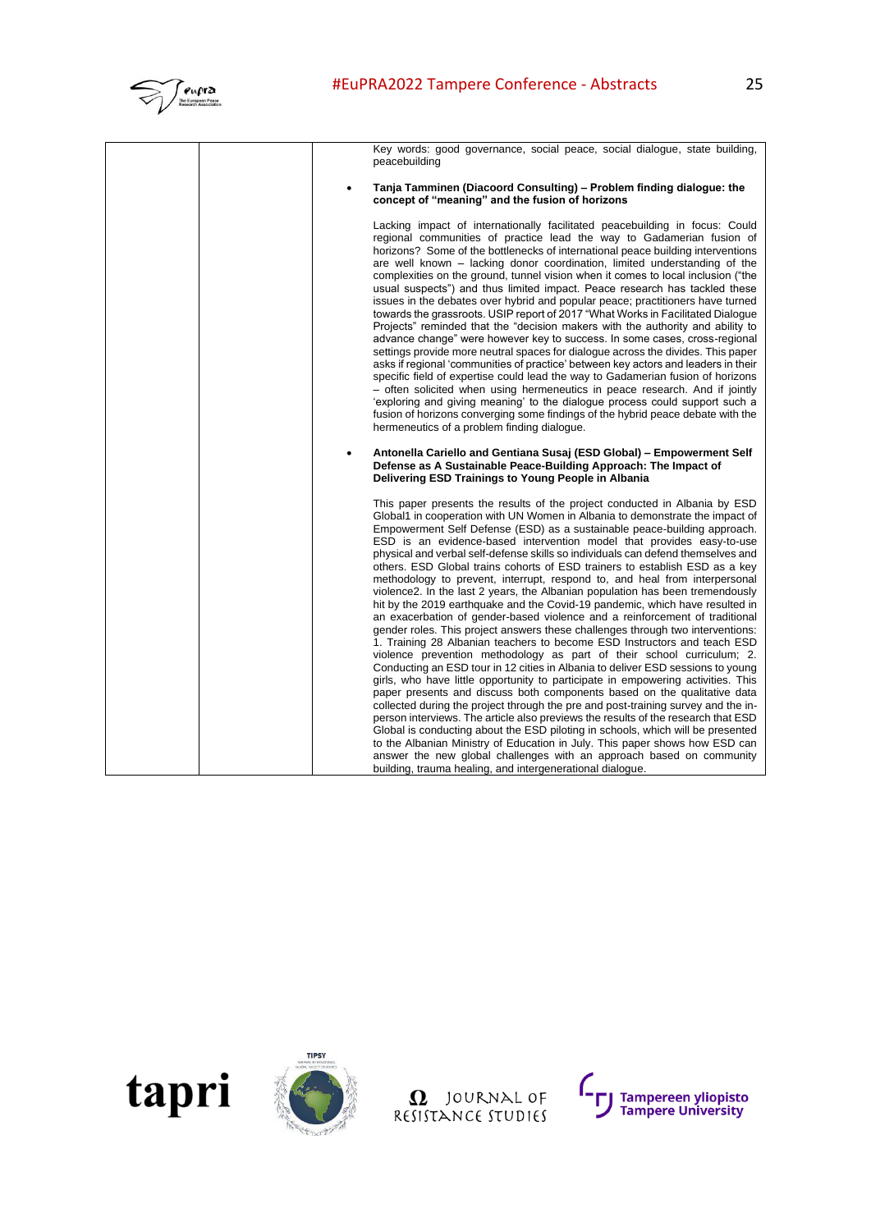

| Key words: good governance, social peace, social dialogue, state building,<br>peacebuilding                                                                                                                                                                                                                                                                                                                                                                                                                                                                                                                                                                                                                                                                                                                                                                                                                                                                                                                                                                                                                                                                                                                                                                                                                                                                                                                                                                                                                                                                                                                                                                                                                                                                                                   |
|-----------------------------------------------------------------------------------------------------------------------------------------------------------------------------------------------------------------------------------------------------------------------------------------------------------------------------------------------------------------------------------------------------------------------------------------------------------------------------------------------------------------------------------------------------------------------------------------------------------------------------------------------------------------------------------------------------------------------------------------------------------------------------------------------------------------------------------------------------------------------------------------------------------------------------------------------------------------------------------------------------------------------------------------------------------------------------------------------------------------------------------------------------------------------------------------------------------------------------------------------------------------------------------------------------------------------------------------------------------------------------------------------------------------------------------------------------------------------------------------------------------------------------------------------------------------------------------------------------------------------------------------------------------------------------------------------------------------------------------------------------------------------------------------------|
| Tanja Tamminen (Diacoord Consulting) - Problem finding dialogue: the<br>concept of "meaning" and the fusion of horizons                                                                                                                                                                                                                                                                                                                                                                                                                                                                                                                                                                                                                                                                                                                                                                                                                                                                                                                                                                                                                                                                                                                                                                                                                                                                                                                                                                                                                                                                                                                                                                                                                                                                       |
| Lacking impact of internationally facilitated peacebuilding in focus: Could<br>regional communities of practice lead the way to Gadamerian fusion of<br>horizons? Some of the bottlenecks of international peace building interventions<br>are well known – lacking donor coordination, limited understanding of the<br>complexities on the ground, tunnel vision when it comes to local inclusion ("the<br>usual suspects") and thus limited impact. Peace research has tackled these<br>issues in the debates over hybrid and popular peace; practitioners have turned<br>towards the grassroots. USIP report of 2017 "What Works in Facilitated Dialogue<br>Projects" reminded that the "decision makers with the authority and ability to<br>advance change" were however key to success. In some cases, cross-regional<br>settings provide more neutral spaces for dialogue across the divides. This paper<br>asks if regional 'communities of practice' between key actors and leaders in their<br>specific field of expertise could lead the way to Gadamerian fusion of horizons<br>- often solicited when using hermeneutics in peace research. And if jointly<br>'exploring and giving meaning' to the dialogue process could support such a<br>fusion of horizons converging some findings of the hybrid peace debate with the<br>hermeneutics of a problem finding dialogue.                                                                                                                                                                                                                                                                                                                                                                                                      |
| Antonella Cariello and Gentiana Susaj (ESD Global) - Empowerment Self<br>$\bullet$<br>Defense as A Sustainable Peace-Building Approach: The Impact of<br>Delivering ESD Trainings to Young People in Albania                                                                                                                                                                                                                                                                                                                                                                                                                                                                                                                                                                                                                                                                                                                                                                                                                                                                                                                                                                                                                                                                                                                                                                                                                                                                                                                                                                                                                                                                                                                                                                                  |
| This paper presents the results of the project conducted in Albania by ESD<br>Global1 in cooperation with UN Women in Albania to demonstrate the impact of<br>Empowerment Self Defense (ESD) as a sustainable peace-building approach.<br>ESD is an evidence-based intervention model that provides easy-to-use<br>physical and verbal self-defense skills so individuals can defend themselves and<br>others. ESD Global trains cohorts of ESD trainers to establish ESD as a key<br>methodology to prevent, interrupt, respond to, and heal from interpersonal<br>violence 2. In the last 2 years, the Albanian population has been tremendously<br>hit by the 2019 earthquake and the Covid-19 pandemic, which have resulted in<br>an exacerbation of gender-based violence and a reinforcement of traditional<br>gender roles. This project answers these challenges through two interventions:<br>1. Training 28 Albanian teachers to become ESD Instructors and teach ESD<br>violence prevention methodology as part of their school curriculum; 2.<br>Conducting an ESD tour in 12 cities in Albania to deliver ESD sessions to young<br>girls, who have little opportunity to participate in empowering activities. This<br>paper presents and discuss both components based on the qualitative data<br>collected during the project through the pre and post-training survey and the in-<br>person interviews. The article also previews the results of the research that ESD<br>Global is conducting about the ESD piloting in schools, which will be presented<br>to the Albanian Ministry of Education in July. This paper shows how ESD can<br>answer the new global challenges with an approach based on community<br>building, trauma healing, and intergenerational dialogue. |
|                                                                                                                                                                                                                                                                                                                                                                                                                                                                                                                                                                                                                                                                                                                                                                                                                                                                                                                                                                                                                                                                                                                                                                                                                                                                                                                                                                                                                                                                                                                                                                                                                                                                                                                                                                                               |





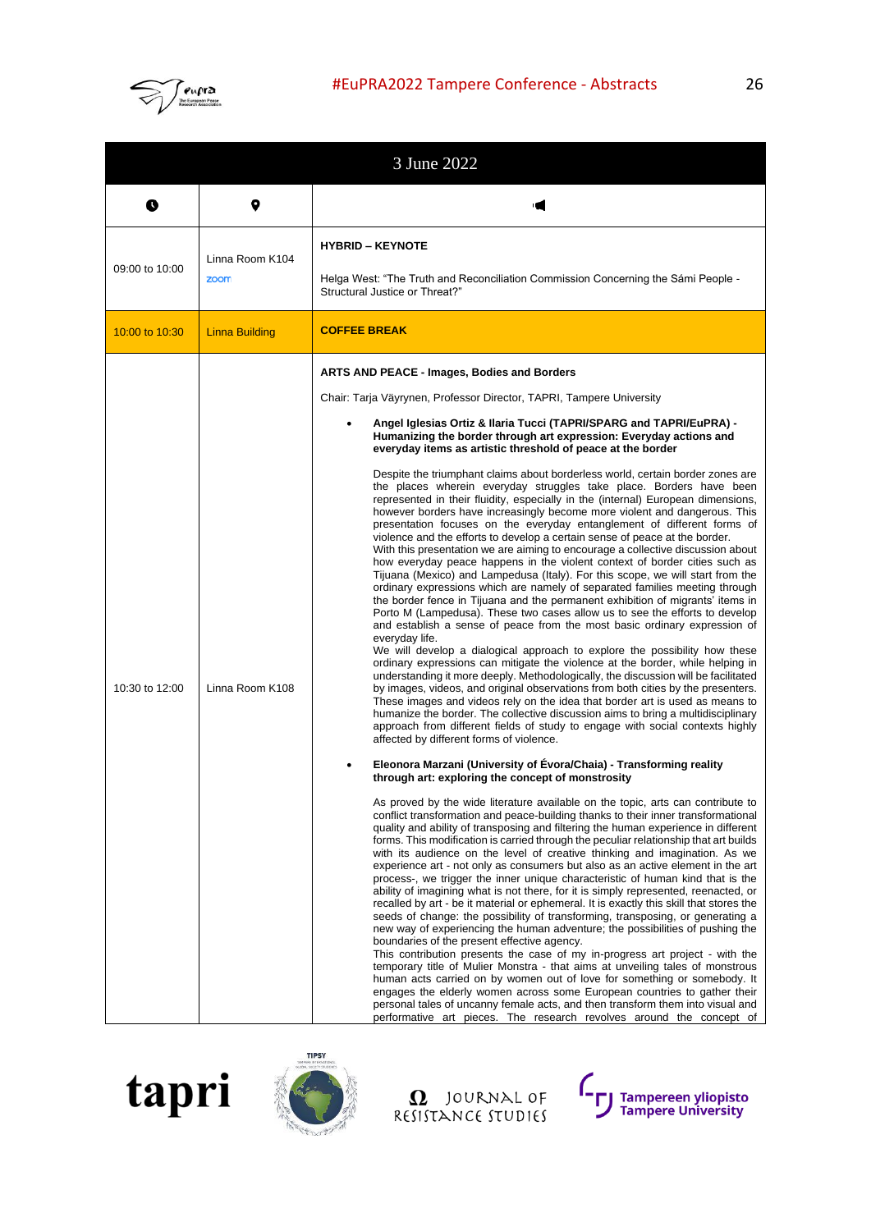

| 3 June 2022    |                         |                                                                                                                                                                                                                                                                                                                                                                                                                                                                                                                                                                                                                                                                                                                                                                                                                                                                                                                                                                                                                                                                                                                                                                                                                                                                                                                                                                                                                                                                                                                                                                                                                                                                                                                                                                                                                                                                                                                                                                                                                                                                                                                                                                                                                                                                                                                                                                                                                                                                                                                                                                                                                                                                                                                                                                                                                                                                                                                                                                                                                                                                                                                                                                                                                                                                                                                                                                                                                                                                                                                                                                                                                                                                                                      |
|----------------|-------------------------|------------------------------------------------------------------------------------------------------------------------------------------------------------------------------------------------------------------------------------------------------------------------------------------------------------------------------------------------------------------------------------------------------------------------------------------------------------------------------------------------------------------------------------------------------------------------------------------------------------------------------------------------------------------------------------------------------------------------------------------------------------------------------------------------------------------------------------------------------------------------------------------------------------------------------------------------------------------------------------------------------------------------------------------------------------------------------------------------------------------------------------------------------------------------------------------------------------------------------------------------------------------------------------------------------------------------------------------------------------------------------------------------------------------------------------------------------------------------------------------------------------------------------------------------------------------------------------------------------------------------------------------------------------------------------------------------------------------------------------------------------------------------------------------------------------------------------------------------------------------------------------------------------------------------------------------------------------------------------------------------------------------------------------------------------------------------------------------------------------------------------------------------------------------------------------------------------------------------------------------------------------------------------------------------------------------------------------------------------------------------------------------------------------------------------------------------------------------------------------------------------------------------------------------------------------------------------------------------------------------------------------------------------------------------------------------------------------------------------------------------------------------------------------------------------------------------------------------------------------------------------------------------------------------------------------------------------------------------------------------------------------------------------------------------------------------------------------------------------------------------------------------------------------------------------------------------------------------------------------------------------------------------------------------------------------------------------------------------------------------------------------------------------------------------------------------------------------------------------------------------------------------------------------------------------------------------------------------------------------------------------------------------------------------------------------------------------|
| O              | 9                       |                                                                                                                                                                                                                                                                                                                                                                                                                                                                                                                                                                                                                                                                                                                                                                                                                                                                                                                                                                                                                                                                                                                                                                                                                                                                                                                                                                                                                                                                                                                                                                                                                                                                                                                                                                                                                                                                                                                                                                                                                                                                                                                                                                                                                                                                                                                                                                                                                                                                                                                                                                                                                                                                                                                                                                                                                                                                                                                                                                                                                                                                                                                                                                                                                                                                                                                                                                                                                                                                                                                                                                                                                                                                                                      |
| 09:00 to 10:00 | Linna Room K104<br>zoom | <b>HYBRID - KEYNOTE</b><br>Helga West: "The Truth and Reconciliation Commission Concerning the Sámi People -<br>Structural Justice or Threat?"                                                                                                                                                                                                                                                                                                                                                                                                                                                                                                                                                                                                                                                                                                                                                                                                                                                                                                                                                                                                                                                                                                                                                                                                                                                                                                                                                                                                                                                                                                                                                                                                                                                                                                                                                                                                                                                                                                                                                                                                                                                                                                                                                                                                                                                                                                                                                                                                                                                                                                                                                                                                                                                                                                                                                                                                                                                                                                                                                                                                                                                                                                                                                                                                                                                                                                                                                                                                                                                                                                                                                       |
| 10:00 to 10:30 | <b>Linna Building</b>   | <b>COFFEE BREAK</b>                                                                                                                                                                                                                                                                                                                                                                                                                                                                                                                                                                                                                                                                                                                                                                                                                                                                                                                                                                                                                                                                                                                                                                                                                                                                                                                                                                                                                                                                                                                                                                                                                                                                                                                                                                                                                                                                                                                                                                                                                                                                                                                                                                                                                                                                                                                                                                                                                                                                                                                                                                                                                                                                                                                                                                                                                                                                                                                                                                                                                                                                                                                                                                                                                                                                                                                                                                                                                                                                                                                                                                                                                                                                                  |
| 10:30 to 12:00 | Linna Room K108         | <b>ARTS AND PEACE - Images, Bodies and Borders</b><br>Chair: Tarja Väyrynen, Professor Director, TAPRI, Tampere University<br>Angel Iglesias Ortiz & Ilaria Tucci (TAPRI/SPARG and TAPRI/EuPRA) -<br>Humanizing the border through art expression: Everyday actions and<br>everyday items as artistic threshold of peace at the border<br>Despite the triumphant claims about borderless world, certain border zones are<br>the places wherein everyday struggles take place. Borders have been<br>represented in their fluidity, especially in the (internal) European dimensions,<br>however borders have increasingly become more violent and dangerous. This<br>presentation focuses on the everyday entanglement of different forms of<br>violence and the efforts to develop a certain sense of peace at the border.<br>With this presentation we are aiming to encourage a collective discussion about<br>how everyday peace happens in the violent context of border cities such as<br>Tijuana (Mexico) and Lampedusa (Italy). For this scope, we will start from the<br>ordinary expressions which are namely of separated families meeting through<br>the border fence in Tijuana and the permanent exhibition of migrants' items in<br>Porto M (Lampedusa). These two cases allow us to see the efforts to develop<br>and establish a sense of peace from the most basic ordinary expression of<br>everyday life.<br>We will develop a dialogical approach to explore the possibility how these<br>ordinary expressions can mitigate the violence at the border, while helping in<br>understanding it more deeply. Methodologically, the discussion will be facilitated<br>by images, videos, and original observations from both cities by the presenters.<br>These images and videos rely on the idea that border art is used as means to<br>humanize the border. The collective discussion aims to bring a multidisciplinary<br>approach from different fields of study to engage with social contexts highly<br>affected by different forms of violence.<br>Eleonora Marzani (University of Évora/Chaia) - Transforming reality<br>through art: exploring the concept of monstrosity<br>As proved by the wide literature available on the topic, arts can contribute to<br>conflict transformation and peace-building thanks to their inner transformational<br>quality and ability of transposing and filtering the human experience in different<br>forms. This modification is carried through the peculiar relationship that art builds<br>with its audience on the level of creative thinking and imagination. As we<br>experience art - not only as consumers but also as an active element in the art<br>process-, we trigger the inner unique characteristic of human kind that is the<br>ability of imagining what is not there, for it is simply represented, reenacted, or<br>recalled by art - be it material or ephemeral. It is exactly this skill that stores the<br>seeds of change: the possibility of transforming, transposing, or generating a<br>new way of experiencing the human adventure; the possibilities of pushing the<br>boundaries of the present effective agency.<br>This contribution presents the case of my in-progress art project - with the<br>temporary title of Mulier Monstra - that aims at unveiling tales of monstrous<br>human acts carried on by women out of love for something or somebody. It<br>engages the elderly women across some European countries to gather their<br>personal tales of uncanny female acts, and then transform them into visual and<br>performative art pieces. The research revolves around the concept of |





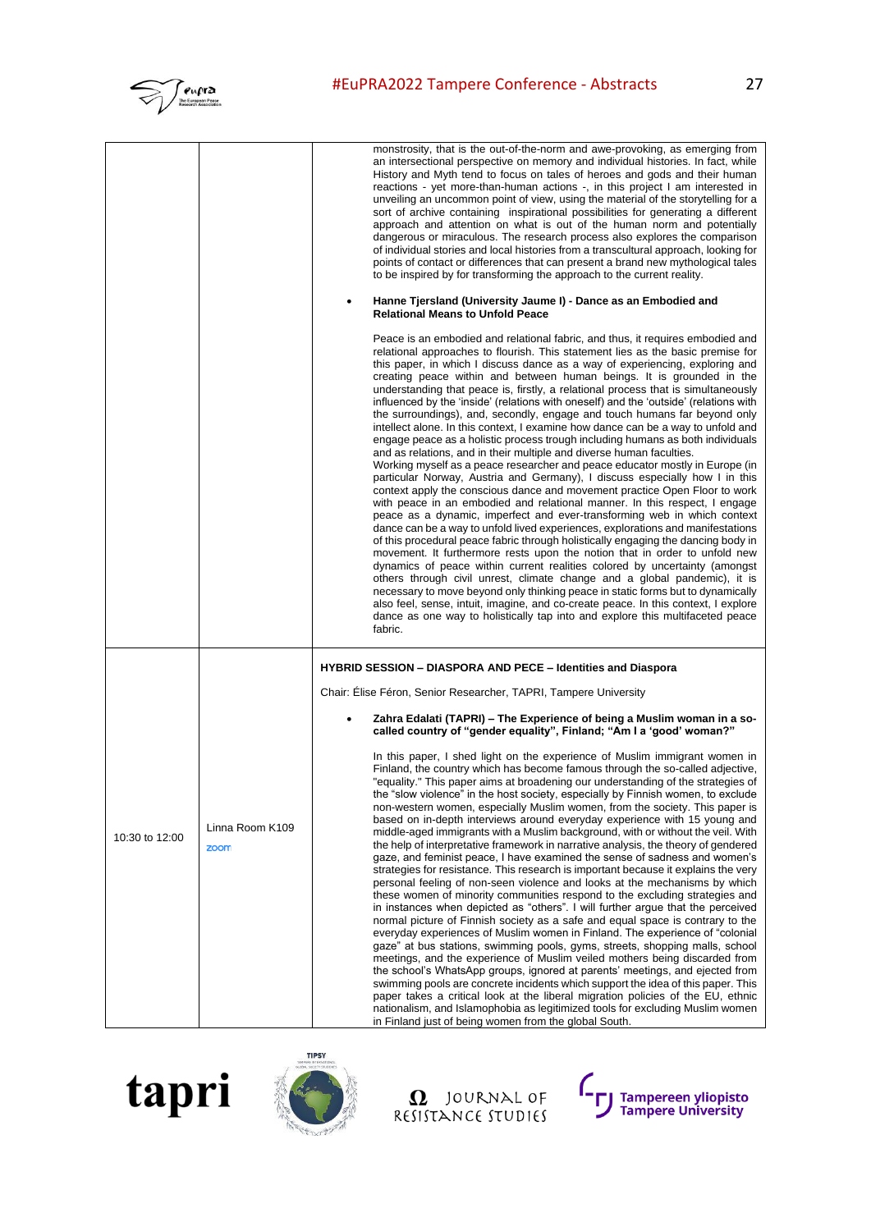

|                |                         | monstrosity, that is the out-of-the-norm and awe-provoking, as emerging from<br>an intersectional perspective on memory and individual histories. In fact, while<br>History and Myth tend to focus on tales of heroes and gods and their human<br>reactions - yet more-than-human actions -, in this project I am interested in<br>unveiling an uncommon point of view, using the material of the storytelling for a<br>sort of archive containing inspirational possibilities for generating a different<br>approach and attention on what is out of the human norm and potentially<br>dangerous or miraculous. The research process also explores the comparison<br>of individual stories and local histories from a transcultural approach, looking for<br>points of contact or differences that can present a brand new mythological tales<br>to be inspired by for transforming the approach to the current reality.                                                                                                                                                                                                                                                                                                                                                                                                                                                                                                                                                                                                                                                                                                                                                                                                                                                                                                                                                                                                                                                        |
|----------------|-------------------------|----------------------------------------------------------------------------------------------------------------------------------------------------------------------------------------------------------------------------------------------------------------------------------------------------------------------------------------------------------------------------------------------------------------------------------------------------------------------------------------------------------------------------------------------------------------------------------------------------------------------------------------------------------------------------------------------------------------------------------------------------------------------------------------------------------------------------------------------------------------------------------------------------------------------------------------------------------------------------------------------------------------------------------------------------------------------------------------------------------------------------------------------------------------------------------------------------------------------------------------------------------------------------------------------------------------------------------------------------------------------------------------------------------------------------------------------------------------------------------------------------------------------------------------------------------------------------------------------------------------------------------------------------------------------------------------------------------------------------------------------------------------------------------------------------------------------------------------------------------------------------------------------------------------------------------------------------------------------------------|
|                |                         | Hanne Tjersland (University Jaume I) - Dance as an Embodied and<br><b>Relational Means to Unfold Peace</b>                                                                                                                                                                                                                                                                                                                                                                                                                                                                                                                                                                                                                                                                                                                                                                                                                                                                                                                                                                                                                                                                                                                                                                                                                                                                                                                                                                                                                                                                                                                                                                                                                                                                                                                                                                                                                                                                       |
|                |                         | Peace is an embodied and relational fabric, and thus, it requires embodied and<br>relational approaches to flourish. This statement lies as the basic premise for<br>this paper, in which I discuss dance as a way of experiencing, exploring and<br>creating peace within and between human beings. It is grounded in the<br>understanding that peace is, firstly, a relational process that is simultaneously<br>influenced by the 'inside' (relations with oneself) and the 'outside' (relations with<br>the surroundings), and, secondly, engage and touch humans far beyond only<br>intellect alone. In this context, I examine how dance can be a way to unfold and<br>engage peace as a holistic process trough including humans as both individuals<br>and as relations, and in their multiple and diverse human faculties.<br>Working myself as a peace researcher and peace educator mostly in Europe (in<br>particular Norway, Austria and Germany), I discuss especially how I in this<br>context apply the conscious dance and movement practice Open Floor to work<br>with peace in an embodied and relational manner. In this respect, I engage<br>peace as a dynamic, imperfect and ever-transforming web in which context<br>dance can be a way to unfold lived experiences, explorations and manifestations<br>of this procedural peace fabric through holistically engaging the dancing body in<br>movement. It furthermore rests upon the notion that in order to unfold new<br>dynamics of peace within current realities colored by uncertainty (amongst<br>others through civil unrest, climate change and a global pandemic), it is<br>necessary to move beyond only thinking peace in static forms but to dynamically<br>also feel, sense, intuit, imagine, and co-create peace. In this context, I explore<br>dance as one way to holistically tap into and explore this multifaceted peace<br>fabric.                                                 |
|                |                         | <b>HYBRID SESSION – DIASPORA AND PECE – Identities and Diaspora</b>                                                                                                                                                                                                                                                                                                                                                                                                                                                                                                                                                                                                                                                                                                                                                                                                                                                                                                                                                                                                                                                                                                                                                                                                                                                                                                                                                                                                                                                                                                                                                                                                                                                                                                                                                                                                                                                                                                              |
|                |                         | Chair: Elise Féron, Senior Researcher, TAPRI, Tampere University                                                                                                                                                                                                                                                                                                                                                                                                                                                                                                                                                                                                                                                                                                                                                                                                                                                                                                                                                                                                                                                                                                                                                                                                                                                                                                                                                                                                                                                                                                                                                                                                                                                                                                                                                                                                                                                                                                                 |
| 10:30 to 12:00 | Linna Room K109<br>zoom | Zahra Edalati (TAPRI) – The Experience of being a Muslim woman in a so-<br>called country of "gender equality", Finland; "Am I a 'good' woman?"<br>In this paper, I shed light on the experience of Muslim immigrant women in<br>Finland, the country which has become famous through the so-called adjective,<br>"equality." This paper aims at broadening our understanding of the strategies of<br>the "slow violence" in the host society, especially by Finnish women, to exclude<br>non-western women, especially Muslim women, from the society. This paper is<br>based on in-depth interviews around everyday experience with 15 young and<br>middle-aged immigrants with a Muslim background, with or without the veil. With<br>the help of interpretative framework in narrative analysis, the theory of gendered<br>gaze, and feminist peace, I have examined the sense of sadness and women's<br>strategies for resistance. This research is important because it explains the very<br>personal feeling of non-seen violence and looks at the mechanisms by which<br>these women of minority communities respond to the excluding strategies and<br>in instances when depicted as "others". I will further argue that the perceived<br>normal picture of Finnish society as a safe and equal space is contrary to the<br>everyday experiences of Muslim women in Finland. The experience of "colonial<br>gaze" at bus stations, swimming pools, gyms, streets, shopping malls, school<br>meetings, and the experience of Muslim veiled mothers being discarded from<br>the school's WhatsApp groups, ignored at parents' meetings, and ejected from<br>swimming pools are concrete incidents which support the idea of this paper. This<br>paper takes a critical look at the liberal migration policies of the EU, ethnic<br>nationalism, and Islamophobia as legitimized tools for excluding Muslim women<br>in Finland just of being women from the global South. |





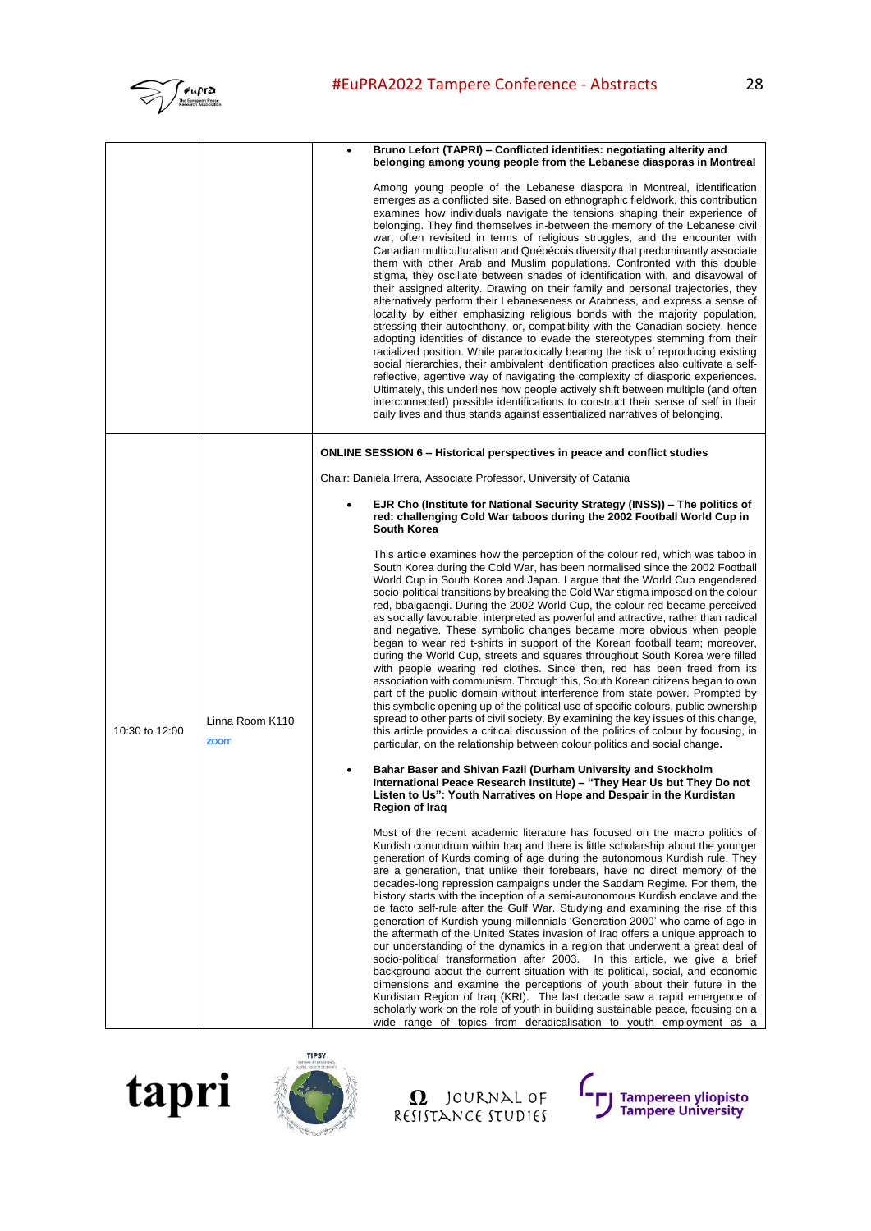

|                |                         | Bruno Lefort (TAPRI) – Conflicted identities: negotiating alterity and<br>belonging among young people from the Lebanese diasporas in Montreal                                                                                                                                                                                                                                                                                                                                                                                                                                                                                                                                                                                                                                                                                                                                                                                                                                                                                                                                                                                                                                                                                                                                                                                                                                                                                                                                                                                                                                                                                                                                                                                                                                                                                     |
|----------------|-------------------------|------------------------------------------------------------------------------------------------------------------------------------------------------------------------------------------------------------------------------------------------------------------------------------------------------------------------------------------------------------------------------------------------------------------------------------------------------------------------------------------------------------------------------------------------------------------------------------------------------------------------------------------------------------------------------------------------------------------------------------------------------------------------------------------------------------------------------------------------------------------------------------------------------------------------------------------------------------------------------------------------------------------------------------------------------------------------------------------------------------------------------------------------------------------------------------------------------------------------------------------------------------------------------------------------------------------------------------------------------------------------------------------------------------------------------------------------------------------------------------------------------------------------------------------------------------------------------------------------------------------------------------------------------------------------------------------------------------------------------------------------------------------------------------------------------------------------------------|
|                |                         | Among young people of the Lebanese diaspora in Montreal, identification<br>emerges as a conflicted site. Based on ethnographic fieldwork, this contribution<br>examines how individuals navigate the tensions shaping their experience of<br>belonging. They find themselves in-between the memory of the Lebanese civil<br>war, often revisited in terms of religious struggles, and the encounter with<br>Canadian multiculturalism and Québécois diversity that predominantly associate<br>them with other Arab and Muslim populations. Confronted with this double<br>stigma, they oscillate between shades of identification with, and disavowal of<br>their assigned alterity. Drawing on their family and personal trajectories, they<br>alternatively perform their Lebaneseness or Arabness, and express a sense of<br>locality by either emphasizing religious bonds with the majority population,<br>stressing their autochthony, or, compatibility with the Canadian society, hence<br>adopting identities of distance to evade the stereotypes stemming from their<br>racialized position. While paradoxically bearing the risk of reproducing existing<br>social hierarchies, their ambivalent identification practices also cultivate a self-<br>reflective, agentive way of navigating the complexity of diasporic experiences.<br>Ultimately, this underlines how people actively shift between multiple (and often<br>interconnected) possible identifications to construct their sense of self in their<br>daily lives and thus stands against essentialized narratives of belonging.                                                                                                                                                                                                                           |
|                |                         | <b>ONLINE SESSION 6 – Historical perspectives in peace and conflict studies</b>                                                                                                                                                                                                                                                                                                                                                                                                                                                                                                                                                                                                                                                                                                                                                                                                                                                                                                                                                                                                                                                                                                                                                                                                                                                                                                                                                                                                                                                                                                                                                                                                                                                                                                                                                    |
| 10:30 to 12:00 | Linna Room K110<br>zoom | Chair: Daniela Irrera, Associate Professor, University of Catania<br>EJR Cho (Institute for National Security Strategy (INSS)) – The politics of<br>red: challenging Cold War taboos during the 2002 Football World Cup in<br>South Korea<br>This article examines how the perception of the colour red, which was taboo in<br>South Korea during the Cold War, has been normalised since the 2002 Football<br>World Cup in South Korea and Japan. I argue that the World Cup engendered<br>socio-political transitions by breaking the Cold War stigma imposed on the colour<br>red, bbalgaengi. During the 2002 World Cup, the colour red became perceived<br>as socially favourable, interpreted as powerful and attractive, rather than radical<br>and negative. These symbolic changes became more obvious when people<br>began to wear red t-shirts in support of the Korean football team; moreover,<br>during the World Cup, streets and squares throughout South Korea were filled<br>with people wearing red clothes. Since then, red has been freed from its<br>association with communism. Through this, South Korean citizens began to own<br>part of the public domain without interference from state power. Prompted by<br>this symbolic opening up of the political use of specific colours, public ownership<br>spread to other parts of civil society. By examining the key issues of this change,<br>this article provides a critical discussion of the politics of colour by focusing, in<br>particular, on the relationship between colour politics and social change.<br>Bahar Baser and Shivan Fazil (Durham University and Stockholm<br>International Peace Research Institute) - "They Hear Us but They Do not<br>Listen to Us": Youth Narratives on Hope and Despair in the Kurdistan<br>Region of Iraq |
|                |                         | Most of the recent academic literature has focused on the macro politics of<br>Kurdish conundrum within Iraq and there is little scholarship about the younger<br>generation of Kurds coming of age during the autonomous Kurdish rule. They<br>are a generation, that unlike their forebears, have no direct memory of the<br>decades-long repression campaigns under the Saddam Regime. For them, the<br>history starts with the inception of a semi-autonomous Kurdish enclave and the<br>de facto self-rule after the Gulf War. Studying and examining the rise of this<br>generation of Kurdish young millennials 'Generation 2000' who came of age in<br>the aftermath of the United States invasion of Iraq offers a unique approach to<br>our understanding of the dynamics in a region that underwent a great deal of<br>socio-political transformation after 2003. In this article, we give a brief<br>background about the current situation with its political, social, and economic<br>dimensions and examine the perceptions of youth about their future in the<br>Kurdistan Region of Iraq (KRI). The last decade saw a rapid emergence of<br>scholarly work on the role of youth in building sustainable peace, focusing on a<br>wide range of topics from deradicalisation to youth employment as a                                                                                                                                                                                                                                                                                                                                                                                                                                                                                                               |





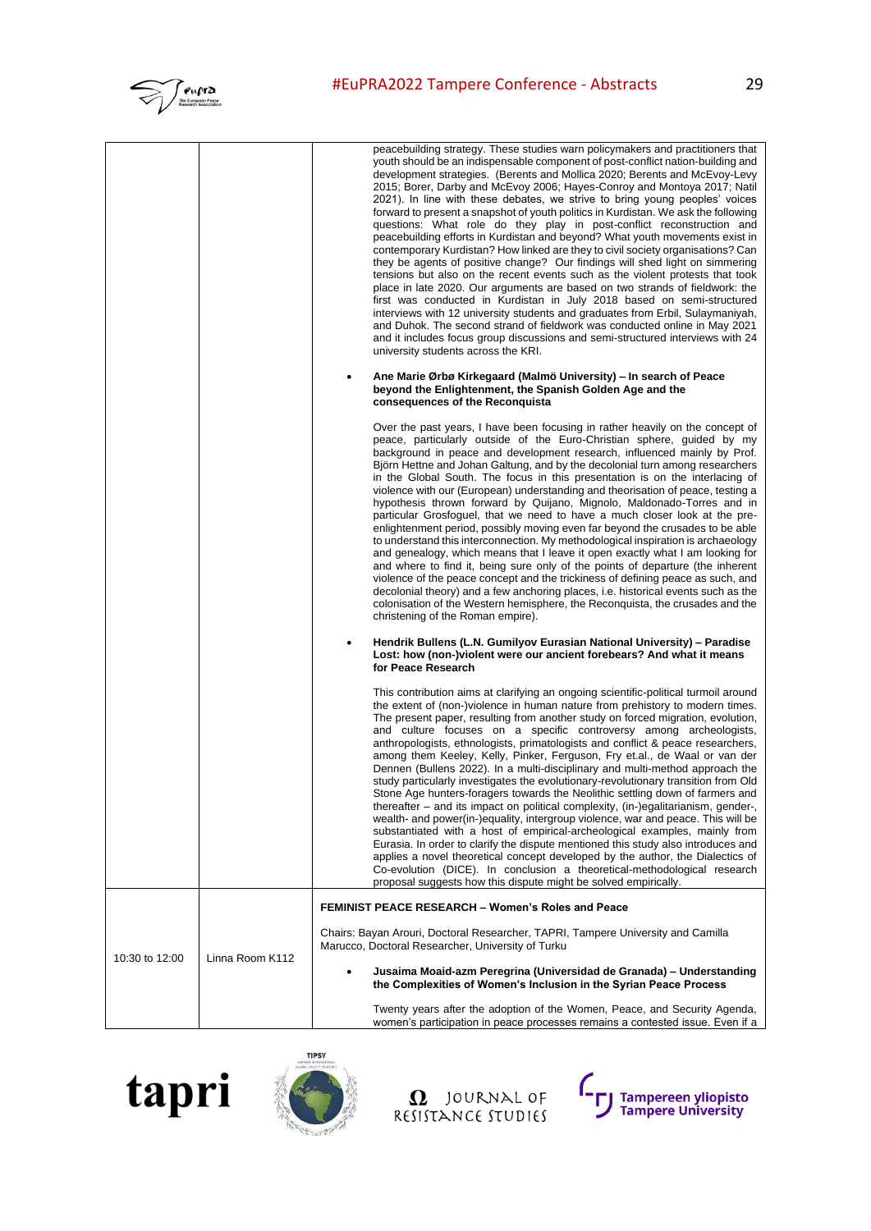

|                |                 | peacebuilding strategy. These studies warn policymakers and practitioners that<br>youth should be an indispensable component of post-conflict nation-building and<br>development strategies. (Berents and Mollica 2020; Berents and McEvoy-Levy<br>2015; Borer, Darby and McEvoy 2006; Hayes-Conroy and Montoya 2017; Natil<br>2021). In line with these debates, we strive to bring young peoples' voices<br>forward to present a snapshot of youth politics in Kurdistan. We ask the following<br>questions: What role do they play in post-conflict reconstruction and<br>peacebuilding efforts in Kurdistan and beyond? What youth movements exist in<br>contemporary Kurdistan? How linked are they to civil society organisations? Can<br>they be agents of positive change? Our findings will shed light on simmering<br>tensions but also on the recent events such as the violent protests that took<br>place in late 2020. Our arguments are based on two strands of fieldwork: the<br>first was conducted in Kurdistan in July 2018 based on semi-structured<br>interviews with 12 university students and graduates from Erbil, Sulaymaniyah,<br>and Duhok. The second strand of fieldwork was conducted online in May 2021<br>and it includes focus group discussions and semi-structured interviews with 24<br>university students across the KRI. |
|----------------|-----------------|------------------------------------------------------------------------------------------------------------------------------------------------------------------------------------------------------------------------------------------------------------------------------------------------------------------------------------------------------------------------------------------------------------------------------------------------------------------------------------------------------------------------------------------------------------------------------------------------------------------------------------------------------------------------------------------------------------------------------------------------------------------------------------------------------------------------------------------------------------------------------------------------------------------------------------------------------------------------------------------------------------------------------------------------------------------------------------------------------------------------------------------------------------------------------------------------------------------------------------------------------------------------------------------------------------------------------------------------------------------|
|                |                 | Ane Marie Ørbø Kirkegaard (Malmö University) – In search of Peace<br>beyond the Enlightenment, the Spanish Golden Age and the<br>consequences of the Reconquista                                                                                                                                                                                                                                                                                                                                                                                                                                                                                                                                                                                                                                                                                                                                                                                                                                                                                                                                                                                                                                                                                                                                                                                                 |
|                |                 | Over the past years, I have been focusing in rather heavily on the concept of<br>peace, particularly outside of the Euro-Christian sphere, guided by my<br>background in peace and development research, influenced mainly by Prof.<br>Björn Hettne and Johan Galtung, and by the decolonial turn among researchers<br>in the Global South. The focus in this presentation is on the interlacing of<br>violence with our (European) understanding and theorisation of peace, testing a<br>hypothesis thrown forward by Quijano, Mignolo, Maldonado-Torres and in<br>particular Grosfoguel, that we need to have a much closer look at the pre-<br>enlightenment period, possibly moving even far beyond the crusades to be able<br>to understand this interconnection. My methodological inspiration is archaeology<br>and genealogy, which means that I leave it open exactly what I am looking for<br>and where to find it, being sure only of the points of departure (the inherent<br>violence of the peace concept and the trickiness of defining peace as such, and<br>decolonial theory) and a few anchoring places, i.e. historical events such as the<br>colonisation of the Western hemisphere, the Reconquista, the crusades and the<br>christening of the Roman empire).                                                                             |
|                |                 | Hendrik Bullens (L.N. Gumilyov Eurasian National University) – Paradise<br>٠<br>Lost: how (non-)violent were our ancient forebears? And what it means<br>for Peace Research                                                                                                                                                                                                                                                                                                                                                                                                                                                                                                                                                                                                                                                                                                                                                                                                                                                                                                                                                                                                                                                                                                                                                                                      |
|                |                 | This contribution aims at clarifying an ongoing scientific-political turmoil around<br>the extent of (non-)violence in human nature from prehistory to modern times.<br>The present paper, resulting from another study on forced migration, evolution,<br>and culture focuses on a specific controversy among archeologists,<br>anthropologists, ethnologists, primatologists and conflict & peace researchers,<br>among them Keeley, Kelly, Pinker, Ferguson, Fry et.al., de Waal or van der<br>Dennen (Bullens 2022). In a multi-disciplinary and multi-method approach the<br>study particularly investigates the evolutionary-revolutionary transition from Old<br>Stone Age hunters-foragers towards the Neolithic settling down of farmers and<br>thereafter – and its impact on political complexity, (in-)egalitarianism, gender-,<br>wealth- and power(in-)equality, intergroup violence, war and peace. This will be<br>substantiated with a host of empirical-archeological examples, mainly from<br>Eurasia. In order to clarify the dispute mentioned this study also introduces and<br>applies a novel theoretical concept developed by the author, the Dialectics of<br>Co-evolution (DICE). In conclusion a theoretical-methodological research<br>proposal suggests how this dispute might be solved empirically.                              |
|                |                 | FEMINIST PEACE RESEARCH - Women's Roles and Peace                                                                                                                                                                                                                                                                                                                                                                                                                                                                                                                                                                                                                                                                                                                                                                                                                                                                                                                                                                                                                                                                                                                                                                                                                                                                                                                |
| 10:30 to 12:00 | Linna Room K112 | Chairs: Bayan Arouri, Doctoral Researcher, TAPRI, Tampere University and Camilla<br>Marucco, Doctoral Researcher, University of Turku                                                                                                                                                                                                                                                                                                                                                                                                                                                                                                                                                                                                                                                                                                                                                                                                                                                                                                                                                                                                                                                                                                                                                                                                                            |
|                |                 | Jusaima Moaid-azm Peregrina (Universidad de Granada) - Understanding<br>the Complexities of Women's Inclusion in the Syrian Peace Process                                                                                                                                                                                                                                                                                                                                                                                                                                                                                                                                                                                                                                                                                                                                                                                                                                                                                                                                                                                                                                                                                                                                                                                                                        |
|                |                 | Twenty years after the adoption of the Women, Peace, and Security Agenda,<br>women's participation in peace processes remains a contested issue. Even if a                                                                                                                                                                                                                                                                                                                                                                                                                                                                                                                                                                                                                                                                                                                                                                                                                                                                                                                                                                                                                                                                                                                                                                                                       |





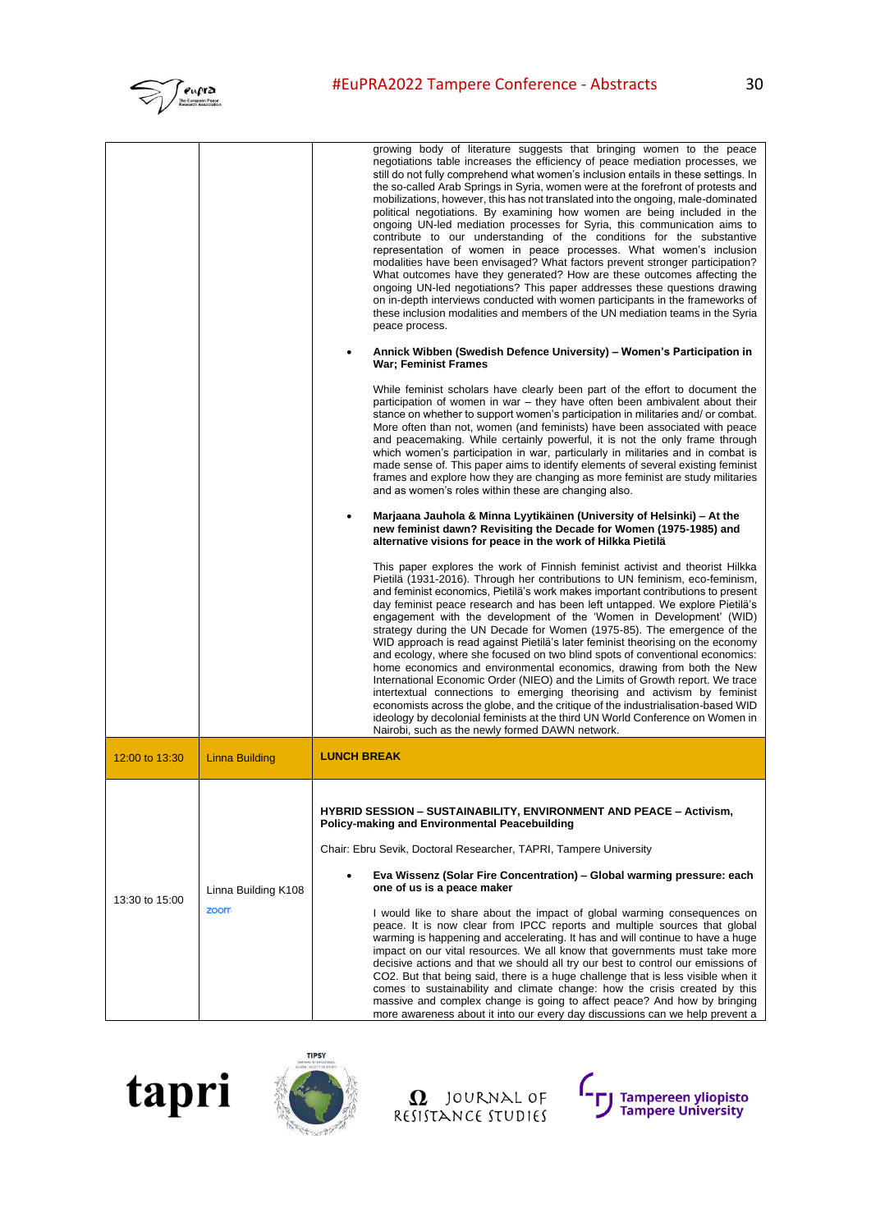

|                |                             | growing body of literature suggests that bringing women to the peace<br>negotiations table increases the efficiency of peace mediation processes, we<br>still do not fully comprehend what women's inclusion entails in these settings. In<br>the so-called Arab Springs in Syria, women were at the forefront of protests and<br>mobilizations, however, this has not translated into the ongoing, male-dominated<br>political negotiations. By examining how women are being included in the<br>ongoing UN-led mediation processes for Syria, this communication aims to<br>contribute to our understanding of the conditions for the substantive<br>representation of women in peace processes. What women's inclusion<br>modalities have been envisaged? What factors prevent stronger participation?<br>What outcomes have they generated? How are these outcomes affecting the<br>ongoing UN-led negotiations? This paper addresses these questions drawing<br>on in-depth interviews conducted with women participants in the frameworks of<br>these inclusion modalities and members of the UN mediation teams in the Syria<br>peace process. |
|----------------|-----------------------------|-------------------------------------------------------------------------------------------------------------------------------------------------------------------------------------------------------------------------------------------------------------------------------------------------------------------------------------------------------------------------------------------------------------------------------------------------------------------------------------------------------------------------------------------------------------------------------------------------------------------------------------------------------------------------------------------------------------------------------------------------------------------------------------------------------------------------------------------------------------------------------------------------------------------------------------------------------------------------------------------------------------------------------------------------------------------------------------------------------------------------------------------------------|
|                |                             | Annick Wibben (Swedish Defence University) - Women's Participation in<br><b>War: Feminist Frames</b>                                                                                                                                                                                                                                                                                                                                                                                                                                                                                                                                                                                                                                                                                                                                                                                                                                                                                                                                                                                                                                                  |
|                |                             | While feminist scholars have clearly been part of the effort to document the<br>participation of women in war - they have often been ambivalent about their<br>stance on whether to support women's participation in militaries and/or combat.<br>More often than not, women (and feminists) have been associated with peace<br>and peacemaking. While certainly powerful, it is not the only frame through<br>which women's participation in war, particularly in militaries and in combat is<br>made sense of. This paper aims to identify elements of several existing feminist<br>frames and explore how they are changing as more feminist are study militaries<br>and as women's roles within these are changing also.                                                                                                                                                                                                                                                                                                                                                                                                                          |
|                |                             | Marjaana Jauhola & Minna Lyytikäinen (University of Helsinki) - At the<br>new feminist dawn? Revisiting the Decade for Women (1975-1985) and<br>alternative visions for peace in the work of Hilkka Pietilä                                                                                                                                                                                                                                                                                                                                                                                                                                                                                                                                                                                                                                                                                                                                                                                                                                                                                                                                           |
|                |                             | This paper explores the work of Finnish feminist activist and theorist Hilkka<br>Pietilä (1931-2016). Through her contributions to UN feminism, eco-feminism,<br>and feminist economics, Pietilä's work makes important contributions to present<br>day feminist peace research and has been left untapped. We explore Pietilä's<br>engagement with the development of the 'Women in Development' (WID)<br>strategy during the UN Decade for Women (1975-85). The emergence of the<br>WID approach is read against Pietilä's later feminist theorising on the economy<br>and ecology, where she focused on two blind spots of conventional economics:<br>home economics and environmental economics, drawing from both the New<br>International Economic Order (NIEO) and the Limits of Growth report. We trace<br>intertextual connections to emerging theorising and activism by feminist<br>economists across the globe, and the critique of the industrialisation-based WID<br>ideology by decolonial feminists at the third UN World Conference on Women in<br>Nairobi, such as the newly formed DAWN network.                                   |
| 12:00 to 13:30 | <b>Linna Building</b>       | <b>LUNCH BREAK</b>                                                                                                                                                                                                                                                                                                                                                                                                                                                                                                                                                                                                                                                                                                                                                                                                                                                                                                                                                                                                                                                                                                                                    |
| 13:30 to 15:00 | Linna Building K108<br>zoom | <b>HYBRID SESSION – SUSTAINABILITY, ENVIRONMENT AND PEACE – Activism,</b><br>Policy-making and Environmental Peacebuilding<br>Chair: Ebru Sevik, Doctoral Researcher, TAPRI, Tampere University<br>Eva Wissenz (Solar Fire Concentration) - Global warming pressure: each<br>one of us is a peace maker<br>I would like to share about the impact of global warming consequences on<br>peace. It is now clear from IPCC reports and multiple sources that global<br>warming is happening and accelerating. It has and will continue to have a huge<br>impact on our vital resources. We all know that governments must take more<br>decisive actions and that we should all try our best to control our emissions of<br>CO2. But that being said, there is a huge challenge that is less visible when it<br>comes to sustainability and climate change: how the crisis created by this                                                                                                                                                                                                                                                                |





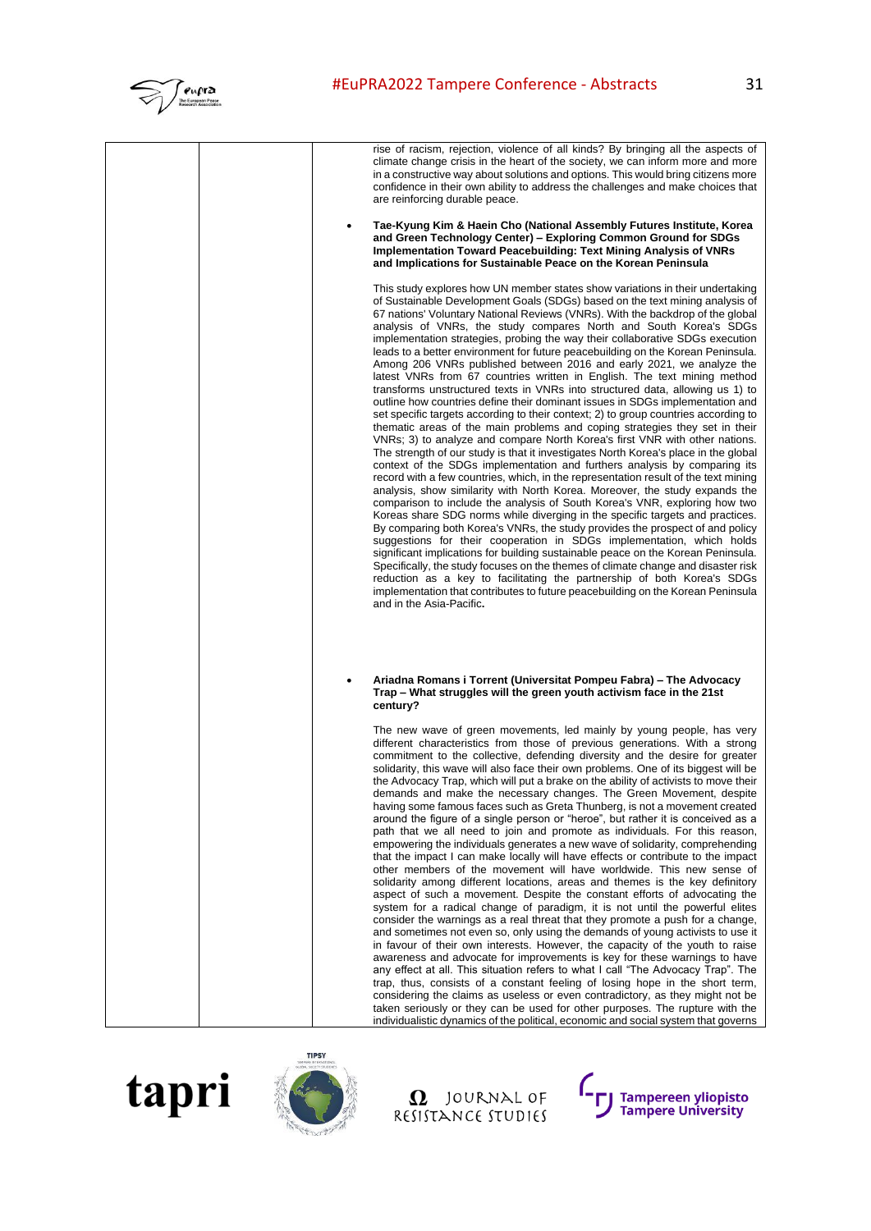

| rise of racism, rejection, violence of all kinds? By bringing all the aspects of<br>climate change crisis in the heart of the society, we can inform more and more<br>in a constructive way about solutions and options. This would bring citizens more<br>confidence in their own ability to address the challenges and make choices that<br>are reinforcing durable peace.<br>Tae-Kyung Kim & Haein Cho (National Assembly Futures Institute, Korea<br>$\bullet$<br>and Green Technology Center) - Exploring Common Ground for SDGs<br>Implementation Toward Peacebuilding: Text Mining Analysis of VNRs<br>and Implications for Sustainable Peace on the Korean Peninsula<br>This study explores how UN member states show variations in their undertaking<br>of Sustainable Development Goals (SDGs) based on the text mining analysis of<br>67 nations' Voluntary National Reviews (VNRs). With the backdrop of the global<br>analysis of VNRs, the study compares North and South Korea's SDGs<br>implementation strategies, probing the way their collaborative SDGs execution<br>leads to a better environment for future peacebuilding on the Korean Peninsula.<br>Among 206 VNRs published between 2016 and early 2021, we analyze the<br>latest VNRs from 67 countries written in English. The text mining method<br>transforms unstructured texts in VNRs into structured data, allowing us 1) to<br>outline how countries define their dominant issues in SDGs implementation and<br>set specific targets according to their context; 2) to group countries according to<br>thematic areas of the main problems and coping strategies they set in their<br>VNRs; 3) to analyze and compare North Korea's first VNR with other nations.<br>The strength of our study is that it investigates North Korea's place in the global<br>context of the SDGs implementation and furthers analysis by comparing its<br>record with a few countries, which, in the representation result of the text mining<br>analysis, show similarity with North Korea. Moreover, the study expands the<br>comparison to include the analysis of South Korea's VNR, exploring how two<br>Koreas share SDG norms while diverging in the specific targets and practices.<br>By comparing both Korea's VNRs, the study provides the prospect of and policy<br>suggestions for their cooperation in SDGs implementation, which holds<br>significant implications for building sustainable peace on the Korean Peninsula.<br>Specifically, the study focuses on the themes of climate change and disaster risk<br>reduction as a key to facilitating the partnership of both Korea's SDGs<br>implementation that contributes to future peacebuilding on the Korean Peninsula<br>and in the Asia-Pacific. |
|-------------------------------------------------------------------------------------------------------------------------------------------------------------------------------------------------------------------------------------------------------------------------------------------------------------------------------------------------------------------------------------------------------------------------------------------------------------------------------------------------------------------------------------------------------------------------------------------------------------------------------------------------------------------------------------------------------------------------------------------------------------------------------------------------------------------------------------------------------------------------------------------------------------------------------------------------------------------------------------------------------------------------------------------------------------------------------------------------------------------------------------------------------------------------------------------------------------------------------------------------------------------------------------------------------------------------------------------------------------------------------------------------------------------------------------------------------------------------------------------------------------------------------------------------------------------------------------------------------------------------------------------------------------------------------------------------------------------------------------------------------------------------------------------------------------------------------------------------------------------------------------------------------------------------------------------------------------------------------------------------------------------------------------------------------------------------------------------------------------------------------------------------------------------------------------------------------------------------------------------------------------------------------------------------------------------------------------------------------------------------------------------------------------------------------------------------------------------------------------------------------------------------------------------------------------------------------------------------------------------------------------------------------------------------------------------------------------------------------------------------------------------------------------------|
| Ariadna Romans i Torrent (Universitat Pompeu Fabra) – The Advocacy<br>Trap - What struggles will the green youth activism face in the 21st<br>century?<br>The new wave of green movements, led mainly by young people, has very<br>different characteristics from those of previous generations. With a strong<br>commitment to the collective, defending diversity and the desire for greater<br>solidarity, this wave will also face their own problems. One of its biggest will be<br>the Advocacy Trap, which will put a brake on the ability of activists to move their<br>demands and make the necessary changes. The Green Movement, despite<br>having some famous faces such as Greta Thunberg, is not a movement created<br>around the figure of a single person or "heroe", but rather it is conceived as a<br>path that we all need to join and promote as individuals. For this reason,<br>empowering the individuals generates a new wave of solidarity, comprehending<br>that the impact I can make locally will have effects or contribute to the impact<br>other members of the movement will have worldwide. This new sense of<br>solidarity among different locations, areas and themes is the key definitory<br>aspect of such a movement. Despite the constant efforts of advocating the<br>system for a radical change of paradigm, it is not until the powerful elites<br>consider the warnings as a real threat that they promote a push for a change,<br>and sometimes not even so, only using the demands of young activists to use it<br>in favour of their own interests. However, the capacity of the youth to raise<br>awareness and advocate for improvements is key for these warnings to have<br>any effect at all. This situation refers to what I call "The Advocacy Trap". The<br>trap, thus, consists of a constant feeling of losing hope in the short term,<br>considering the claims as useless or even contradictory, as they might not be<br>taken seriously or they can be used for other purposes. The rupture with the<br>individualistic dynamics of the political, economic and social system that governs                                                                                                                                                                                                                                                                                                                                                                                                                                                                                                                                                                                                                                  |





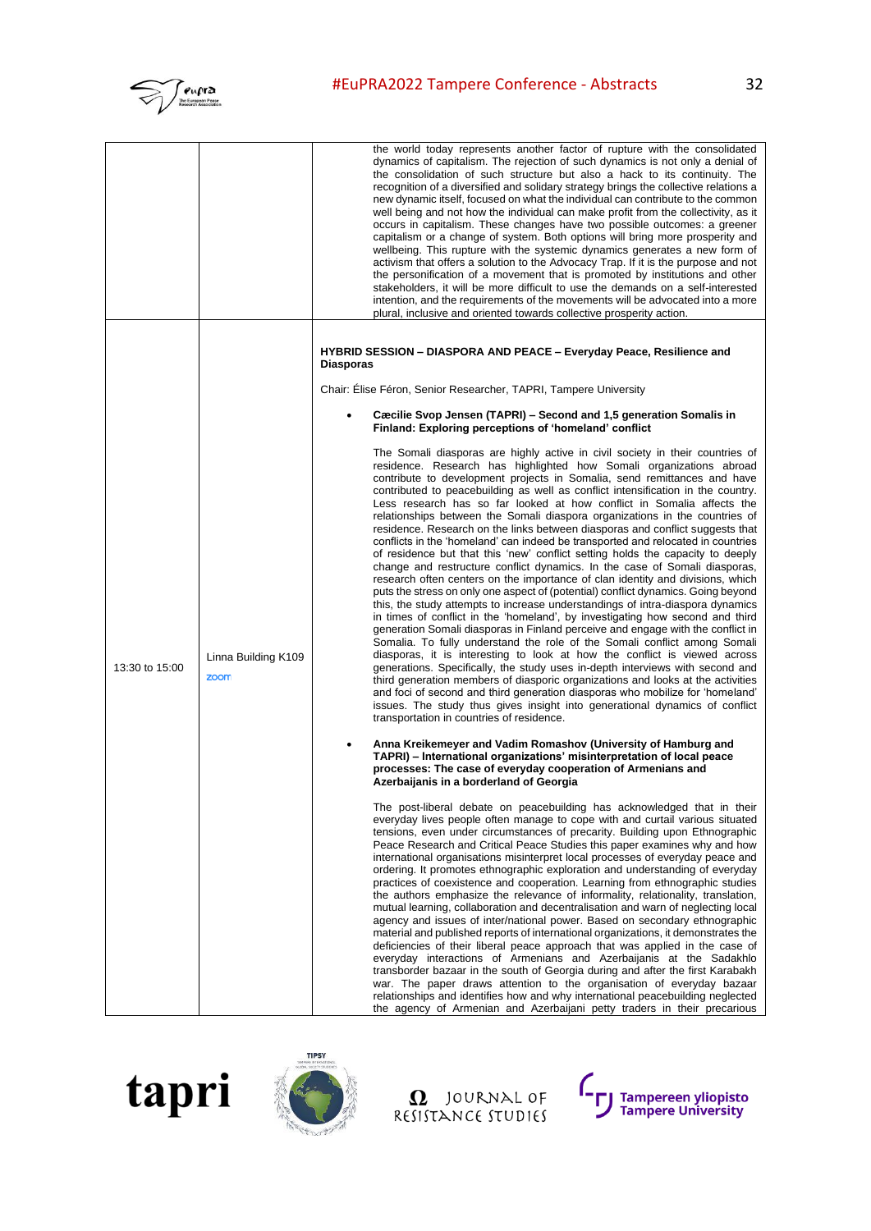

|                |                             | the world today represents another factor of rupture with the consolidated<br>dynamics of capitalism. The rejection of such dynamics is not only a denial of<br>the consolidation of such structure but also a hack to its continuity. The<br>recognition of a diversified and solidary strategy brings the collective relations a<br>new dynamic itself, focused on what the individual can contribute to the common<br>well being and not how the individual can make profit from the collectivity, as it<br>occurs in capitalism. These changes have two possible outcomes: a greener<br>capitalism or a change of system. Both options will bring more prosperity and<br>wellbeing. This rupture with the systemic dynamics generates a new form of<br>activism that offers a solution to the Advocacy Trap. If it is the purpose and not<br>the personification of a movement that is promoted by institutions and other<br>stakeholders, it will be more difficult to use the demands on a self-interested<br>intention, and the requirements of the movements will be advocated into a more<br>plural, inclusive and oriented towards collective prosperity action.                                                                                                                                                                                                                                                                                                                                                                                                                                                                                                                                                                                                                                                                                                                                                                                                                                                                                                                                                                                                                                                                                                                                                                                                                                                                                                                                                                                                                                                                                                                                                                                                                                                                                                                                                                                                                                                                                                                                                                                                                                                                                                                                                                           |
|----------------|-----------------------------|------------------------------------------------------------------------------------------------------------------------------------------------------------------------------------------------------------------------------------------------------------------------------------------------------------------------------------------------------------------------------------------------------------------------------------------------------------------------------------------------------------------------------------------------------------------------------------------------------------------------------------------------------------------------------------------------------------------------------------------------------------------------------------------------------------------------------------------------------------------------------------------------------------------------------------------------------------------------------------------------------------------------------------------------------------------------------------------------------------------------------------------------------------------------------------------------------------------------------------------------------------------------------------------------------------------------------------------------------------------------------------------------------------------------------------------------------------------------------------------------------------------------------------------------------------------------------------------------------------------------------------------------------------------------------------------------------------------------------------------------------------------------------------------------------------------------------------------------------------------------------------------------------------------------------------------------------------------------------------------------------------------------------------------------------------------------------------------------------------------------------------------------------------------------------------------------------------------------------------------------------------------------------------------------------------------------------------------------------------------------------------------------------------------------------------------------------------------------------------------------------------------------------------------------------------------------------------------------------------------------------------------------------------------------------------------------------------------------------------------------------------------------------------------------------------------------------------------------------------------------------------------------------------------------------------------------------------------------------------------------------------------------------------------------------------------------------------------------------------------------------------------------------------------------------------------------------------------------------------------------------------------------------------------------------------------------------------------------------|
| 13:30 to 15:00 | Linna Building K109<br>zoom | HYBRID SESSION – DIASPORA AND PEACE – Everyday Peace, Resilience and<br><b>Diasporas</b><br>Chair: Elise Féron, Senior Researcher, TAPRI, Tampere University<br>Cæcilie Svop Jensen (TAPRI) – Second and 1,5 generation Somalis in<br>Finland: Exploring perceptions of 'homeland' conflict<br>The Somali diasporas are highly active in civil society in their countries of<br>residence. Research has highlighted how Somali organizations abroad<br>contribute to development projects in Somalia, send remittances and have<br>contributed to peacebuilding as well as conflict intensification in the country.<br>Less research has so far looked at how conflict in Somalia affects the<br>relationships between the Somali diaspora organizations in the countries of<br>residence. Research on the links between diasporas and conflict suggests that<br>conflicts in the 'homeland' can indeed be transported and relocated in countries<br>of residence but that this 'new' conflict setting holds the capacity to deeply<br>change and restructure conflict dynamics. In the case of Somali diasporas,<br>research often centers on the importance of clan identity and divisions, which<br>puts the stress on only one aspect of (potential) conflict dynamics. Going beyond<br>this, the study attempts to increase understandings of intra-diaspora dynamics<br>in times of conflict in the 'homeland', by investigating how second and third<br>generation Somali diasporas in Finland perceive and engage with the conflict in<br>Somalia. To fully understand the role of the Somali conflict among Somali<br>diasporas, it is interesting to look at how the conflict is viewed across<br>generations. Specifically, the study uses in-depth interviews with second and<br>third generation members of diasporic organizations and looks at the activities<br>and foci of second and third generation diasporas who mobilize for 'homeland'<br>issues. The study thus gives insight into generational dynamics of conflict<br>transportation in countries of residence.<br>Anna Kreikemeyer and Vadim Romashov (University of Hamburg and<br>TAPRI) - International organizations' misinterpretation of local peace<br>processes: The case of everyday cooperation of Armenians and<br>Azerbaijanis in a borderland of Georgia<br>The post-liberal debate on peacebuilding has acknowledged that in their<br>everyday lives people often manage to cope with and curtail various situated<br>tensions, even under circumstances of precarity. Building upon Ethnographic<br>Peace Research and Critical Peace Studies this paper examines why and how<br>international organisations misinterpret local processes of everyday peace and<br>ordering. It promotes ethnographic exploration and understanding of everyday<br>practices of coexistence and cooperation. Learning from ethnographic studies<br>the authors emphasize the relevance of informality, relationality, translation,<br>mutual learning, collaboration and decentralisation and warn of neglecting local<br>agency and issues of inter/national power. Based on secondary ethnographic<br>material and published reports of international organizations, it demonstrates the<br>deficiencies of their liberal peace approach that was applied in the case of |
|                |                             | everyday interactions of Armenians and Azerbaijanis at the Sadakhlo<br>transborder bazaar in the south of Georgia during and after the first Karabakh<br>war. The paper draws attention to the organisation of everyday bazaar<br>relationships and identifies how and why international peacebuilding neglected<br>the agency of Armenian and Azerbaijani petty traders in their precarious                                                                                                                                                                                                                                                                                                                                                                                                                                                                                                                                                                                                                                                                                                                                                                                                                                                                                                                                                                                                                                                                                                                                                                                                                                                                                                                                                                                                                                                                                                                                                                                                                                                                                                                                                                                                                                                                                                                                                                                                                                                                                                                                                                                                                                                                                                                                                                                                                                                                                                                                                                                                                                                                                                                                                                                                                                                                                                                                                         |





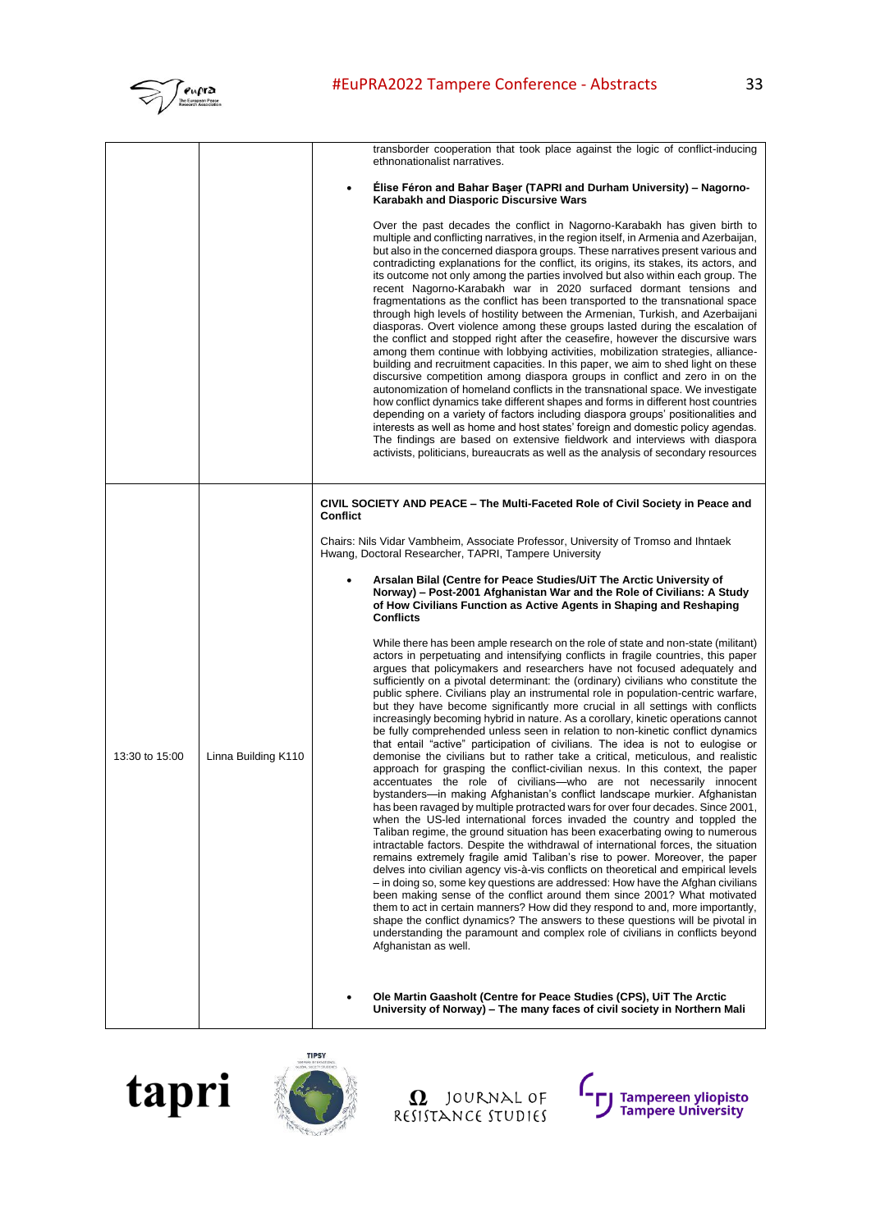

|                |                     | transborder cooperation that took place against the logic of conflict-inducing<br>ethnonationalist narratives.                                                                                                                                                                                                                                                                                                                                                                                                                                                                                                                                                                                                                                                                                                                                                                                                                                                                                                                                                                                                                                                                                                                                                                                                                                                                                                                                                                                                                                                                                                                                                                                                                                                                                                                                                                                                                                                                                                                                           |
|----------------|---------------------|----------------------------------------------------------------------------------------------------------------------------------------------------------------------------------------------------------------------------------------------------------------------------------------------------------------------------------------------------------------------------------------------------------------------------------------------------------------------------------------------------------------------------------------------------------------------------------------------------------------------------------------------------------------------------------------------------------------------------------------------------------------------------------------------------------------------------------------------------------------------------------------------------------------------------------------------------------------------------------------------------------------------------------------------------------------------------------------------------------------------------------------------------------------------------------------------------------------------------------------------------------------------------------------------------------------------------------------------------------------------------------------------------------------------------------------------------------------------------------------------------------------------------------------------------------------------------------------------------------------------------------------------------------------------------------------------------------------------------------------------------------------------------------------------------------------------------------------------------------------------------------------------------------------------------------------------------------------------------------------------------------------------------------------------------------|
|                |                     | Élise Féron and Bahar Başer (TAPRI and Durham University) - Nagorno-<br>Karabakh and Diasporic Discursive Wars                                                                                                                                                                                                                                                                                                                                                                                                                                                                                                                                                                                                                                                                                                                                                                                                                                                                                                                                                                                                                                                                                                                                                                                                                                                                                                                                                                                                                                                                                                                                                                                                                                                                                                                                                                                                                                                                                                                                           |
|                |                     | Over the past decades the conflict in Nagorno-Karabakh has given birth to<br>multiple and conflicting narratives, in the region itself, in Armenia and Azerbaijan,<br>but also in the concerned diaspora groups. These narratives present various and<br>contradicting explanations for the conflict, its origins, its stakes, its actors, and<br>its outcome not only among the parties involved but also within each group. The<br>recent Nagorno-Karabakh war in 2020 surfaced dormant tensions and<br>fragmentations as the conflict has been transported to the transnational space<br>through high levels of hostility between the Armenian, Turkish, and Azerbaijani<br>diasporas. Overt violence among these groups lasted during the escalation of<br>the conflict and stopped right after the ceasefire, however the discursive wars<br>among them continue with lobbying activities, mobilization strategies, alliance-<br>building and recruitment capacities. In this paper, we aim to shed light on these<br>discursive competition among diaspora groups in conflict and zero in on the<br>autonomization of homeland conflicts in the transnational space. We investigate<br>how conflict dynamics take different shapes and forms in different host countries<br>depending on a variety of factors including diaspora groups' positionalities and<br>interests as well as home and host states' foreign and domestic policy agendas.<br>The findings are based on extensive fieldwork and interviews with diaspora<br>activists, politicians, bureaucrats as well as the analysis of secondary resources                                                                                                                                                                                                                                                                                                                                                                                                                                |
|                |                     | CIVIL SOCIETY AND PEACE - The Multi-Faceted Role of Civil Society in Peace and<br><b>Conflict</b>                                                                                                                                                                                                                                                                                                                                                                                                                                                                                                                                                                                                                                                                                                                                                                                                                                                                                                                                                                                                                                                                                                                                                                                                                                                                                                                                                                                                                                                                                                                                                                                                                                                                                                                                                                                                                                                                                                                                                        |
|                |                     | Chairs: Nils Vidar Vambheim, Associate Professor, University of Tromso and Ihntaek<br>Hwang, Doctoral Researcher, TAPRI, Tampere University                                                                                                                                                                                                                                                                                                                                                                                                                                                                                                                                                                                                                                                                                                                                                                                                                                                                                                                                                                                                                                                                                                                                                                                                                                                                                                                                                                                                                                                                                                                                                                                                                                                                                                                                                                                                                                                                                                              |
|                |                     | Arsalan Bilal (Centre for Peace Studies/UIT The Arctic University of<br>Norway) - Post-2001 Afghanistan War and the Role of Civilians: A Study<br>of How Civilians Function as Active Agents in Shaping and Reshaping<br><b>Conflicts</b>                                                                                                                                                                                                                                                                                                                                                                                                                                                                                                                                                                                                                                                                                                                                                                                                                                                                                                                                                                                                                                                                                                                                                                                                                                                                                                                                                                                                                                                                                                                                                                                                                                                                                                                                                                                                                |
| 13:30 to 15:00 | Linna Building K110 | While there has been ample research on the role of state and non-state (militant)<br>actors in perpetuating and intensifying conflicts in fragile countries, this paper<br>argues that policymakers and researchers have not focused adequately and<br>sufficiently on a pivotal determinant: the (ordinary) civilians who constitute the<br>public sphere. Civilians play an instrumental role in population-centric warfare,<br>but they have become significantly more crucial in all settings with conflicts<br>increasingly becoming hybrid in nature. As a corollary, kinetic operations cannot<br>be fully comprehended unless seen in relation to non-kinetic conflict dynamics<br>that entail "active" participation of civilians. The idea is not to eulogise or<br>demonise the civilians but to rather take a critical, meticulous, and realistic<br>approach for grasping the conflict-civilian nexus. In this context, the paper<br>accentuates the role of civilians—who are not necessarily innocent<br>bystanders-in making Afghanistan's conflict landscape murkier. Afghanistan<br>has been ravaged by multiple protracted wars for over four decades. Since 2001,<br>when the US-led international forces invaded the country and toppled the<br>Taliban regime, the ground situation has been exacerbating owing to numerous<br>intractable factors. Despite the withdrawal of international forces, the situation<br>remains extremely fragile amid Taliban's rise to power. Moreover, the paper<br>delves into civilian agency vis-à-vis conflicts on theoretical and empirical levels<br>- in doing so, some key questions are addressed: How have the Afghan civilians<br>been making sense of the conflict around them since 2001? What motivated<br>them to act in certain manners? How did they respond to and, more importantly,<br>shape the conflict dynamics? The answers to these questions will be pivotal in<br>understanding the paramount and complex role of civilians in conflicts beyond<br>Afghanistan as well. |
|                |                     | Ole Martin Gaasholt (Centre for Peace Studies (CPS), UIT The Arctic<br>University of Norway) – The many faces of civil society in Northern Mali                                                                                                                                                                                                                                                                                                                                                                                                                                                                                                                                                                                                                                                                                                                                                                                                                                                                                                                                                                                                                                                                                                                                                                                                                                                                                                                                                                                                                                                                                                                                                                                                                                                                                                                                                                                                                                                                                                          |





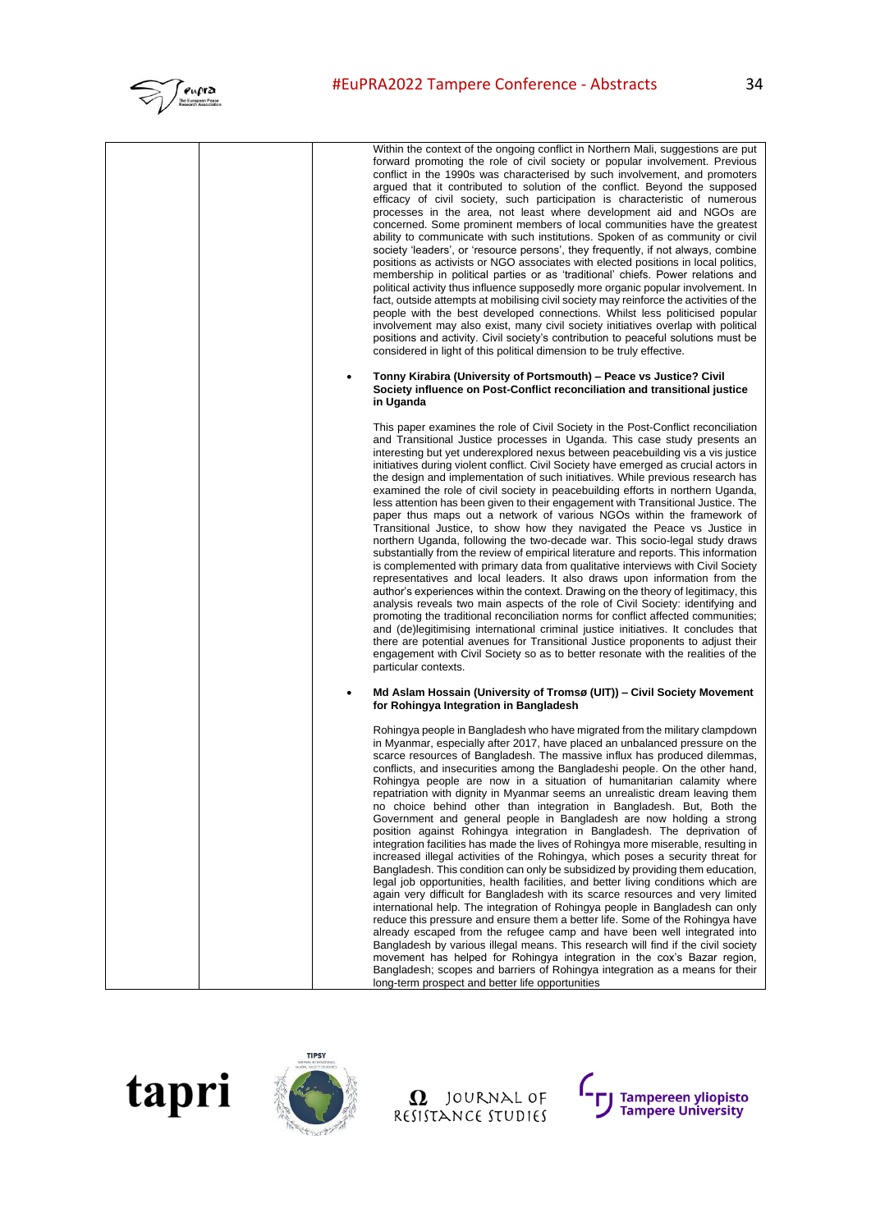

|  | Within the context of the ongoing conflict in Northern Mali, suggestions are put<br>forward promoting the role of civil society or popular involvement. Previous<br>conflict in the 1990s was characterised by such involvement, and promoters<br>argued that it contributed to solution of the conflict. Beyond the supposed<br>efficacy of civil society, such participation is characteristic of numerous<br>processes in the area, not least where development aid and NGOs are<br>concerned. Some prominent members of local communities have the greatest<br>ability to communicate with such institutions. Spoken of as community or civil<br>society 'leaders', or 'resource persons', they frequently, if not always, combine<br>positions as activists or NGO associates with elected positions in local politics,<br>membership in political parties or as 'traditional' chiefs. Power relations and<br>political activity thus influence supposedly more organic popular involvement. In<br>fact, outside attempts at mobilising civil society may reinforce the activities of the<br>people with the best developed connections. Whilst less politicised popular<br>involvement may also exist, many civil society initiatives overlap with political<br>positions and activity. Civil society's contribution to peaceful solutions must be<br>considered in light of this political dimension to be truly effective.                                                                                                                                                                                                                                                                |
|--|---------------------------------------------------------------------------------------------------------------------------------------------------------------------------------------------------------------------------------------------------------------------------------------------------------------------------------------------------------------------------------------------------------------------------------------------------------------------------------------------------------------------------------------------------------------------------------------------------------------------------------------------------------------------------------------------------------------------------------------------------------------------------------------------------------------------------------------------------------------------------------------------------------------------------------------------------------------------------------------------------------------------------------------------------------------------------------------------------------------------------------------------------------------------------------------------------------------------------------------------------------------------------------------------------------------------------------------------------------------------------------------------------------------------------------------------------------------------------------------------------------------------------------------------------------------------------------------------------------------------------------------------------------------------------------------------------|
|  | Tonny Kirabira (University of Portsmouth) – Peace vs Justice? Civil<br>٠<br>Society influence on Post-Conflict reconciliation and transitional justice<br>in Uganda                                                                                                                                                                                                                                                                                                                                                                                                                                                                                                                                                                                                                                                                                                                                                                                                                                                                                                                                                                                                                                                                                                                                                                                                                                                                                                                                                                                                                                                                                                                               |
|  | This paper examines the role of Civil Society in the Post-Conflict reconciliation<br>and Transitional Justice processes in Uganda. This case study presents an<br>interesting but yet underexplored nexus between peacebuilding vis a vis justice<br>initiatives during violent conflict. Civil Society have emerged as crucial actors in<br>the design and implementation of such initiatives. While previous research has<br>examined the role of civil society in peacebuilding efforts in northern Uganda,<br>less attention has been given to their engagement with Transitional Justice. The<br>paper thus maps out a network of various NGOs within the framework of<br>Transitional Justice, to show how they navigated the Peace vs Justice in<br>northern Uganda, following the two-decade war. This socio-legal study draws<br>substantially from the review of empirical literature and reports. This information<br>is complemented with primary data from qualitative interviews with Civil Society<br>representatives and local leaders. It also draws upon information from the<br>author's experiences within the context. Drawing on the theory of legitimacy, this<br>analysis reveals two main aspects of the role of Civil Society: identifying and<br>promoting the traditional reconciliation norms for conflict affected communities;<br>and (de)legitimising international criminal justice initiatives. It concludes that<br>there are potential avenues for Transitional Justice proponents to adjust their<br>engagement with Civil Society so as to better resonate with the realities of the<br>particular contexts.                                                |
|  | Md Aslam Hossain (University of Tromsø (UIT)) – Civil Society Movement<br>for Rohingya Integration in Bangladesh                                                                                                                                                                                                                                                                                                                                                                                                                                                                                                                                                                                                                                                                                                                                                                                                                                                                                                                                                                                                                                                                                                                                                                                                                                                                                                                                                                                                                                                                                                                                                                                  |
|  | Rohingya people in Bangladesh who have migrated from the military clampdown<br>in Myanmar, especially after 2017, have placed an unbalanced pressure on the<br>scarce resources of Bangladesh. The massive influx has produced dilemmas,<br>conflicts, and insecurities among the Bangladeshi people. On the other hand,<br>Rohingya people are now in a situation of humanitarian calamity where<br>repatriation with dignity in Myanmar seems an unrealistic dream leaving them<br>no choice behind other than integration in Bangladesh. But, Both the<br>Government and general people in Bangladesh are now holding a strong<br>position against Rohingya integration in Bangladesh. The deprivation of<br>integration facilities has made the lives of Rohingya more miserable, resulting in<br>increased illegal activities of the Rohingya, which poses a security threat for<br>Bangladesh. This condition can only be subsidized by providing them education,<br>legal job opportunities, health facilities, and better living conditions which are<br>again very difficult for Bangladesh with its scarce resources and very limited<br>international help. The integration of Rohingya people in Bangladesh can only<br>reduce this pressure and ensure them a better life. Some of the Rohingya have<br>already escaped from the refugee camp and have been well integrated into<br>Bangladesh by various illegal means. This research will find if the civil society<br>movement has helped for Rohingya integration in the cox's Bazar region,<br>Bangladesh; scopes and barriers of Rohingya integration as a means for their<br>long-term prospect and better life opportunities |





**Q** JOURNAL OF

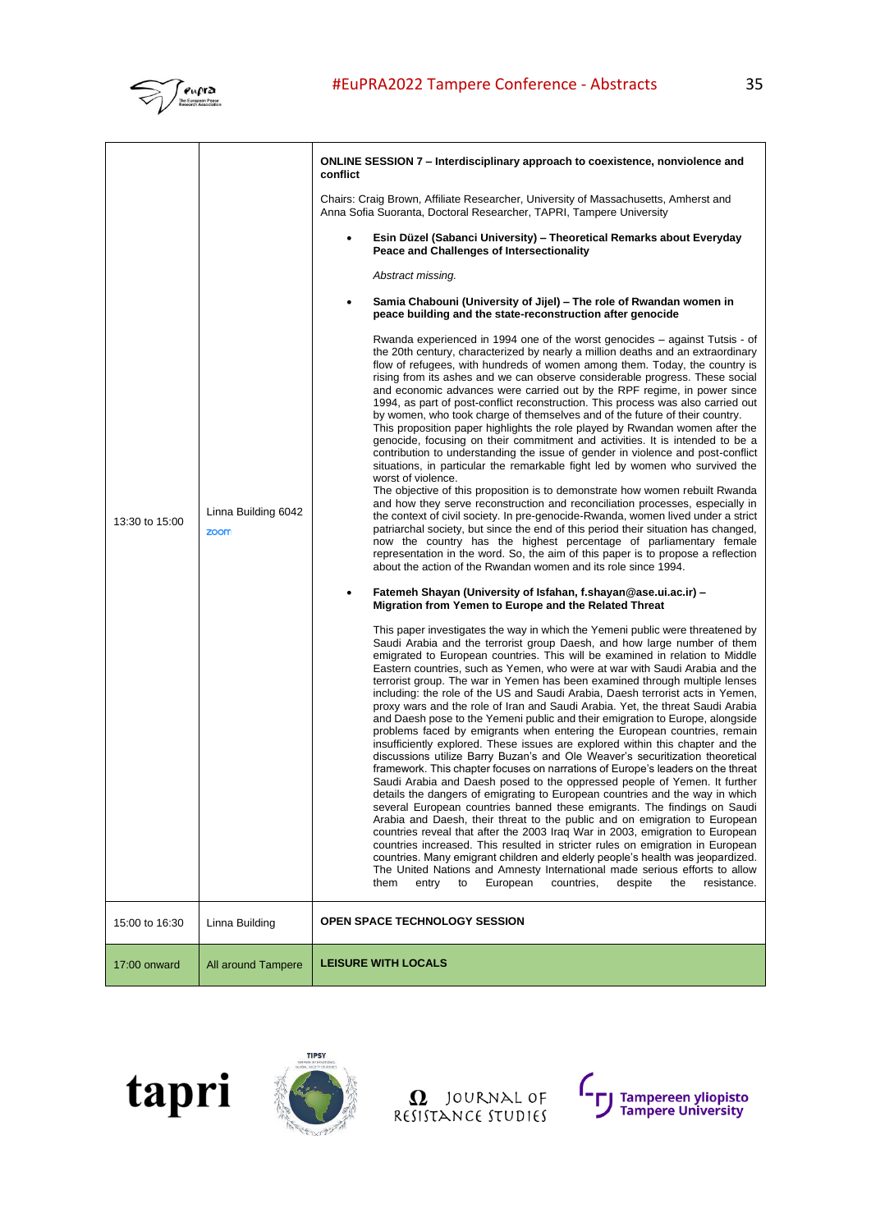

|                |                             | ONLINE SESSION 7 - Interdisciplinary approach to coexistence, nonviolence and<br>conflict                                                                                                                                                                                                                                                                                                                                                                                                                                                                                                                                                                                                                                                                                                                                                                                                                                                                                                                                                                                                                                                                                                                                                                                                                                                                                                                                                                                                                                                                                                                                                                                                                                                  |
|----------------|-----------------------------|--------------------------------------------------------------------------------------------------------------------------------------------------------------------------------------------------------------------------------------------------------------------------------------------------------------------------------------------------------------------------------------------------------------------------------------------------------------------------------------------------------------------------------------------------------------------------------------------------------------------------------------------------------------------------------------------------------------------------------------------------------------------------------------------------------------------------------------------------------------------------------------------------------------------------------------------------------------------------------------------------------------------------------------------------------------------------------------------------------------------------------------------------------------------------------------------------------------------------------------------------------------------------------------------------------------------------------------------------------------------------------------------------------------------------------------------------------------------------------------------------------------------------------------------------------------------------------------------------------------------------------------------------------------------------------------------------------------------------------------------|
|                |                             | Chairs: Craig Brown, Affiliate Researcher, University of Massachusetts, Amherst and<br>Anna Sofia Suoranta, Doctoral Researcher, TAPRI, Tampere University                                                                                                                                                                                                                                                                                                                                                                                                                                                                                                                                                                                                                                                                                                                                                                                                                                                                                                                                                                                                                                                                                                                                                                                                                                                                                                                                                                                                                                                                                                                                                                                 |
|                |                             | Esin Düzel (Sabanci University) - Theoretical Remarks about Everyday<br><b>Peace and Challenges of Intersectionality</b>                                                                                                                                                                                                                                                                                                                                                                                                                                                                                                                                                                                                                                                                                                                                                                                                                                                                                                                                                                                                                                                                                                                                                                                                                                                                                                                                                                                                                                                                                                                                                                                                                   |
|                |                             | Abstract missing.                                                                                                                                                                                                                                                                                                                                                                                                                                                                                                                                                                                                                                                                                                                                                                                                                                                                                                                                                                                                                                                                                                                                                                                                                                                                                                                                                                                                                                                                                                                                                                                                                                                                                                                          |
|                |                             | Samia Chabouni (University of Jijel) – The role of Rwandan women in<br>$\bullet$<br>peace building and the state-reconstruction after genocide                                                                                                                                                                                                                                                                                                                                                                                                                                                                                                                                                                                                                                                                                                                                                                                                                                                                                                                                                                                                                                                                                                                                                                                                                                                                                                                                                                                                                                                                                                                                                                                             |
| 13:30 to 15:00 | Linna Building 6042<br>zoom | Rwanda experienced in 1994 one of the worst genocides – against Tutsis - of<br>the 20th century, characterized by nearly a million deaths and an extraordinary<br>flow of refugees, with hundreds of women among them. Today, the country is<br>rising from its ashes and we can observe considerable progress. These social<br>and economic advances were carried out by the RPF regime, in power since<br>1994, as part of post-conflict reconstruction. This process was also carried out<br>by women, who took charge of themselves and of the future of their country.<br>This proposition paper highlights the role played by Rwandan women after the<br>genocide, focusing on their commitment and activities. It is intended to be a<br>contribution to understanding the issue of gender in violence and post-conflict<br>situations, in particular the remarkable fight led by women who survived the<br>worst of violence.<br>The objective of this proposition is to demonstrate how women rebuilt Rwanda<br>and how they serve reconstruction and reconciliation processes, especially in<br>the context of civil society. In pre-genocide-Rwanda, women lived under a strict<br>patriarchal society, but since the end of this period their situation has changed,<br>now the country has the highest percentage of parliamentary female<br>representation in the word. So, the aim of this paper is to propose a reflection<br>about the action of the Rwandan women and its role since 1994.                                                                                                                                                                                                                               |
|                |                             | Fatemeh Shayan (University of Isfahan, f.shayan@ase.ui.ac.ir) -<br>٠<br>Migration from Yemen to Europe and the Related Threat                                                                                                                                                                                                                                                                                                                                                                                                                                                                                                                                                                                                                                                                                                                                                                                                                                                                                                                                                                                                                                                                                                                                                                                                                                                                                                                                                                                                                                                                                                                                                                                                              |
|                |                             | This paper investigates the way in which the Yemeni public were threatened by<br>Saudi Arabia and the terrorist group Daesh, and how large number of them<br>emigrated to European countries. This will be examined in relation to Middle<br>Eastern countries, such as Yemen, who were at war with Saudi Arabia and the<br>terrorist group. The war in Yemen has been examined through multiple lenses<br>including: the role of the US and Saudi Arabia, Daesh terrorist acts in Yemen,<br>proxy wars and the role of Iran and Saudi Arabia. Yet, the threat Saudi Arabia<br>and Daesh pose to the Yemeni public and their emigration to Europe, alongside<br>problems faced by emigrants when entering the European countries, remain<br>insufficiently explored. These issues are explored within this chapter and the<br>discussions utilize Barry Buzan's and Ole Weaver's securitization theoretical<br>framework. This chapter focuses on narrations of Europe's leaders on the threat<br>Saudi Arabia and Daesh posed to the oppressed people of Yemen. It further<br>details the dangers of emigrating to European countries and the way in which<br>several European countries banned these emigrants. The findings on Saudi<br>Arabia and Daesh, their threat to the public and on emigration to European<br>countries reveal that after the 2003 Iraq War in 2003, emigration to European<br>countries increased. This resulted in stricter rules on emigration in European<br>countries. Many emigrant children and elderly people's health was jeopardized.<br>The United Nations and Amnesty International made serious efforts to allow<br>them<br>European<br>countries,<br>despite<br>entry<br>to<br>the<br>resistance. |
| 15:00 to 16:30 | Linna Building              | <b>OPEN SPACE TECHNOLOGY SESSION</b>                                                                                                                                                                                                                                                                                                                                                                                                                                                                                                                                                                                                                                                                                                                                                                                                                                                                                                                                                                                                                                                                                                                                                                                                                                                                                                                                                                                                                                                                                                                                                                                                                                                                                                       |
| 17:00 onward   | All around Tampere          | <b>LEISURE WITH LOCALS</b>                                                                                                                                                                                                                                                                                                                                                                                                                                                                                                                                                                                                                                                                                                                                                                                                                                                                                                                                                                                                                                                                                                                                                                                                                                                                                                                                                                                                                                                                                                                                                                                                                                                                                                                 |